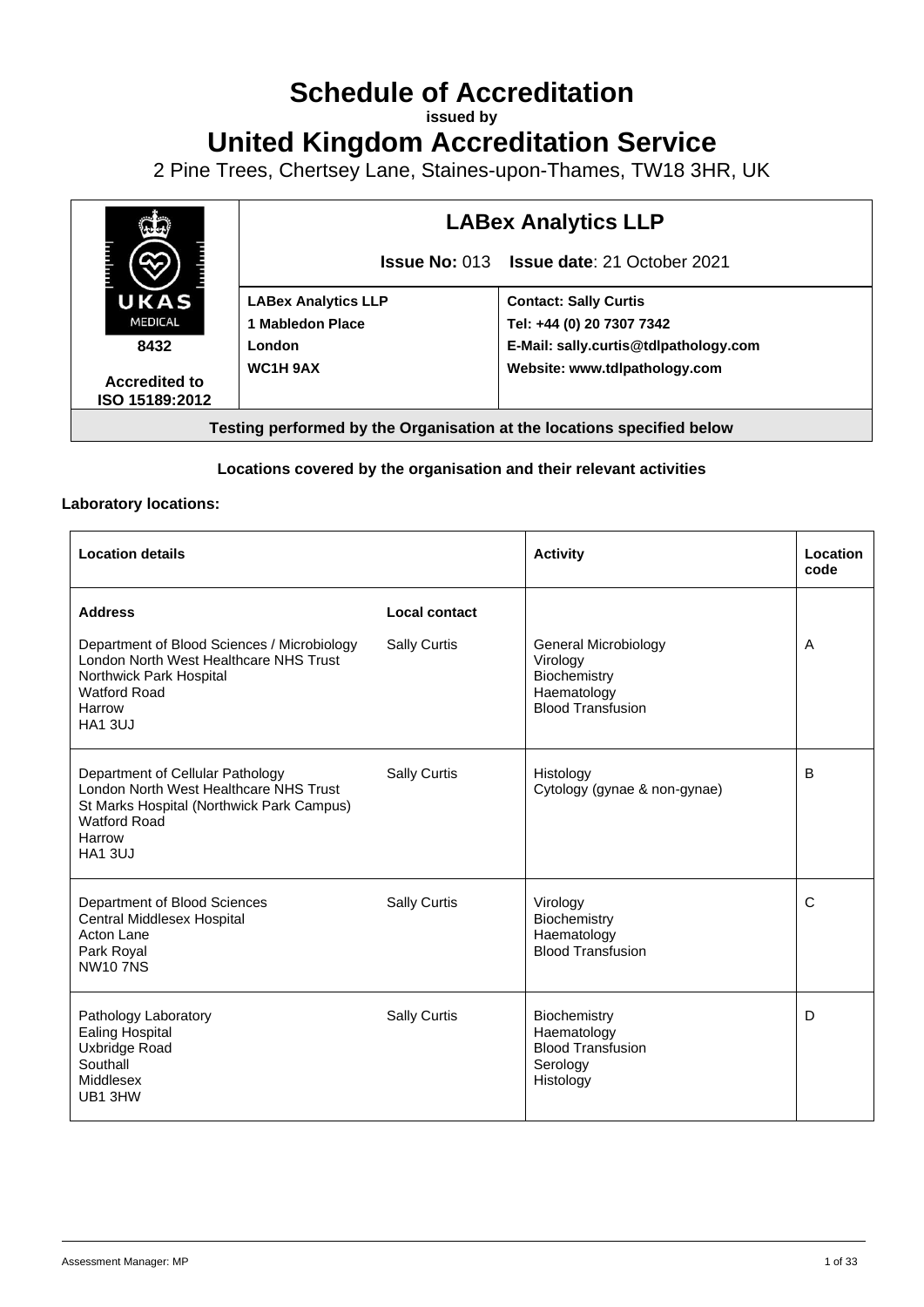# **Schedule of Accreditation**

**issued by**

### **United Kingdom Accreditation Service**

2 Pine Trees, Chertsey Lane, Staines-upon-Thames, TW18 3HR, UK



#### **Locations covered by the organisation and their relevant activities**

#### **Laboratory locations:**

| <b>Location details</b>                                                                                                                                                    |                     | <b>Activity</b>                                                                                    | Location<br>code |
|----------------------------------------------------------------------------------------------------------------------------------------------------------------------------|---------------------|----------------------------------------------------------------------------------------------------|------------------|
| <b>Address</b>                                                                                                                                                             | Local contact       |                                                                                                    |                  |
| Department of Blood Sciences / Microbiology<br>London North West Healthcare NHS Trust<br>Northwick Park Hospital<br><b>Watford Road</b><br>Harrow<br><b>HA1 3UJ</b>        | Sally Curtis        | <b>General Microbiology</b><br>Virology<br>Biochemistry<br>Haematology<br><b>Blood Transfusion</b> | A                |
| Department of Cellular Pathology<br>London North West Healthcare NHS Trust<br>St Marks Hospital (Northwick Park Campus)<br><b>Watford Road</b><br>Harrow<br><b>HA1 3UJ</b> | <b>Sally Curtis</b> | Histology<br>Cytology (gynae & non-gynae)                                                          | B                |
| Department of Blood Sciences<br><b>Central Middlesex Hospital</b><br>Acton Lane<br>Park Royal<br><b>NW107NS</b>                                                            | Sally Curtis        | Virology<br>Biochemistry<br>Haematology<br><b>Blood Transfusion</b>                                | C                |
| Pathology Laboratory<br><b>Ealing Hospital</b><br>Uxbridge Road<br>Southall<br>Middlesex<br>UB1 3HW                                                                        | <b>Sally Curtis</b> | <b>Biochemistry</b><br>Haematology<br><b>Blood Transfusion</b><br>Serology<br>Histology            | D                |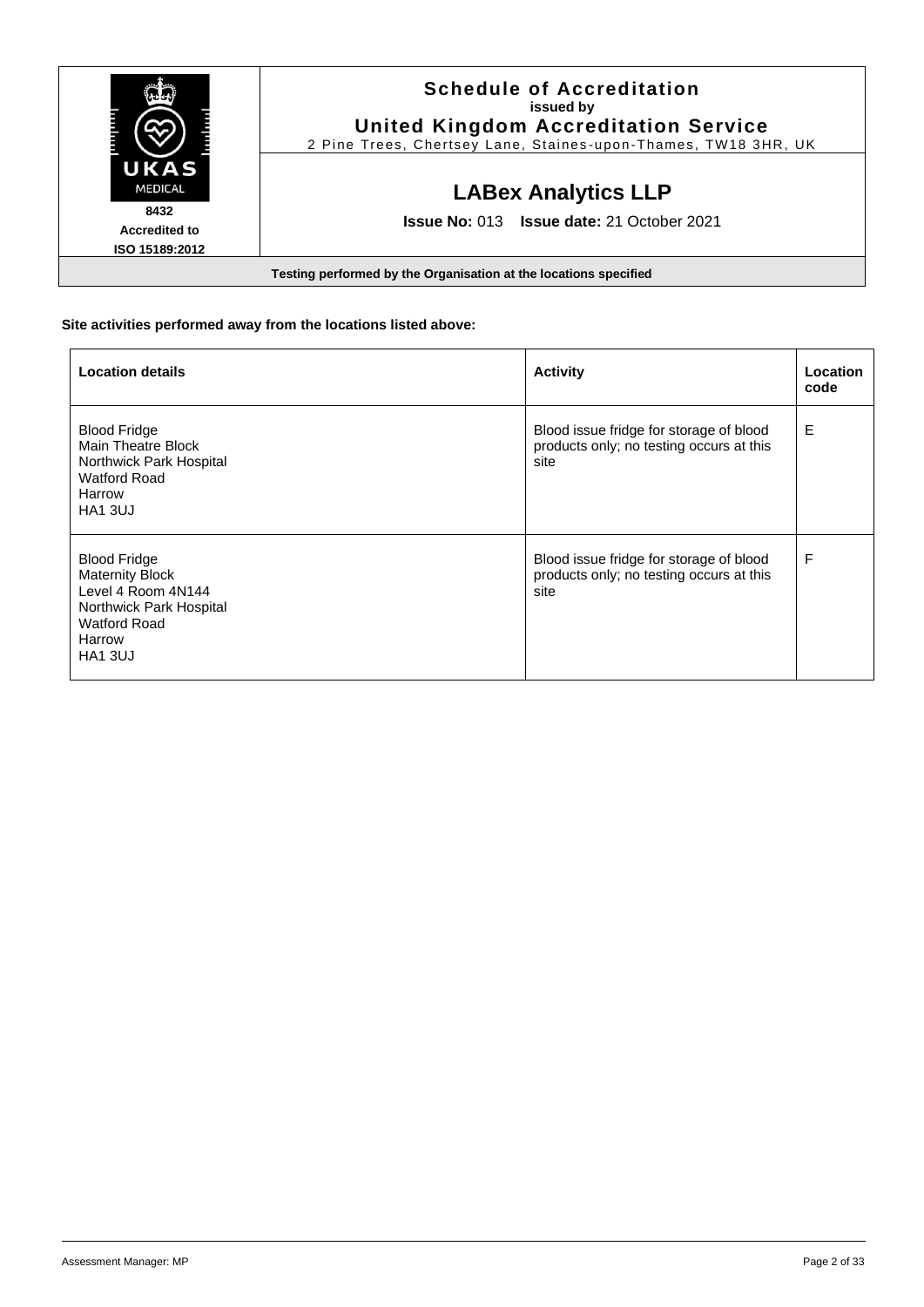|                                                | <b>Schedule of Accreditation</b><br>issued by<br><b>United Kingdom Accreditation Service</b><br>2 Pine Trees, Chertsey Lane, Staines-upon-Thames, TW18 3HR, UK |
|------------------------------------------------|----------------------------------------------------------------------------------------------------------------------------------------------------------------|
| UKAS<br><b>MEDICAL</b>                         | <b>LABex Analytics LLP</b>                                                                                                                                     |
| 8432<br><b>Accredited to</b><br>ISO 15189:2012 | <b>Issue No: 013 Issue date: 21 October 2021</b>                                                                                                               |
|                                                | Testing performed by the Organisation at the locations specified                                                                                               |

### **Site activities performed away from the locations listed above:**

| <b>Location details</b>                                                                                                                           | <b>Activity</b>                                                                             | Location<br>code |
|---------------------------------------------------------------------------------------------------------------------------------------------------|---------------------------------------------------------------------------------------------|------------------|
| <b>Blood Fridge</b><br>Main Theatre Block<br>Northwick Park Hospital<br>Watford Road<br>Harrow<br><b>HA1 3UJ</b>                                  | Blood issue fridge for storage of blood<br>products only; no testing occurs at this<br>site | E                |
| <b>Blood Fridge</b><br><b>Maternity Block</b><br>Level 4 Room 4N144<br>Northwick Park Hospital<br><b>Watford Road</b><br>Harrow<br><b>HA1 3UJ</b> | Blood issue fridge for storage of blood<br>products only; no testing occurs at this<br>site | F                |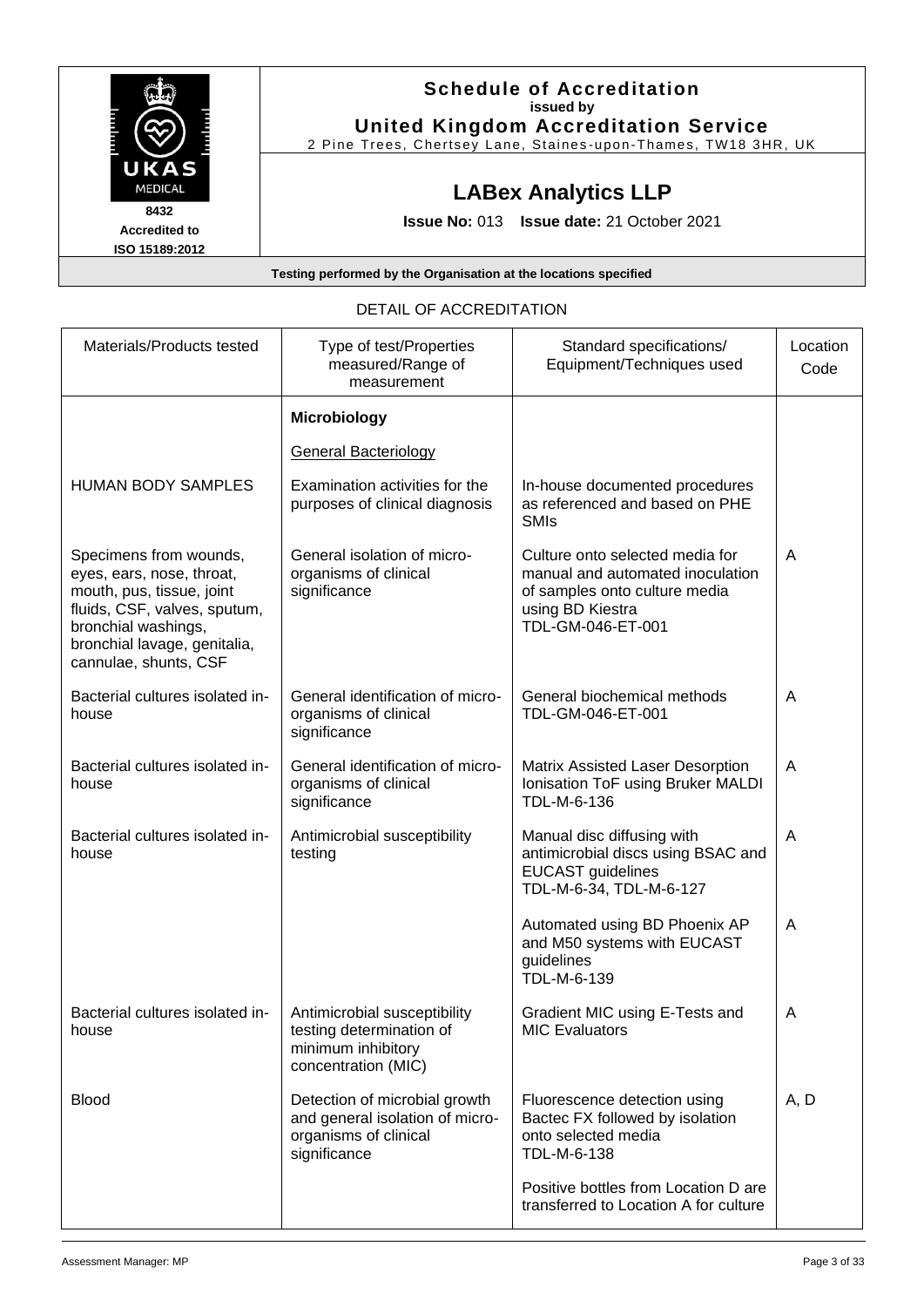

| DETAIL OF ACCREDITATION                                                                                                                                                                          |                                                                                                           |                                                                                                                                               |                  |  |
|--------------------------------------------------------------------------------------------------------------------------------------------------------------------------------------------------|-----------------------------------------------------------------------------------------------------------|-----------------------------------------------------------------------------------------------------------------------------------------------|------------------|--|
| Materials/Products tested                                                                                                                                                                        | Type of test/Properties<br>measured/Range of<br>measurement                                               | Standard specifications/<br>Equipment/Techniques used                                                                                         | Location<br>Code |  |
|                                                                                                                                                                                                  | <b>Microbiology</b>                                                                                       |                                                                                                                                               |                  |  |
|                                                                                                                                                                                                  | <b>General Bacteriology</b>                                                                               |                                                                                                                                               |                  |  |
| <b>HUMAN BODY SAMPLES</b>                                                                                                                                                                        | Examination activities for the<br>purposes of clinical diagnosis                                          | In-house documented procedures<br>as referenced and based on PHE<br><b>SMIs</b>                                                               |                  |  |
| Specimens from wounds,<br>eyes, ears, nose, throat,<br>mouth, pus, tissue, joint<br>fluids, CSF, valves, sputum,<br>bronchial washings,<br>bronchial lavage, genitalia,<br>cannulae, shunts, CSF | General isolation of micro-<br>organisms of clinical<br>significance                                      | Culture onto selected media for<br>manual and automated inoculation<br>of samples onto culture media<br>using BD Kiestra<br>TDL-GM-046-ET-001 | A                |  |
| Bacterial cultures isolated in-<br>house                                                                                                                                                         | General identification of micro-<br>organisms of clinical<br>significance                                 | General biochemical methods<br>TDL-GM-046-ET-001                                                                                              | A                |  |
| Bacterial cultures isolated in-<br>house                                                                                                                                                         | General identification of micro-<br>organisms of clinical<br>significance                                 | <b>Matrix Assisted Laser Desorption</b><br>Ionisation ToF using Bruker MALDI<br>TDL-M-6-136                                                   | A                |  |
| Bacterial cultures isolated in-<br>house                                                                                                                                                         | Antimicrobial susceptibility<br>testing                                                                   | Manual disc diffusing with<br>antimicrobial discs using BSAC and<br><b>EUCAST</b> guidelines<br>TDL-M-6-34, TDL-M-6-127                       | $\overline{A}$   |  |
|                                                                                                                                                                                                  |                                                                                                           | Automated using BD Phoenix AP<br>and M50 systems with EUCAST<br>guidelines<br>TDL-M-6-139                                                     | A                |  |
| Bacterial cultures isolated in-<br>house                                                                                                                                                         | Antimicrobial susceptibility<br>testing determination of<br>minimum inhibitory<br>concentration (MIC)     | Gradient MIC using E-Tests and<br><b>MIC Evaluators</b>                                                                                       | A                |  |
| <b>Blood</b>                                                                                                                                                                                     | Detection of microbial growth<br>and general isolation of micro-<br>organisms of clinical<br>significance | Fluorescence detection using<br>Bactec FX followed by isolation<br>onto selected media<br>TDL-M-6-138                                         | A, D             |  |
|                                                                                                                                                                                                  |                                                                                                           | Positive bottles from Location D are<br>transferred to Location A for culture                                                                 |                  |  |

## $\overline{C}$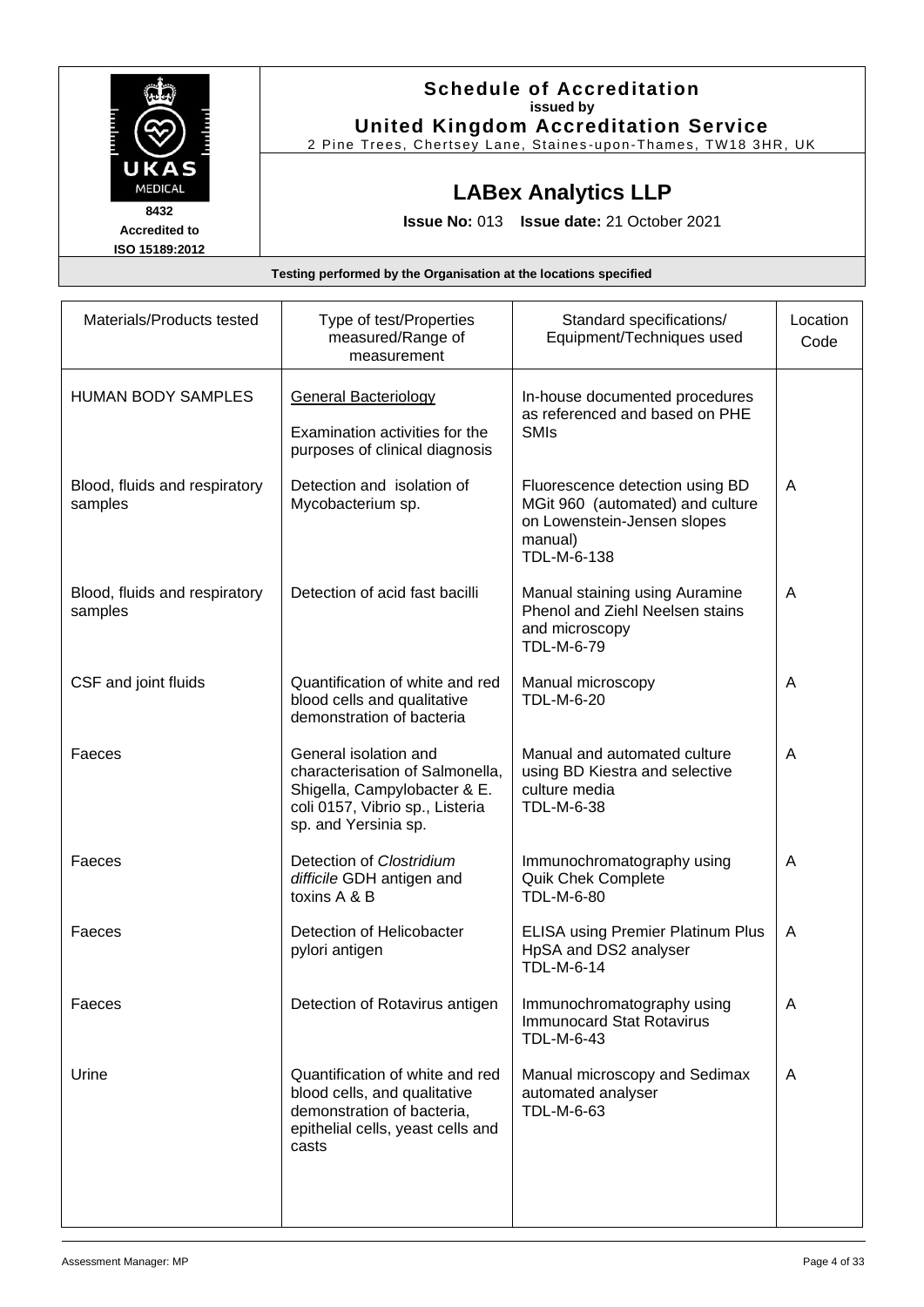|                                                | <b>Schedule of Accreditation</b><br>issued by<br><b>United Kingdom Accreditation Service</b><br>2 Pine Trees, Chertsey Lane, Staines-upon-Thames, TW18 3HR, UK |
|------------------------------------------------|----------------------------------------------------------------------------------------------------------------------------------------------------------------|
| UKAS<br><b>MEDICAL</b>                         | <b>LABex Analytics LLP</b>                                                                                                                                     |
| 8432<br><b>Accredited to</b><br>ISO 15189:2012 | <b>Issue No: 013 Issue date: 21 October 2021</b>                                                                                                               |
|                                                | Testing performed by the Organisation at the locations specified                                                                                               |

| Materials/Products tested                | Type of test/Properties<br>measured/Range of<br>measurement                                                                                         | Standard specifications/<br>Equipment/Techniques used                                                                        | Location<br>Code |
|------------------------------------------|-----------------------------------------------------------------------------------------------------------------------------------------------------|------------------------------------------------------------------------------------------------------------------------------|------------------|
| <b>HUMAN BODY SAMPLES</b>                | <b>General Bacteriology</b><br>Examination activities for the<br>purposes of clinical diagnosis                                                     | In-house documented procedures<br>as referenced and based on PHE<br><b>SMIs</b>                                              |                  |
| Blood, fluids and respiratory<br>samples | Detection and isolation of<br>Mycobacterium sp.                                                                                                     | Fluorescence detection using BD<br>MGit 960 (automated) and culture<br>on Lowenstein-Jensen slopes<br>manual)<br>TDL-M-6-138 | A                |
| Blood, fluids and respiratory<br>samples | Detection of acid fast bacilli                                                                                                                      | Manual staining using Auramine<br>Phenol and Ziehl Neelsen stains<br>and microscopy<br>TDL-M-6-79                            | A                |
| CSF and joint fluids                     | Quantification of white and red<br>blood cells and qualitative<br>demonstration of bacteria                                                         | Manual microscopy<br><b>TDL-M-6-20</b>                                                                                       | A                |
| Faeces                                   | General isolation and<br>characterisation of Salmonella,<br>Shigella, Campylobacter & E.<br>coli 0157, Vibrio sp., Listeria<br>sp. and Yersinia sp. | Manual and automated culture<br>using BD Kiestra and selective<br>culture media<br>TDL-M-6-38                                | A                |
| Faeces                                   | Detection of Clostridium<br>difficile GDH antigen and<br>toxins A & B                                                                               | Immunochromatography using<br><b>Quik Chek Complete</b><br>TDL-M-6-80                                                        | A                |
| Faeces                                   | Detection of Helicobacter<br>pylori antigen                                                                                                         | <b>ELISA using Premier Platinum Plus</b><br>HpSA and DS2 analyser<br><b>TDL-M-6-14</b>                                       | A                |
| Faeces                                   | Detection of Rotavirus antigen                                                                                                                      | Immunochromatography using<br><b>Immunocard Stat Rotavirus</b><br>TDL-M-6-43                                                 | A                |
| Urine                                    | Quantification of white and red<br>blood cells, and qualitative<br>demonstration of bacteria,<br>epithelial cells, yeast cells and<br>casts         | Manual microscopy and Sedimax<br>automated analyser<br>TDL-M-6-63                                                            | A                |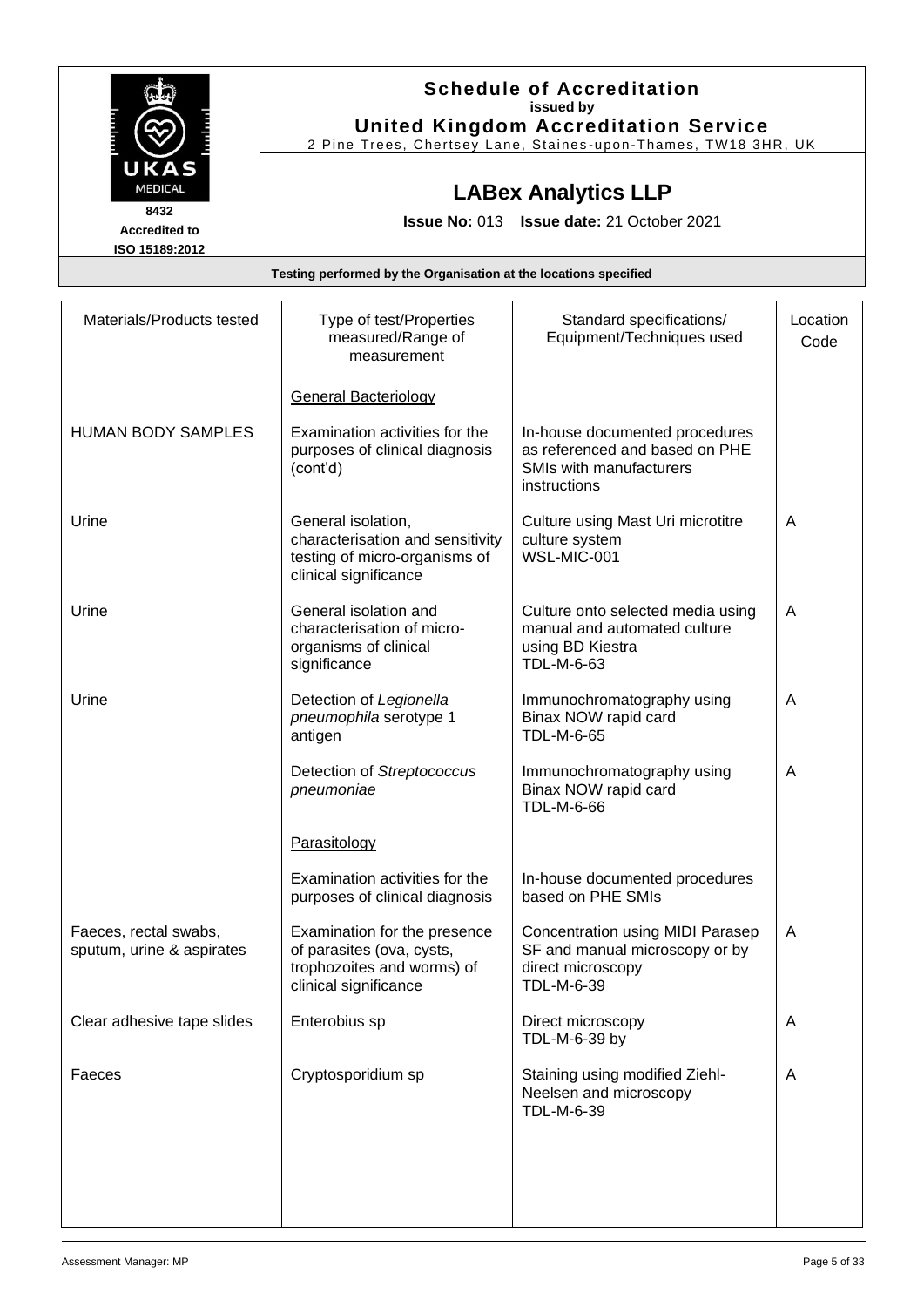|                      | <b>Schedule of Accreditation</b>                                 |
|----------------------|------------------------------------------------------------------|
|                      | issued by                                                        |
|                      | <b>United Kingdom Accreditation Service</b>                      |
|                      | 2 Pine Trees, Chertsey Lane, Staines-upon-Thames, TW18 3HR, UK   |
| UKAS                 |                                                                  |
| <b>MEDICAL</b>       | <b>LABex Analytics LLP</b>                                       |
| 8432                 |                                                                  |
| <b>Accredited to</b> | <b>Issue No: 013 Issue date: 21 October 2021</b>                 |
| ISO 15189:2012       |                                                                  |
|                      | Testing performed by the Organisation at the locations specified |

| Materials/Products tested                          | Type of test/Properties<br>measured/Range of<br>measurement                                                      | Standard specifications/<br>Equipment/Techniques used                                                       | Location<br>Code |
|----------------------------------------------------|------------------------------------------------------------------------------------------------------------------|-------------------------------------------------------------------------------------------------------------|------------------|
|                                                    | <b>General Bacteriology</b>                                                                                      |                                                                                                             |                  |
| <b>HUMAN BODY SAMPLES</b>                          | Examination activities for the<br>purposes of clinical diagnosis<br>(cont'd)                                     | In-house documented procedures<br>as referenced and based on PHE<br>SMIs with manufacturers<br>instructions |                  |
| Urine                                              | General isolation,<br>characterisation and sensitivity<br>testing of micro-organisms of<br>clinical significance | Culture using Mast Uri microtitre<br>culture system<br>WSL-MIC-001                                          | A                |
| Urine                                              | General isolation and<br>characterisation of micro-<br>organisms of clinical<br>significance                     | Culture onto selected media using<br>manual and automated culture<br>using BD Kiestra<br>TDL-M-6-63         | A                |
| Urine                                              | Detection of Legionella<br>pneumophila serotype 1<br>antigen                                                     | Immunochromatography using<br>Binax NOW rapid card<br>TDL-M-6-65                                            | A                |
|                                                    | Detection of Streptococcus<br>pneumoniae                                                                         | Immunochromatography using<br>Binax NOW rapid card<br>TDL-M-6-66                                            | A                |
|                                                    | Parasitology                                                                                                     |                                                                                                             |                  |
|                                                    | Examination activities for the<br>purposes of clinical diagnosis                                                 | In-house documented procedures<br>based on PHE SMIs                                                         |                  |
| Faeces, rectal swabs,<br>sputum, urine & aspirates | Examination for the presence<br>of parasites (ova, cysts,<br>trophozoites and worms) of<br>clinical significance | Concentration using MIDI Parasep<br>SF and manual microscopy or by<br>direct microscopy<br>TDL-M-6-39       | A                |
| Clear adhesive tape slides                         | Enterobius sp                                                                                                    | Direct microscopy<br>TDL-M-6-39 by                                                                          | A                |
| Faeces                                             | Cryptosporidium sp                                                                                               | Staining using modified Ziehl-<br>Neelsen and microscopy<br>TDL-M-6-39                                      | A                |
|                                                    |                                                                                                                  |                                                                                                             |                  |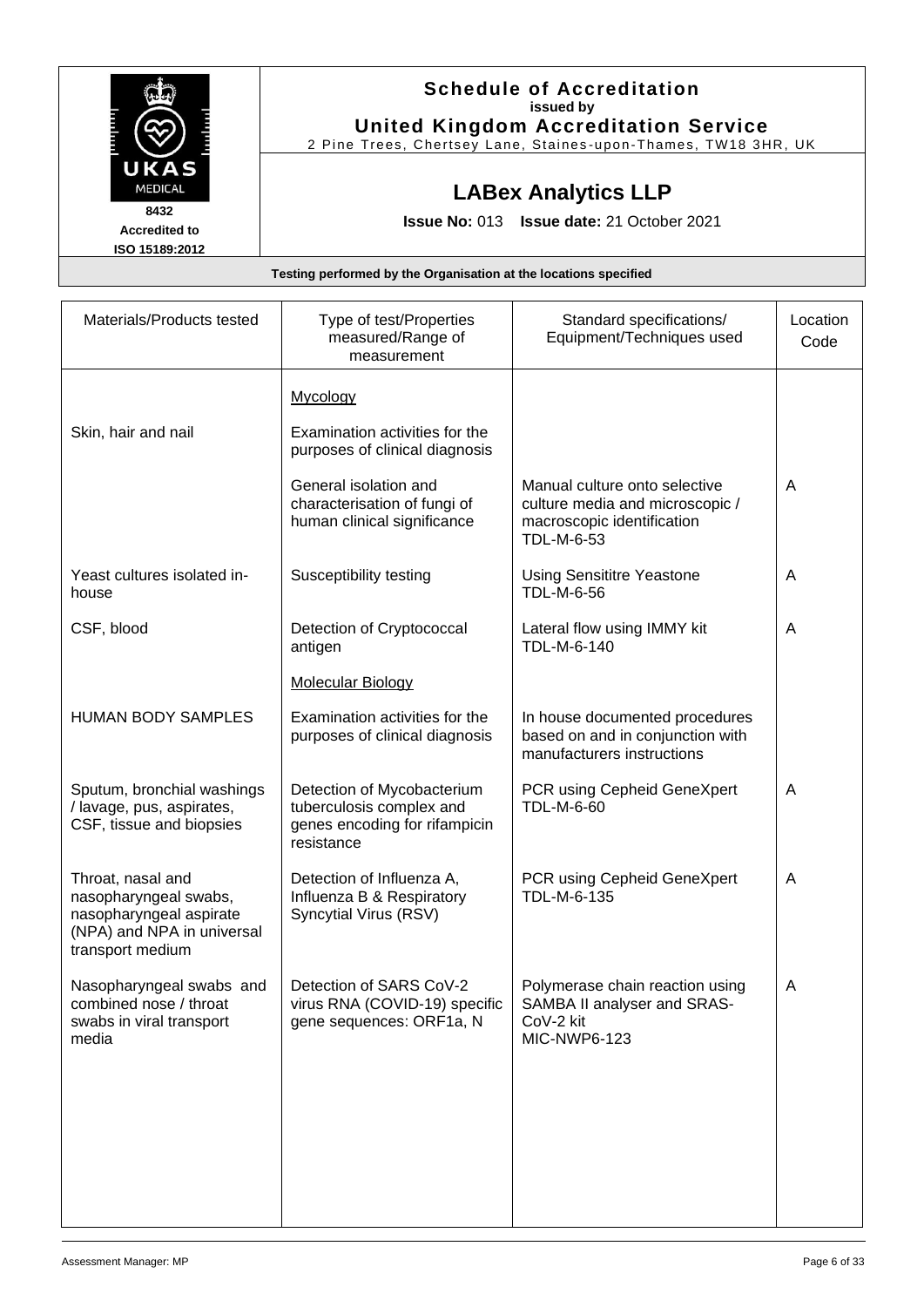|                      | <b>Schedule of Accreditation</b>                               |
|----------------------|----------------------------------------------------------------|
|                      | issued by                                                      |
|                      | <b>United Kingdom Accreditation Service</b>                    |
|                      | 2 Pine Trees, Chertsey Lane, Staines-upon-Thames, TW18 3HR, UK |
| UKAS                 |                                                                |
| <b>MEDICAL</b>       | <b>LABex Analytics LLP</b>                                     |
| 8432                 |                                                                |
| <b>Accredited to</b> | <b>Issue No: 013 Issue date: 21 October 2021</b>               |
| ISO 15189:2012       |                                                                |

| Materials/Products tested                                                                                               | Type of test/Properties<br>measured/Range of<br>measurement                                           | Standard specifications/<br>Equipment/Techniques used                                                        | Location<br>Code |
|-------------------------------------------------------------------------------------------------------------------------|-------------------------------------------------------------------------------------------------------|--------------------------------------------------------------------------------------------------------------|------------------|
|                                                                                                                         | Mycology                                                                                              |                                                                                                              |                  |
| Skin, hair and nail                                                                                                     | Examination activities for the<br>purposes of clinical diagnosis                                      |                                                                                                              |                  |
|                                                                                                                         | General isolation and<br>characterisation of fungi of<br>human clinical significance                  | Manual culture onto selective<br>culture media and microscopic /<br>macroscopic identification<br>TDL-M-6-53 | A                |
| Yeast cultures isolated in-<br>house                                                                                    | Susceptibility testing                                                                                | <b>Using Sensititre Yeastone</b><br>TDL-M-6-56                                                               | A                |
| CSF, blood                                                                                                              | Detection of Cryptococcal<br>antigen                                                                  | Lateral flow using IMMY kit<br>TDL-M-6-140                                                                   | A                |
|                                                                                                                         | <b>Molecular Biology</b>                                                                              |                                                                                                              |                  |
| <b>HUMAN BODY SAMPLES</b>                                                                                               | Examination activities for the<br>purposes of clinical diagnosis                                      | In house documented procedures<br>based on and in conjunction with<br>manufacturers instructions             |                  |
| Sputum, bronchial washings<br>/ lavage, pus, aspirates,<br>CSF, tissue and biopsies                                     | Detection of Mycobacterium<br>tuberculosis complex and<br>genes encoding for rifampicin<br>resistance | PCR using Cepheid GeneXpert<br><b>TDL-M-6-60</b>                                                             | A                |
| Throat, nasal and<br>nasopharyngeal swabs,<br>nasopharyngeal aspirate<br>(NPA) and NPA in universal<br>transport medium | Detection of Influenza A,<br>Influenza B & Respiratory<br>Syncytial Virus (RSV)                       | PCR using Cepheid GeneXpert<br>TDL-M-6-135                                                                   | A                |
| Nasopharyngeal swabs and<br>combined nose / throat<br>swabs in viral transport<br>media                                 | Detection of SARS CoV-2<br>virus RNA (COVID-19) specific<br>gene sequences: ORF1a, N                  | Polymerase chain reaction using<br>SAMBA II analyser and SRAS-<br>CoV-2 kit<br><b>MIC-NWP6-123</b>           | A                |
|                                                                                                                         |                                                                                                       |                                                                                                              |                  |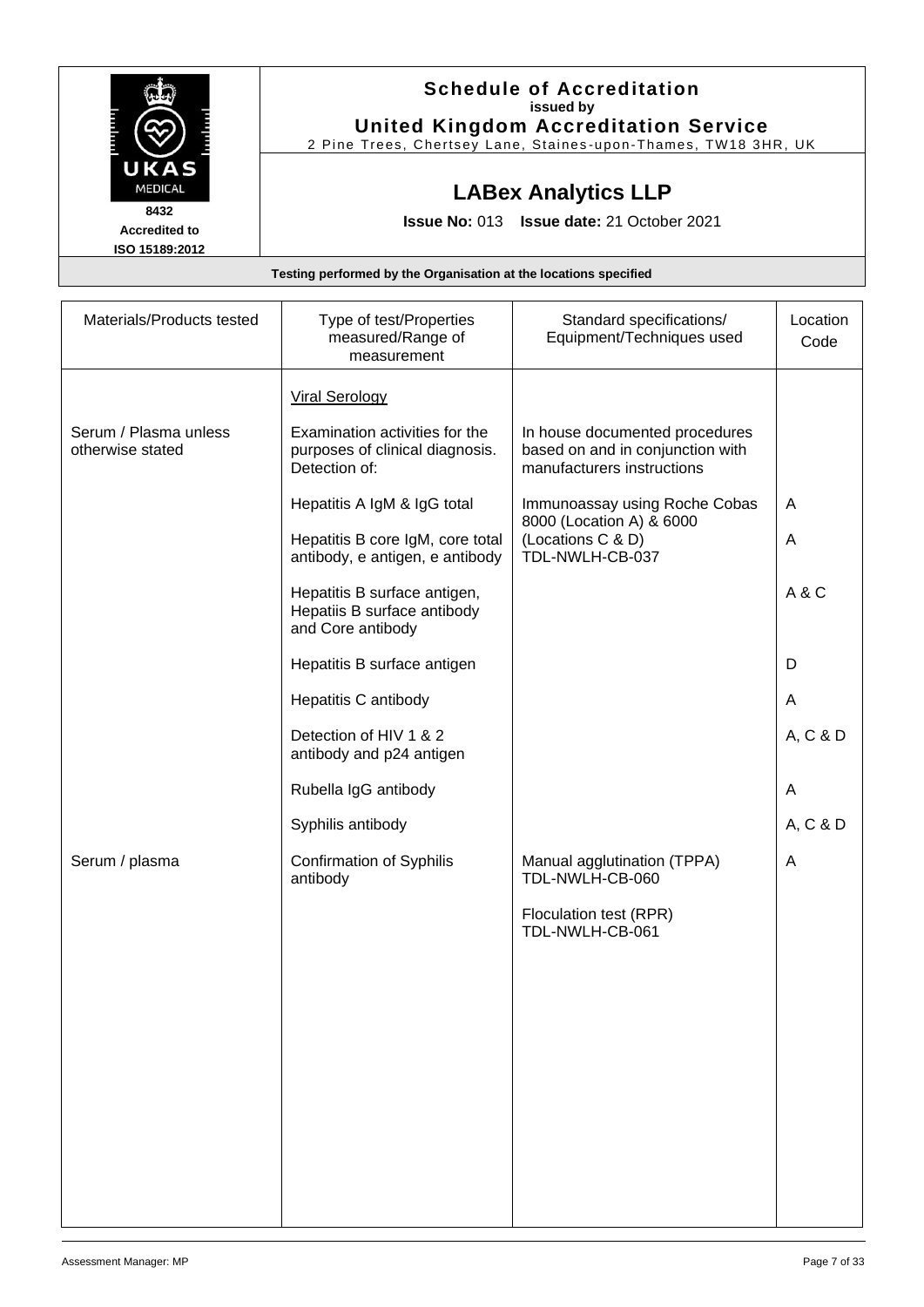|                                                | <b>Schedule of Accreditation</b><br>issued by<br><b>United Kingdom Accreditation Service</b><br>2 Pine Trees, Chertsey Lane, Staines-upon-Thames, TW18 3HR, UK |
|------------------------------------------------|----------------------------------------------------------------------------------------------------------------------------------------------------------------|
| UKAS<br><b>MEDICAL</b>                         | <b>LABex Analytics LLP</b>                                                                                                                                     |
| 8432<br><b>Accredited to</b><br>ISO 15189:2012 | <b>Issue No: 013 Issue date: 21 October 2021</b>                                                                                                               |
|                                                | Testing performed by the Organisation at the locations specified                                                                                               |

| Materials/Products tested                 | Type of test/Properties<br>measured/Range of<br>measurement                        | Standard specifications/<br>Equipment/Techniques used                                            | Location<br>Code |
|-------------------------------------------|------------------------------------------------------------------------------------|--------------------------------------------------------------------------------------------------|------------------|
|                                           | <b>Viral Serology</b>                                                              |                                                                                                  |                  |
| Serum / Plasma unless<br>otherwise stated | Examination activities for the<br>purposes of clinical diagnosis.<br>Detection of: | In house documented procedures<br>based on and in conjunction with<br>manufacturers instructions |                  |
|                                           | Hepatitis A IgM & IgG total                                                        | Immunoassay using Roche Cobas<br>8000 (Location A) & 6000                                        | $\overline{A}$   |
|                                           | Hepatitis B core IgM, core total<br>antibody, e antigen, e antibody                | (Locations C & D)<br>TDL-NWLH-CB-037                                                             | A                |
|                                           | Hepatitis B surface antigen,<br>Hepatiis B surface antibody<br>and Core antibody   |                                                                                                  | A & C            |
|                                           | Hepatitis B surface antigen                                                        |                                                                                                  | D                |
|                                           | Hepatitis C antibody                                                               |                                                                                                  | A                |
|                                           | Detection of HIV 1 & 2<br>antibody and p24 antigen                                 |                                                                                                  | A, C & D         |
|                                           | Rubella IgG antibody                                                               |                                                                                                  | A                |
|                                           | Syphilis antibody                                                                  |                                                                                                  | A, C & D         |
| Serum / plasma                            | <b>Confirmation of Syphilis</b><br>antibody                                        | Manual agglutination (TPPA)<br>TDL-NWLH-CB-060                                                   | Α                |
|                                           |                                                                                    | Floculation test (RPR)<br>TDL-NWLH-CB-061                                                        |                  |
|                                           |                                                                                    |                                                                                                  |                  |
|                                           |                                                                                    |                                                                                                  |                  |
|                                           |                                                                                    |                                                                                                  |                  |
|                                           |                                                                                    |                                                                                                  |                  |
|                                           |                                                                                    |                                                                                                  |                  |
|                                           |                                                                                    |                                                                                                  |                  |
|                                           |                                                                                    |                                                                                                  |                  |

 $\overline{\phantom{a}}$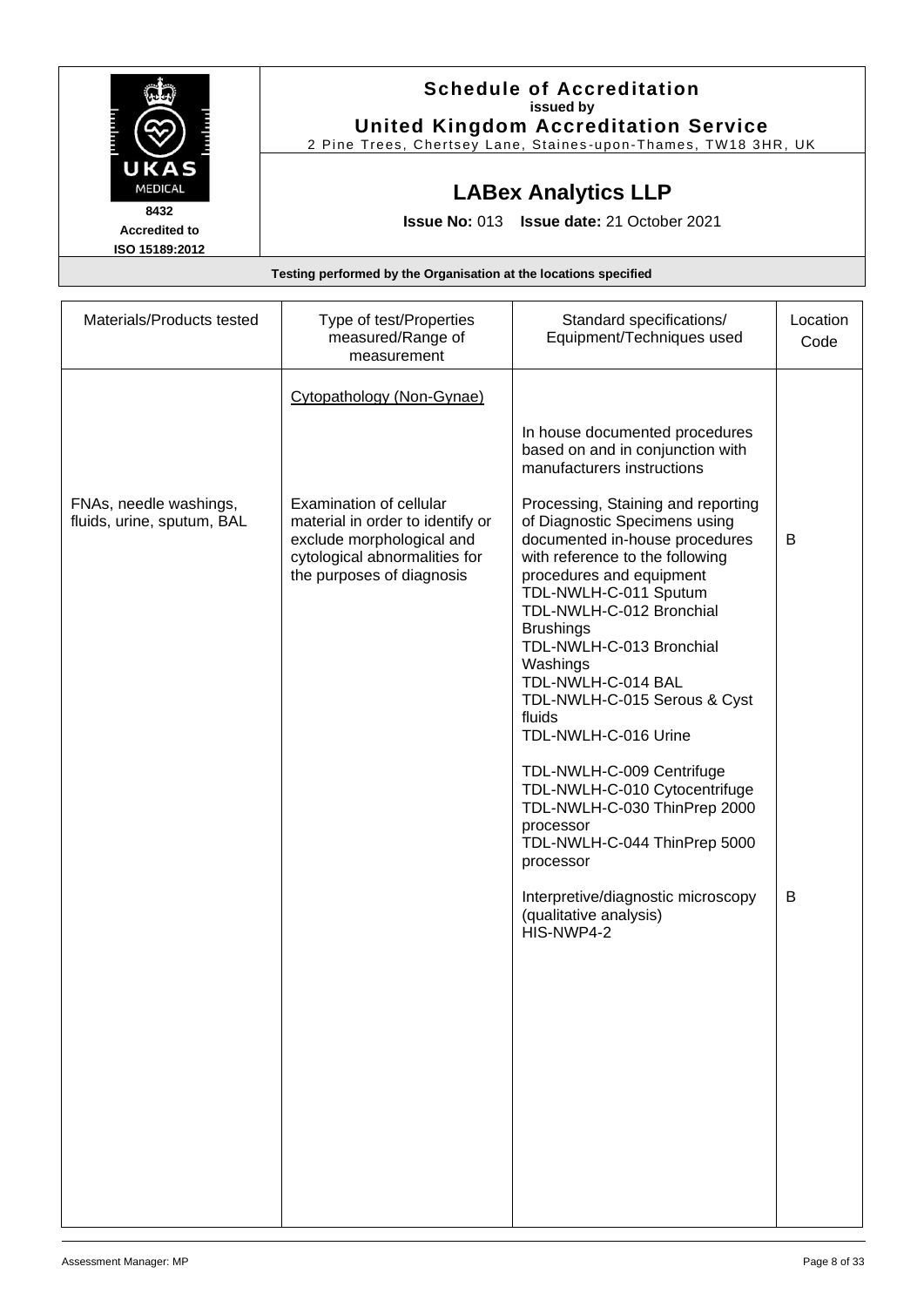|                      | <b>Schedule of Accreditation</b>                               |
|----------------------|----------------------------------------------------------------|
|                      | issued by                                                      |
|                      | <b>United Kingdom Accreditation Service</b>                    |
|                      | 2 Pine Trees, Chertsey Lane, Staines-upon-Thames, TW18 3HR, UK |
| UKAS                 |                                                                |
| <b>MEDICAL</b>       | <b>LABex Analytics LLP</b>                                     |
| 8432                 |                                                                |
| <b>Accredited to</b> | <b>Issue No: 013 Issue date: 21 October 2021</b>               |
| ISO 15189:2012       |                                                                |

| Materials/Products tested                            | Type of test/Properties<br>measured/Range of<br>measurement                                                                                                                         | Standard specifications/<br>Equipment/Techniques used                                                                                                                                                                                                                                                                                                                                                                                                                                                                                                                                                                                     | Location<br>Code |
|------------------------------------------------------|-------------------------------------------------------------------------------------------------------------------------------------------------------------------------------------|-------------------------------------------------------------------------------------------------------------------------------------------------------------------------------------------------------------------------------------------------------------------------------------------------------------------------------------------------------------------------------------------------------------------------------------------------------------------------------------------------------------------------------------------------------------------------------------------------------------------------------------------|------------------|
| FNAs, needle washings,<br>fluids, urine, sputum, BAL | Cytopathology (Non-Gynae)<br>Examination of cellular<br>material in order to identify or<br>exclude morphological and<br>cytological abnormalities for<br>the purposes of diagnosis | In house documented procedures<br>based on and in conjunction with<br>manufacturers instructions<br>Processing, Staining and reporting<br>of Diagnostic Specimens using<br>documented in-house procedures<br>with reference to the following<br>procedures and equipment<br>TDL-NWLH-C-011 Sputum<br>TDL-NWLH-C-012 Bronchial<br><b>Brushings</b><br>TDL-NWLH-C-013 Bronchial<br>Washings<br>TDL-NWLH-C-014 BAL<br>TDL-NWLH-C-015 Serous & Cyst<br>fluids<br>TDL-NWLH-C-016 Urine<br>TDL-NWLH-C-009 Centrifuge<br>TDL-NWLH-C-010 Cytocentrifuge<br>TDL-NWLH-C-030 ThinPrep 2000<br>processor<br>TDL-NWLH-C-044 ThinPrep 5000<br>processor | B                |
|                                                      |                                                                                                                                                                                     | Interpretive/diagnostic microscopy<br>(qualitative analysis)<br>HIS-NWP4-2                                                                                                                                                                                                                                                                                                                                                                                                                                                                                                                                                                | B                |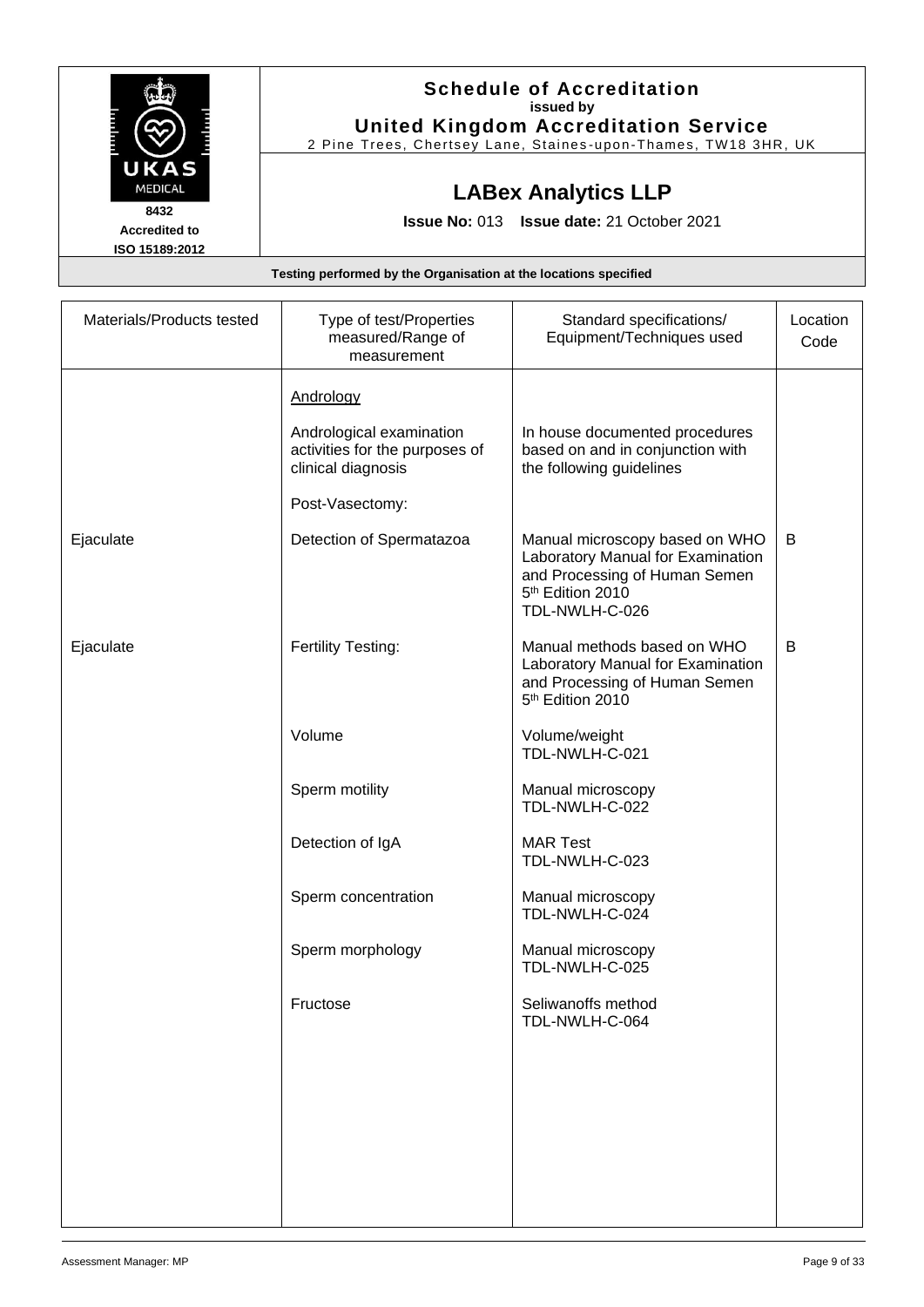|                                                                  | <b>Schedule of Accreditation</b><br>issued by<br><b>United Kingdom Accreditation Service</b><br>2 Pine Trees, Chertsey Lane, Staines-upon-Thames, TW18 3HR, UK |  |
|------------------------------------------------------------------|----------------------------------------------------------------------------------------------------------------------------------------------------------------|--|
| UKAS<br><b>MEDICAL</b>                                           | <b>LABex Analytics LLP</b>                                                                                                                                     |  |
| 8432<br><b>Accredited to</b><br>ISO 15189:2012                   | <b>Issue No: 013 Issue date: 21 October 2021</b>                                                                                                               |  |
| Testing performed by the Organisation at the locations specified |                                                                                                                                                                |  |

| Materials/Products tested | Type of test/Properties<br>measured/Range of<br>measurement                                                      | Standard specifications/<br>Equipment/Techniques used                                                                                                  | Location<br>Code |
|---------------------------|------------------------------------------------------------------------------------------------------------------|--------------------------------------------------------------------------------------------------------------------------------------------------------|------------------|
|                           | Andrology<br>Andrological examination<br>activities for the purposes of<br>clinical diagnosis<br>Post-Vasectomy: | In house documented procedures<br>based on and in conjunction with<br>the following guidelines                                                         |                  |
| Ejaculate                 | Detection of Spermatazoa                                                                                         | Manual microscopy based on WHO<br>Laboratory Manual for Examination<br>and Processing of Human Semen<br>5 <sup>th</sup> Edition 2010<br>TDL-NWLH-C-026 | B                |
| Ejaculate                 | Fertility Testing:                                                                                               | Manual methods based on WHO<br>Laboratory Manual for Examination<br>and Processing of Human Semen<br>5 <sup>th</sup> Edition 2010                      | B                |
|                           | Volume                                                                                                           | Volume/weight<br>TDL-NWLH-C-021                                                                                                                        |                  |
|                           | Sperm motility                                                                                                   | Manual microscopy<br>TDL-NWLH-C-022                                                                                                                    |                  |
|                           | Detection of IgA                                                                                                 | <b>MAR Test</b><br>TDL-NWLH-C-023                                                                                                                      |                  |
|                           | Sperm concentration                                                                                              | Manual microscopy<br>TDL-NWLH-C-024                                                                                                                    |                  |
|                           | Sperm morphology                                                                                                 | Manual microscopy<br>TDL-NWLH-C-025                                                                                                                    |                  |
|                           | Fructose                                                                                                         | Seliwanoffs method<br>TDL-NWLH-C-064                                                                                                                   |                  |
|                           |                                                                                                                  |                                                                                                                                                        |                  |
|                           |                                                                                                                  |                                                                                                                                                        |                  |
|                           |                                                                                                                  |                                                                                                                                                        |                  |
|                           |                                                                                                                  |                                                                                                                                                        |                  |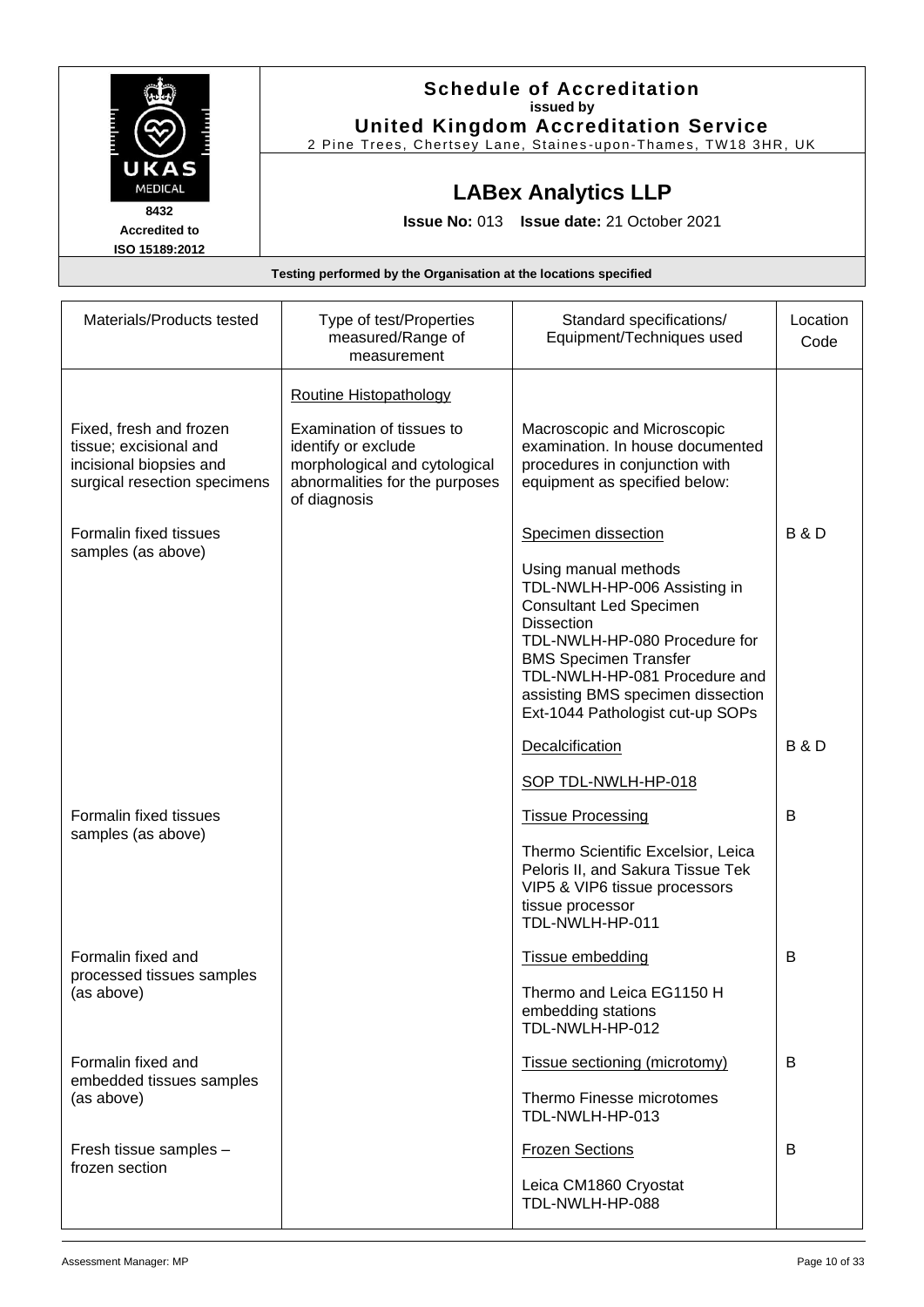|                                                                          | <b>Schedule of Accreditation</b><br>issued by<br><b>United Kingdom Accreditation Service</b><br>2 Pine Trees, Chertsey Lane, Staines-upon-Thames, TW18 3HR, UK |  |
|--------------------------------------------------------------------------|----------------------------------------------------------------------------------------------------------------------------------------------------------------|--|
| UKAS<br><b>MEDICAL</b><br>8432<br><b>Accredited to</b><br>ISO 15189:2012 | <b>LABex Analytics LLP</b><br>Issue No: 013 Issue date: 21 October 2021                                                                                        |  |
| Testing performed by the Organisation at the locations specified         |                                                                                                                                                                |  |

| Materials/Products tested                                                                                    | Type of test/Properties<br>measured/Range of<br>measurement                                                                         | Standard specifications/<br>Equipment/Techniques used                                                                                                                                                                                                                                  | Location<br>Code |
|--------------------------------------------------------------------------------------------------------------|-------------------------------------------------------------------------------------------------------------------------------------|----------------------------------------------------------------------------------------------------------------------------------------------------------------------------------------------------------------------------------------------------------------------------------------|------------------|
|                                                                                                              | Routine Histopathology                                                                                                              |                                                                                                                                                                                                                                                                                        |                  |
| Fixed, fresh and frozen<br>tissue; excisional and<br>incisional biopsies and<br>surgical resection specimens | Examination of tissues to<br>identify or exclude<br>morphological and cytological<br>abnormalities for the purposes<br>of diagnosis | Macroscopic and Microscopic<br>examination. In house documented<br>procedures in conjunction with<br>equipment as specified below:                                                                                                                                                     |                  |
| Formalin fixed tissues<br>samples (as above)                                                                 |                                                                                                                                     | Specimen dissection                                                                                                                                                                                                                                                                    | <b>B&amp;D</b>   |
|                                                                                                              |                                                                                                                                     | Using manual methods<br>TDL-NWLH-HP-006 Assisting in<br><b>Consultant Led Specimen</b><br><b>Dissection</b><br>TDL-NWLH-HP-080 Procedure for<br><b>BMS Specimen Transfer</b><br>TDL-NWLH-HP-081 Procedure and<br>assisting BMS specimen dissection<br>Ext-1044 Pathologist cut-up SOPs |                  |
|                                                                                                              |                                                                                                                                     | Decalcification                                                                                                                                                                                                                                                                        | <b>B&amp;D</b>   |
|                                                                                                              |                                                                                                                                     | SOP TDL-NWLH-HP-018                                                                                                                                                                                                                                                                    |                  |
| Formalin fixed tissues<br>samples (as above)                                                                 |                                                                                                                                     | <b>Tissue Processing</b>                                                                                                                                                                                                                                                               | В                |
|                                                                                                              |                                                                                                                                     | Thermo Scientific Excelsior, Leica<br>Peloris II, and Sakura Tissue Tek<br>VIP5 & VIP6 tissue processors<br>tissue processor<br>TDL-NWLH-HP-011                                                                                                                                        |                  |
| Formalin fixed and                                                                                           |                                                                                                                                     | Tissue embedding                                                                                                                                                                                                                                                                       | В                |
| processed tissues samples<br>(as above)                                                                      |                                                                                                                                     | Thermo and Leica EG1150 H<br>embedding stations<br>TDL-NWLH-HP-012                                                                                                                                                                                                                     |                  |
| Formalin fixed and                                                                                           |                                                                                                                                     | Tissue sectioning (microtomy)                                                                                                                                                                                                                                                          | B                |
| embedded tissues samples<br>(as above)                                                                       |                                                                                                                                     | Thermo Finesse microtomes<br>TDL-NWLH-HP-013                                                                                                                                                                                                                                           |                  |
| Fresh tissue samples -<br>frozen section                                                                     |                                                                                                                                     | <b>Frozen Sections</b>                                                                                                                                                                                                                                                                 | B                |
|                                                                                                              |                                                                                                                                     | Leica CM1860 Cryostat<br>TDL-NWLH-HP-088                                                                                                                                                                                                                                               |                  |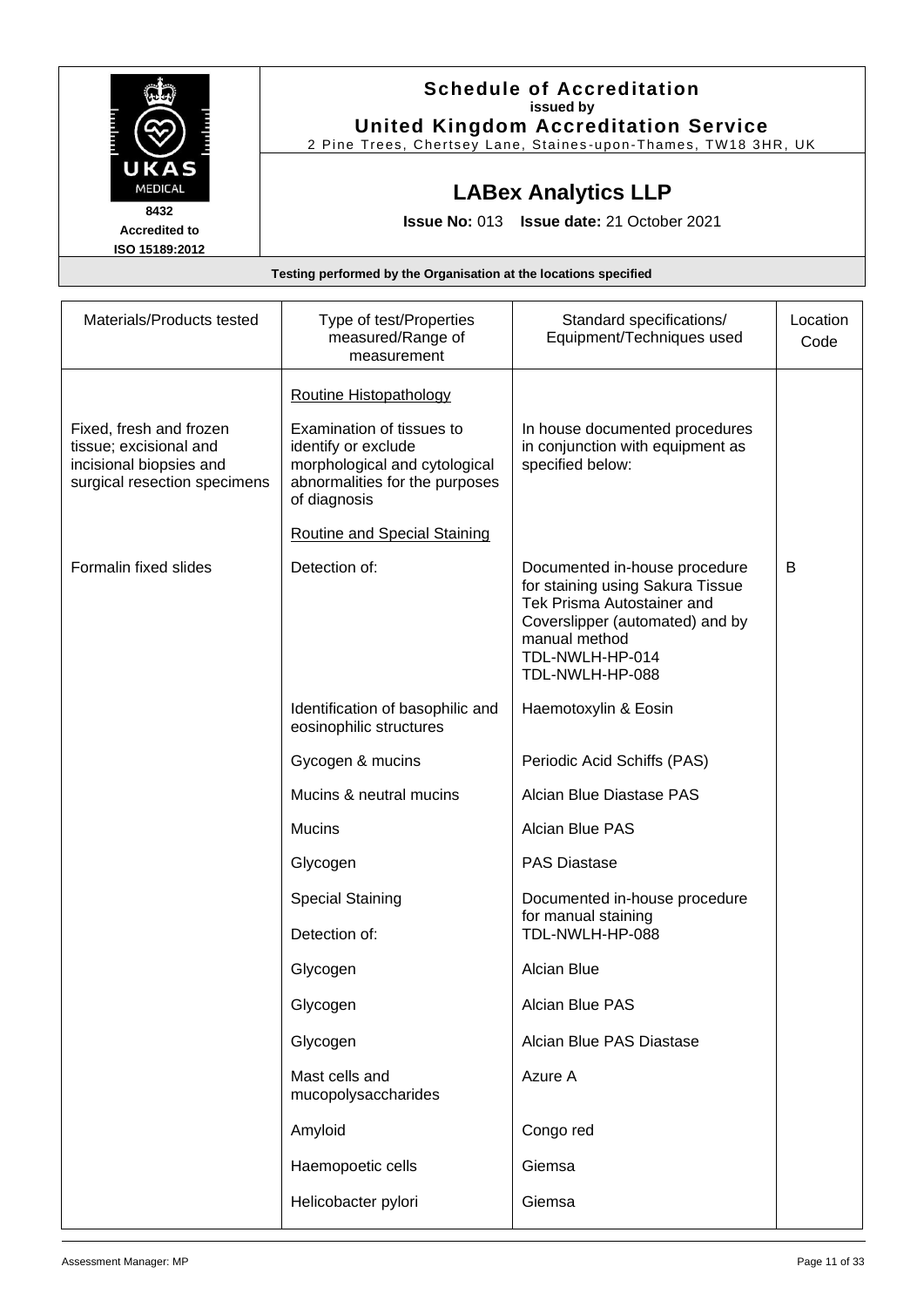|                                                                  | <b>Schedule of Accreditation</b><br>issued by<br><b>United Kingdom Accreditation Service</b><br>2 Pine Trees, Chertsey Lane, Staines-upon-Thames, TW18 3HR, UK |  |
|------------------------------------------------------------------|----------------------------------------------------------------------------------------------------------------------------------------------------------------|--|
| UKAS<br><b>MEDICAL</b>                                           | <b>LABex Analytics LLP</b>                                                                                                                                     |  |
| 8432<br><b>Accredited to</b><br>ISO 15189:2012                   | <b>Issue No: 013 Issue date: 21 October 2021</b>                                                                                                               |  |
| Testing performed by the Organisation at the locations specified |                                                                                                                                                                |  |

| Materials/Products tested                                                                                    | Type of test/Properties<br>measured/Range of<br>measurement                                                                         | Standard specifications/<br>Equipment/Techniques used                                                                                                                                     | Location<br>Code |
|--------------------------------------------------------------------------------------------------------------|-------------------------------------------------------------------------------------------------------------------------------------|-------------------------------------------------------------------------------------------------------------------------------------------------------------------------------------------|------------------|
|                                                                                                              | <b>Routine Histopathology</b>                                                                                                       |                                                                                                                                                                                           |                  |
| Fixed, fresh and frozen<br>tissue; excisional and<br>incisional biopsies and<br>surgical resection specimens | Examination of tissues to<br>identify or exclude<br>morphological and cytological<br>abnormalities for the purposes<br>of diagnosis | In house documented procedures<br>in conjunction with equipment as<br>specified below:                                                                                                    |                  |
|                                                                                                              | <b>Routine and Special Staining</b>                                                                                                 |                                                                                                                                                                                           |                  |
| Formalin fixed slides                                                                                        | Detection of:                                                                                                                       | Documented in-house procedure<br>for staining using Sakura Tissue<br>Tek Prisma Autostainer and<br>Coverslipper (automated) and by<br>manual method<br>TDL-NWLH-HP-014<br>TDL-NWLH-HP-088 | B                |
|                                                                                                              | Identification of basophilic and<br>eosinophilic structures                                                                         | Haemotoxylin & Eosin                                                                                                                                                                      |                  |
|                                                                                                              | Gycogen & mucins                                                                                                                    | Periodic Acid Schiffs (PAS)                                                                                                                                                               |                  |
|                                                                                                              | Mucins & neutral mucins                                                                                                             | Alcian Blue Diastase PAS                                                                                                                                                                  |                  |
|                                                                                                              | <b>Mucins</b>                                                                                                                       | <b>Alcian Blue PAS</b>                                                                                                                                                                    |                  |
|                                                                                                              | Glycogen                                                                                                                            | <b>PAS Diastase</b>                                                                                                                                                                       |                  |
|                                                                                                              | <b>Special Staining</b>                                                                                                             | Documented in-house procedure                                                                                                                                                             |                  |
|                                                                                                              | Detection of:                                                                                                                       | for manual staining<br>TDL-NWLH-HP-088                                                                                                                                                    |                  |
|                                                                                                              | Glycogen                                                                                                                            | Alcian Blue                                                                                                                                                                               |                  |
|                                                                                                              | Glycogen                                                                                                                            | Alcian Blue PAS                                                                                                                                                                           |                  |
|                                                                                                              | Glycogen                                                                                                                            | Alcian Blue PAS Diastase                                                                                                                                                                  |                  |
|                                                                                                              | Mast cells and<br>mucopolysaccharides                                                                                               | Azure A                                                                                                                                                                                   |                  |
|                                                                                                              | Amyloid                                                                                                                             | Congo red                                                                                                                                                                                 |                  |
|                                                                                                              | Haemopoetic cells                                                                                                                   | Giemsa                                                                                                                                                                                    |                  |
|                                                                                                              | Helicobacter pylori                                                                                                                 | Giemsa                                                                                                                                                                                    |                  |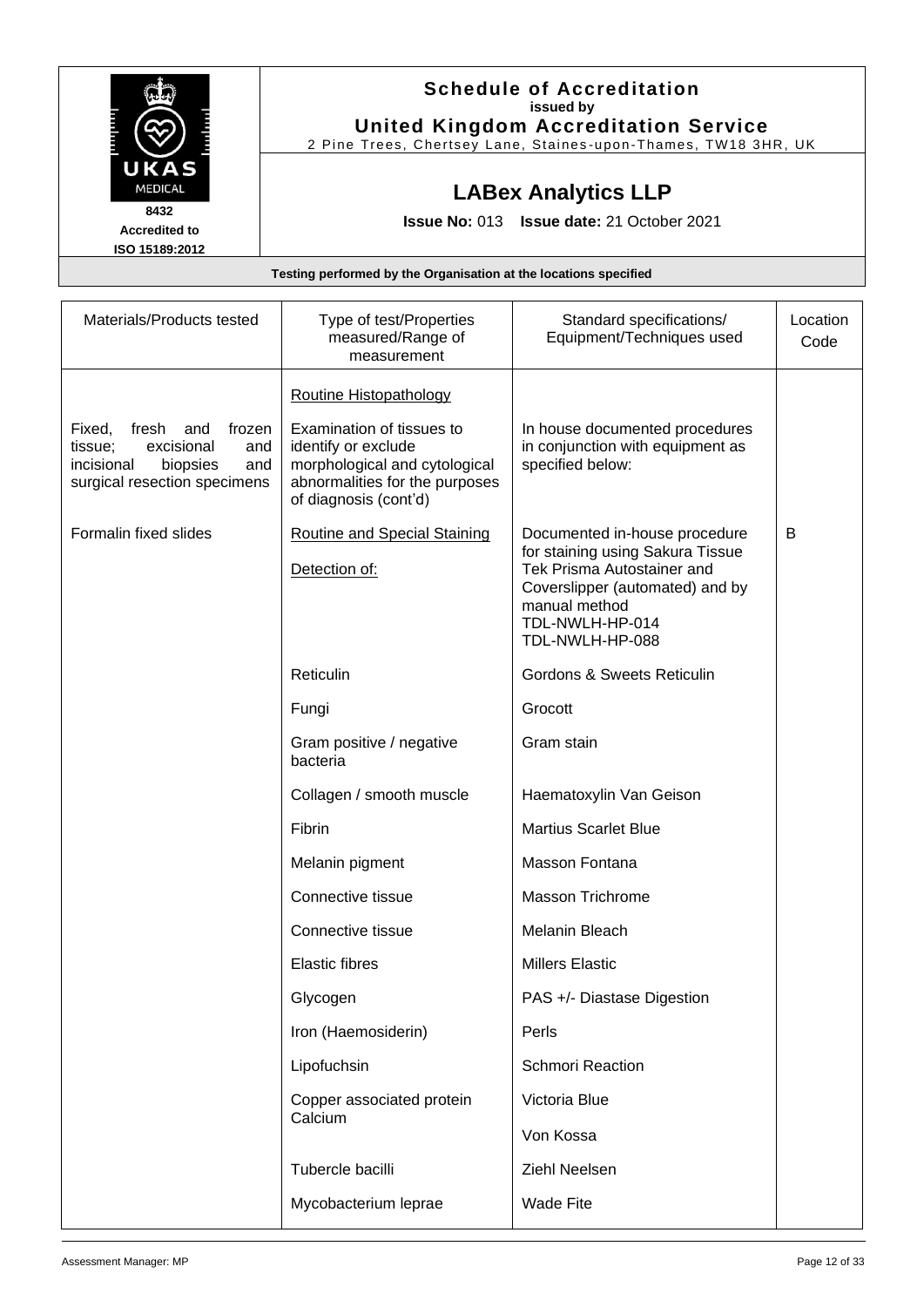|                      | <b>Schedule of Accreditation</b>                               |
|----------------------|----------------------------------------------------------------|
|                      | issued by                                                      |
|                      | <b>United Kingdom Accreditation Service</b>                    |
|                      | 2 Pine Trees, Chertsey Lane, Staines-upon-Thames, TW18 3HR, UK |
| UKAS                 |                                                                |
| <b>MEDICAL</b>       | <b>LABex Analytics LLP</b>                                     |
| 8432                 |                                                                |
| <b>Accredited to</b> | <b>Issue No: 013 Issue date: 21 October 2021</b>               |
| ISO 15189:2012       |                                                                |

| Materials/Products tested                                                                                                         | Type of test/Properties<br>measured/Range of<br>measurement                                                                                  | Standard specifications/<br>Equipment/Techniques used                                                                                                                                     | Location<br>Code |
|-----------------------------------------------------------------------------------------------------------------------------------|----------------------------------------------------------------------------------------------------------------------------------------------|-------------------------------------------------------------------------------------------------------------------------------------------------------------------------------------------|------------------|
|                                                                                                                                   | <b>Routine Histopathology</b>                                                                                                                |                                                                                                                                                                                           |                  |
| fresh<br>frozen<br>Fixed,<br>and<br>excisional<br>tissue;<br>and<br>incisional<br>biopsies<br>and<br>surgical resection specimens | Examination of tissues to<br>identify or exclude<br>morphological and cytological<br>abnormalities for the purposes<br>of diagnosis (cont'd) | In house documented procedures<br>in conjunction with equipment as<br>specified below:                                                                                                    |                  |
| Formalin fixed slides                                                                                                             | <b>Routine and Special Staining</b><br>Detection of:                                                                                         | Documented in-house procedure<br>for staining using Sakura Tissue<br>Tek Prisma Autostainer and<br>Coverslipper (automated) and by<br>manual method<br>TDL-NWLH-HP-014<br>TDL-NWLH-HP-088 | B                |
|                                                                                                                                   | Reticulin                                                                                                                                    | <b>Gordons &amp; Sweets Reticulin</b>                                                                                                                                                     |                  |
|                                                                                                                                   | Fungi                                                                                                                                        | Grocott                                                                                                                                                                                   |                  |
|                                                                                                                                   | Gram positive / negative<br>bacteria                                                                                                         | Gram stain                                                                                                                                                                                |                  |
|                                                                                                                                   | Collagen / smooth muscle                                                                                                                     | Haematoxylin Van Geison                                                                                                                                                                   |                  |
|                                                                                                                                   | Fibrin                                                                                                                                       | <b>Martius Scarlet Blue</b>                                                                                                                                                               |                  |
|                                                                                                                                   | Melanin pigment                                                                                                                              | Masson Fontana                                                                                                                                                                            |                  |
|                                                                                                                                   | Connective tissue                                                                                                                            | <b>Masson Trichrome</b>                                                                                                                                                                   |                  |
|                                                                                                                                   | Connective tissue                                                                                                                            | Melanin Bleach                                                                                                                                                                            |                  |
|                                                                                                                                   | <b>Elastic fibres</b>                                                                                                                        | <b>Millers Elastic</b>                                                                                                                                                                    |                  |
|                                                                                                                                   | Glycogen                                                                                                                                     | PAS +/- Diastase Digestion                                                                                                                                                                |                  |
|                                                                                                                                   | Iron (Haemosiderin)                                                                                                                          | Perls                                                                                                                                                                                     |                  |
|                                                                                                                                   | Lipofuchsin                                                                                                                                  | <b>Schmori Reaction</b>                                                                                                                                                                   |                  |
|                                                                                                                                   | Copper associated protein                                                                                                                    | Victoria Blue                                                                                                                                                                             |                  |
|                                                                                                                                   | Calcium                                                                                                                                      | Von Kossa                                                                                                                                                                                 |                  |
|                                                                                                                                   | Tubercle bacilli                                                                                                                             | Ziehl Neelsen                                                                                                                                                                             |                  |
|                                                                                                                                   | Mycobacterium leprae                                                                                                                         | <b>Wade Fite</b>                                                                                                                                                                          |                  |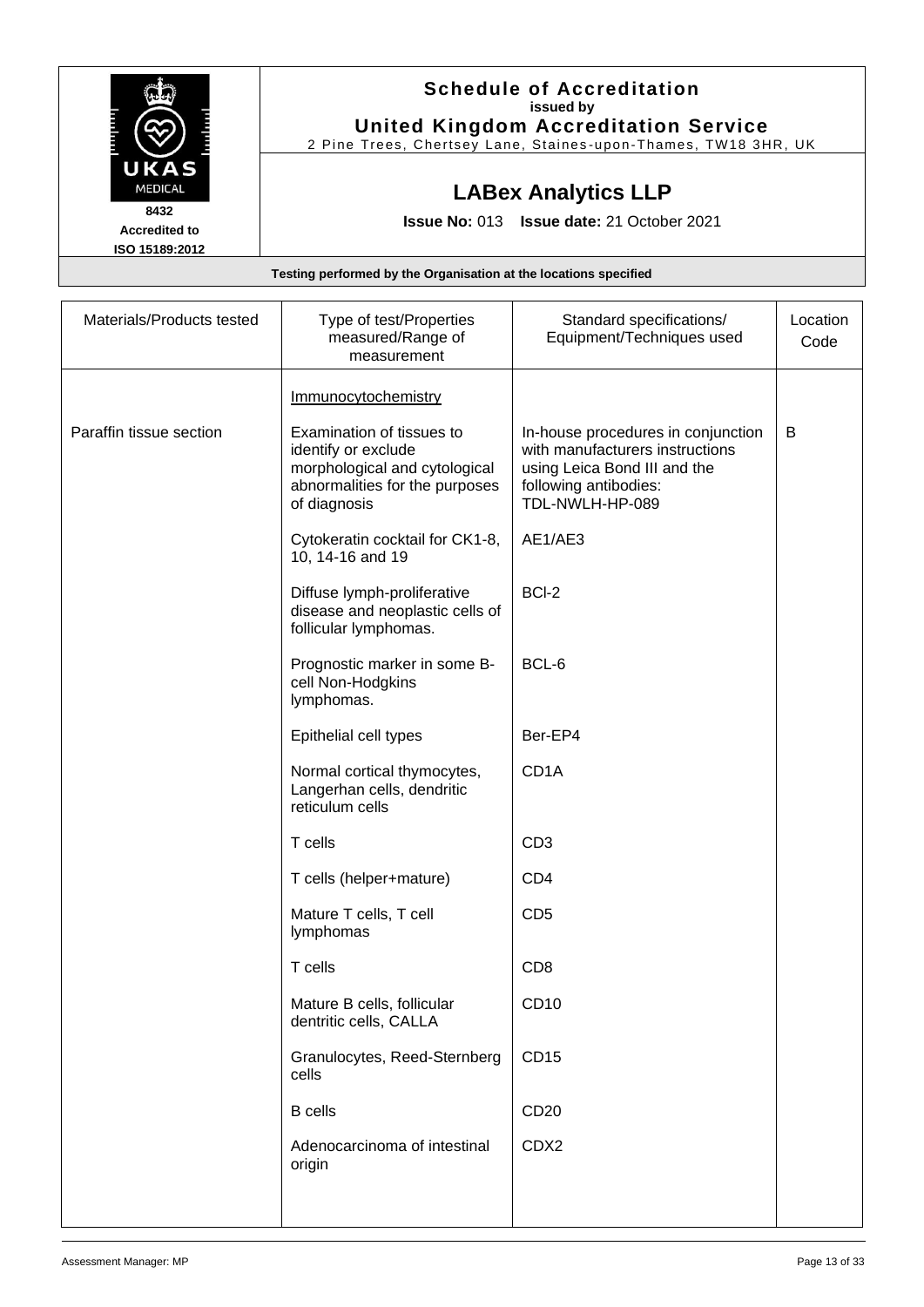|                      | <b>Schedule of Accreditation</b>                               |
|----------------------|----------------------------------------------------------------|
|                      | issued by                                                      |
|                      | <b>United Kingdom Accreditation Service</b>                    |
|                      | 2 Pine Trees, Chertsey Lane, Staines-upon-Thames, TW18 3HR, UK |
| UKAS                 |                                                                |
| <b>MEDICAL</b>       | <b>LABex Analytics LLP</b>                                     |
| 8432                 |                                                                |
| <b>Accredited to</b> | <b>Issue No: 013 Issue date: 21 October 2021</b>               |
| ISO 15189:2012       |                                                                |

| Materials/Products tested | Type of test/Properties<br>measured/Range of<br>measurement                                                                         | Standard specifications/<br>Equipment/Techniques used                                                                                             | Location<br>Code |
|---------------------------|-------------------------------------------------------------------------------------------------------------------------------------|---------------------------------------------------------------------------------------------------------------------------------------------------|------------------|
|                           | Immunocytochemistry                                                                                                                 |                                                                                                                                                   |                  |
| Paraffin tissue section   | Examination of tissues to<br>identify or exclude<br>morphological and cytological<br>abnormalities for the purposes<br>of diagnosis | In-house procedures in conjunction<br>with manufacturers instructions<br>using Leica Bond III and the<br>following antibodies:<br>TDL-NWLH-HP-089 | B                |
|                           | Cytokeratin cocktail for CK1-8,<br>10, 14-16 and 19                                                                                 | AE1/AE3                                                                                                                                           |                  |
|                           | Diffuse lymph-proliferative<br>disease and neoplastic cells of<br>follicular lymphomas.                                             | BCI-2                                                                                                                                             |                  |
|                           | Prognostic marker in some B-<br>cell Non-Hodgkins<br>lymphomas.                                                                     | BCL-6                                                                                                                                             |                  |
|                           | Epithelial cell types                                                                                                               | Ber-EP4                                                                                                                                           |                  |
|                           | Normal cortical thymocytes,<br>Langerhan cells, dendritic<br>reticulum cells                                                        | CD <sub>1</sub> A                                                                                                                                 |                  |
|                           | T cells                                                                                                                             | CD <sub>3</sub>                                                                                                                                   |                  |
|                           | T cells (helper+mature)                                                                                                             | CD <sub>4</sub>                                                                                                                                   |                  |
|                           | Mature T cells, T cell<br>lymphomas                                                                                                 | CD <sub>5</sub>                                                                                                                                   |                  |
|                           | T cells                                                                                                                             | CD <sub>8</sub>                                                                                                                                   |                  |
|                           | Mature B cells, follicular<br>dentritic cells, CALLA                                                                                | CD10                                                                                                                                              |                  |
|                           | Granulocytes, Reed-Sternberg<br>cells                                                                                               | <b>CD15</b>                                                                                                                                       |                  |
|                           | <b>B</b> cells                                                                                                                      | CD <sub>20</sub>                                                                                                                                  |                  |
|                           | Adenocarcinoma of intestinal<br>origin                                                                                              | CDX2                                                                                                                                              |                  |
|                           |                                                                                                                                     |                                                                                                                                                   |                  |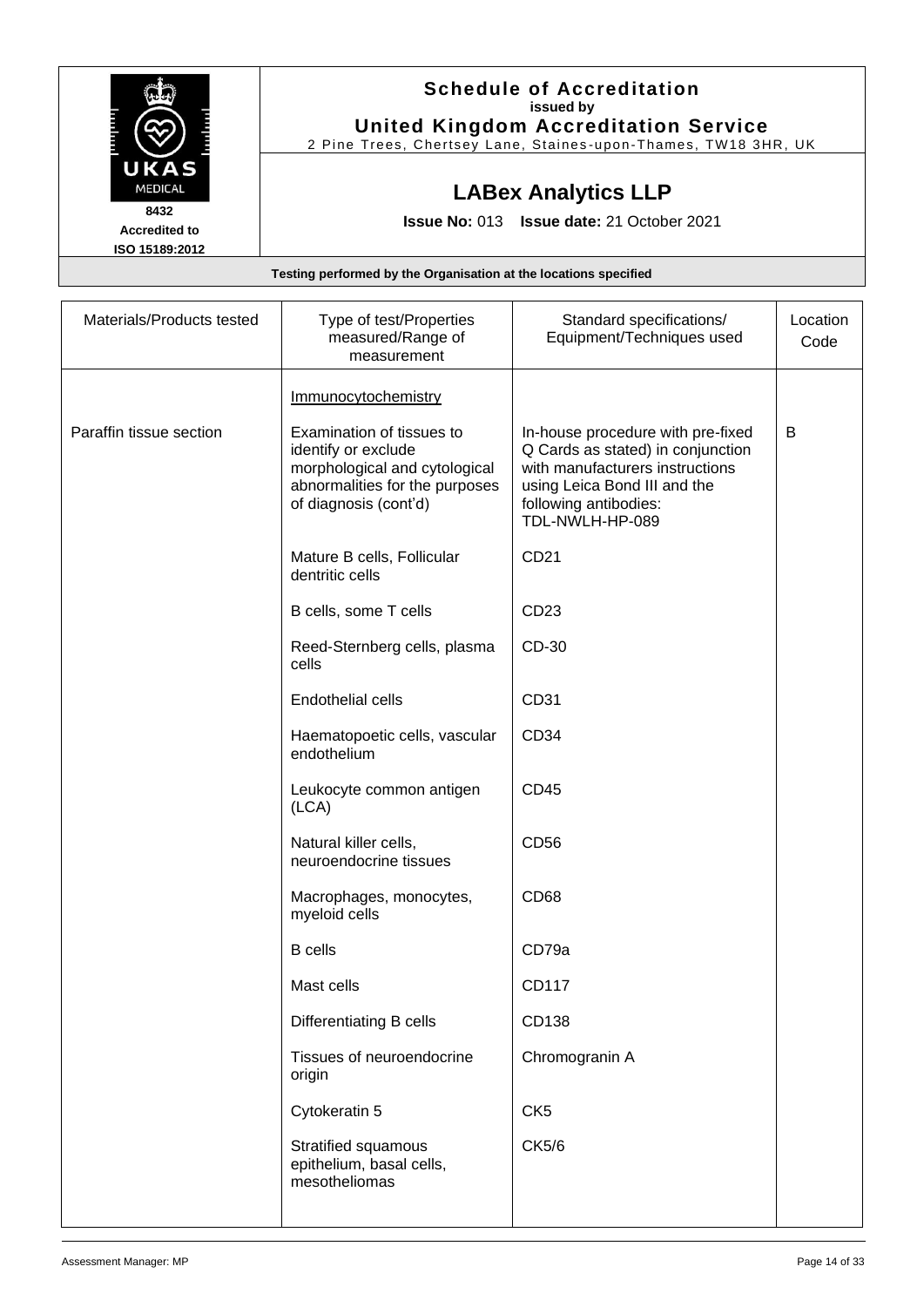|                                                                  | <b>Schedule of Accreditation</b><br>issued by<br><b>United Kingdom Accreditation Service</b><br>2 Pine Trees, Chertsey Lane, Staines-upon-Thames, TW18 3HR, UK |  |
|------------------------------------------------------------------|----------------------------------------------------------------------------------------------------------------------------------------------------------------|--|
| UKAS<br><b>MEDICAL</b>                                           | <b>LABex Analytics LLP</b>                                                                                                                                     |  |
| 8432<br><b>Accredited to</b><br>ISO 15189:2012                   | <b>Issue No: 013 Issue date: 21 October 2021</b>                                                                                                               |  |
| Testing performed by the Organisation at the locations specified |                                                                                                                                                                |  |

| Materials/Products tested | Type of test/Properties<br>measured/Range of<br>measurement                                                                                  | Standard specifications/<br>Equipment/Techniques used                                                                                                                                 | Location<br>Code |
|---------------------------|----------------------------------------------------------------------------------------------------------------------------------------------|---------------------------------------------------------------------------------------------------------------------------------------------------------------------------------------|------------------|
|                           | Immunocytochemistry                                                                                                                          |                                                                                                                                                                                       |                  |
| Paraffin tissue section   | Examination of tissues to<br>identify or exclude<br>morphological and cytological<br>abnormalities for the purposes<br>of diagnosis (cont'd) | In-house procedure with pre-fixed<br>Q Cards as stated) in conjunction<br>with manufacturers instructions<br>using Leica Bond III and the<br>following antibodies:<br>TDL-NWLH-HP-089 | B                |
|                           | Mature B cells, Follicular<br>dentritic cells                                                                                                | CD21                                                                                                                                                                                  |                  |
|                           | B cells, some T cells                                                                                                                        | CD23                                                                                                                                                                                  |                  |
|                           | Reed-Sternberg cells, plasma<br>cells                                                                                                        | CD-30                                                                                                                                                                                 |                  |
|                           | <b>Endothelial cells</b>                                                                                                                     | CD31                                                                                                                                                                                  |                  |
|                           | Haematopoetic cells, vascular<br>endothelium                                                                                                 | CD34                                                                                                                                                                                  |                  |
|                           | Leukocyte common antigen<br>(LCA)                                                                                                            | CD45                                                                                                                                                                                  |                  |
|                           | Natural killer cells,<br>neuroendocrine tissues                                                                                              | CD56                                                                                                                                                                                  |                  |
|                           | Macrophages, monocytes,<br>myeloid cells                                                                                                     | <b>CD68</b>                                                                                                                                                                           |                  |
|                           | <b>B</b> cells                                                                                                                               | CD79a                                                                                                                                                                                 |                  |
|                           | Mast cells                                                                                                                                   | CD117                                                                                                                                                                                 |                  |
|                           | Differentiating B cells                                                                                                                      | CD138                                                                                                                                                                                 |                  |
|                           | Tissues of neuroendocrine<br>origin                                                                                                          | Chromogranin A                                                                                                                                                                        |                  |
|                           | Cytokeratin 5                                                                                                                                | CK <sub>5</sub>                                                                                                                                                                       |                  |
|                           | Stratified squamous<br>epithelium, basal cells,<br>mesotheliomas                                                                             | CK5/6                                                                                                                                                                                 |                  |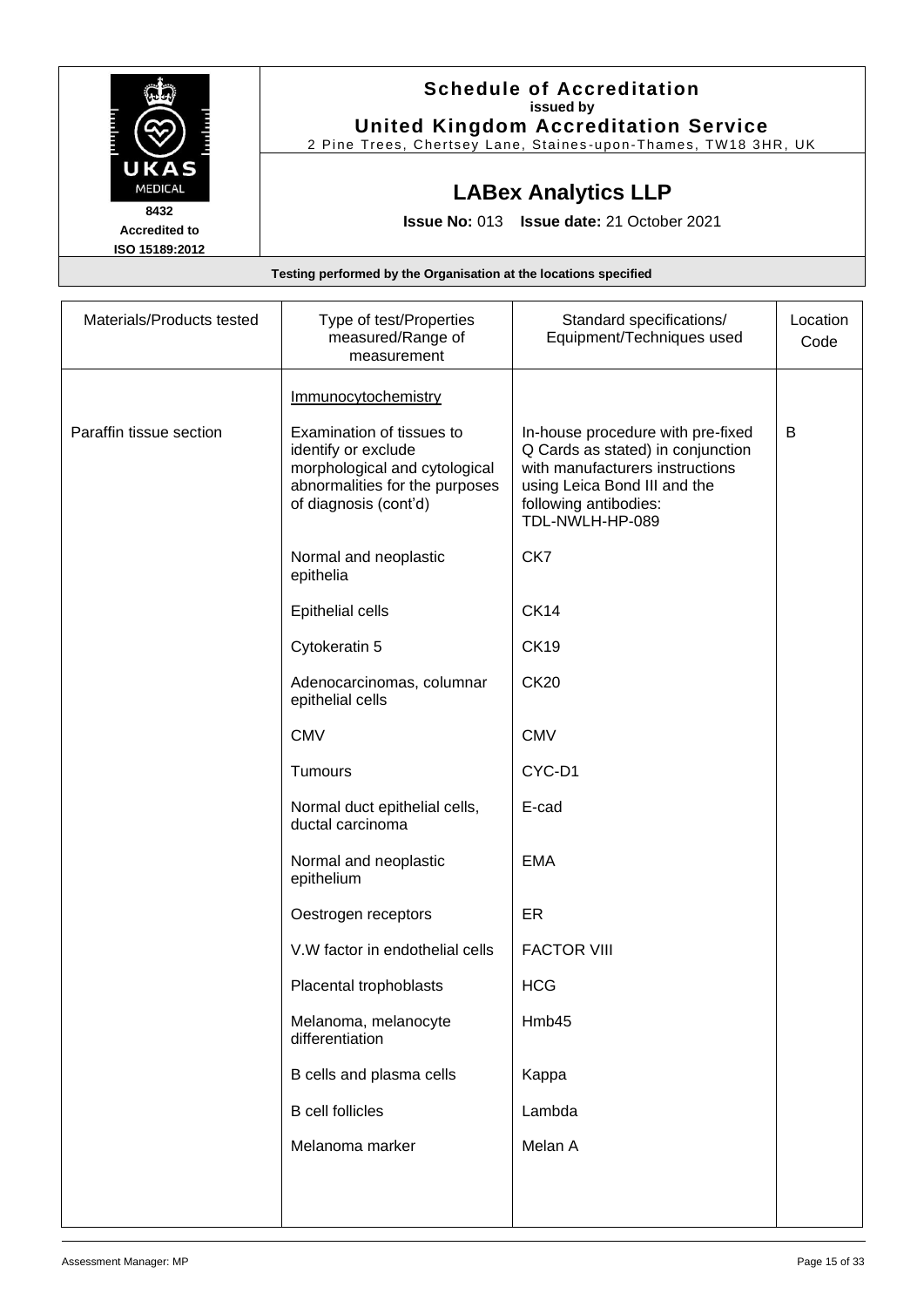|                        | <b>Schedule of Accreditation</b>                                 |
|------------------------|------------------------------------------------------------------|
|                        | issued by                                                        |
|                        | <b>United Kingdom Accreditation Service</b>                      |
|                        | 2 Pine Trees, Chertsey Lane, Staines-upon-Thames, TW18 3HR, UK   |
| UKAS<br><b>MEDICAL</b> | <b>LABex Analytics LLP</b>                                       |
|                        |                                                                  |
| 8432                   | <b>Issue No: 013 Issue date: 21 October 2021</b>                 |
| <b>Accredited to</b>   |                                                                  |
| ISO 15189:2012         |                                                                  |
|                        | Testing performed by the Organisation at the locations specified |

| Materials/Products tested | Type of test/Properties<br>measured/Range of<br>measurement                                                                                  | Standard specifications/<br>Equipment/Techniques used                                                                                                                                 | Location<br>Code |
|---------------------------|----------------------------------------------------------------------------------------------------------------------------------------------|---------------------------------------------------------------------------------------------------------------------------------------------------------------------------------------|------------------|
|                           | Immunocytochemistry                                                                                                                          |                                                                                                                                                                                       |                  |
| Paraffin tissue section   | Examination of tissues to<br>identify or exclude<br>morphological and cytological<br>abnormalities for the purposes<br>of diagnosis (cont'd) | In-house procedure with pre-fixed<br>Q Cards as stated) in conjunction<br>with manufacturers instructions<br>using Leica Bond III and the<br>following antibodies:<br>TDL-NWLH-HP-089 | В                |
|                           | Normal and neoplastic<br>epithelia                                                                                                           | CK7                                                                                                                                                                                   |                  |
|                           | <b>Epithelial cells</b>                                                                                                                      | <b>CK14</b>                                                                                                                                                                           |                  |
|                           | Cytokeratin 5                                                                                                                                | <b>CK19</b>                                                                                                                                                                           |                  |
|                           | Adenocarcinomas, columnar<br>epithelial cells                                                                                                | <b>CK20</b>                                                                                                                                                                           |                  |
|                           | <b>CMV</b>                                                                                                                                   | <b>CMV</b>                                                                                                                                                                            |                  |
|                           | Tumours                                                                                                                                      | CYC-D1                                                                                                                                                                                |                  |
|                           | Normal duct epithelial cells,<br>ductal carcinoma                                                                                            | E-cad                                                                                                                                                                                 |                  |
|                           | Normal and neoplastic<br>epithelium                                                                                                          | <b>EMA</b>                                                                                                                                                                            |                  |
|                           | Oestrogen receptors                                                                                                                          | ER                                                                                                                                                                                    |                  |
|                           | V.W factor in endothelial cells                                                                                                              | <b>FACTOR VIII</b>                                                                                                                                                                    |                  |
|                           | Placental trophoblasts                                                                                                                       | <b>HCG</b>                                                                                                                                                                            |                  |
|                           | Melanoma, melanocyte<br>differentiation                                                                                                      | Hmb45                                                                                                                                                                                 |                  |
|                           | B cells and plasma cells                                                                                                                     | Kappa                                                                                                                                                                                 |                  |
|                           | <b>B</b> cell follicles                                                                                                                      | Lambda                                                                                                                                                                                |                  |
|                           | Melanoma marker                                                                                                                              | Melan A                                                                                                                                                                               |                  |
|                           |                                                                                                                                              |                                                                                                                                                                                       |                  |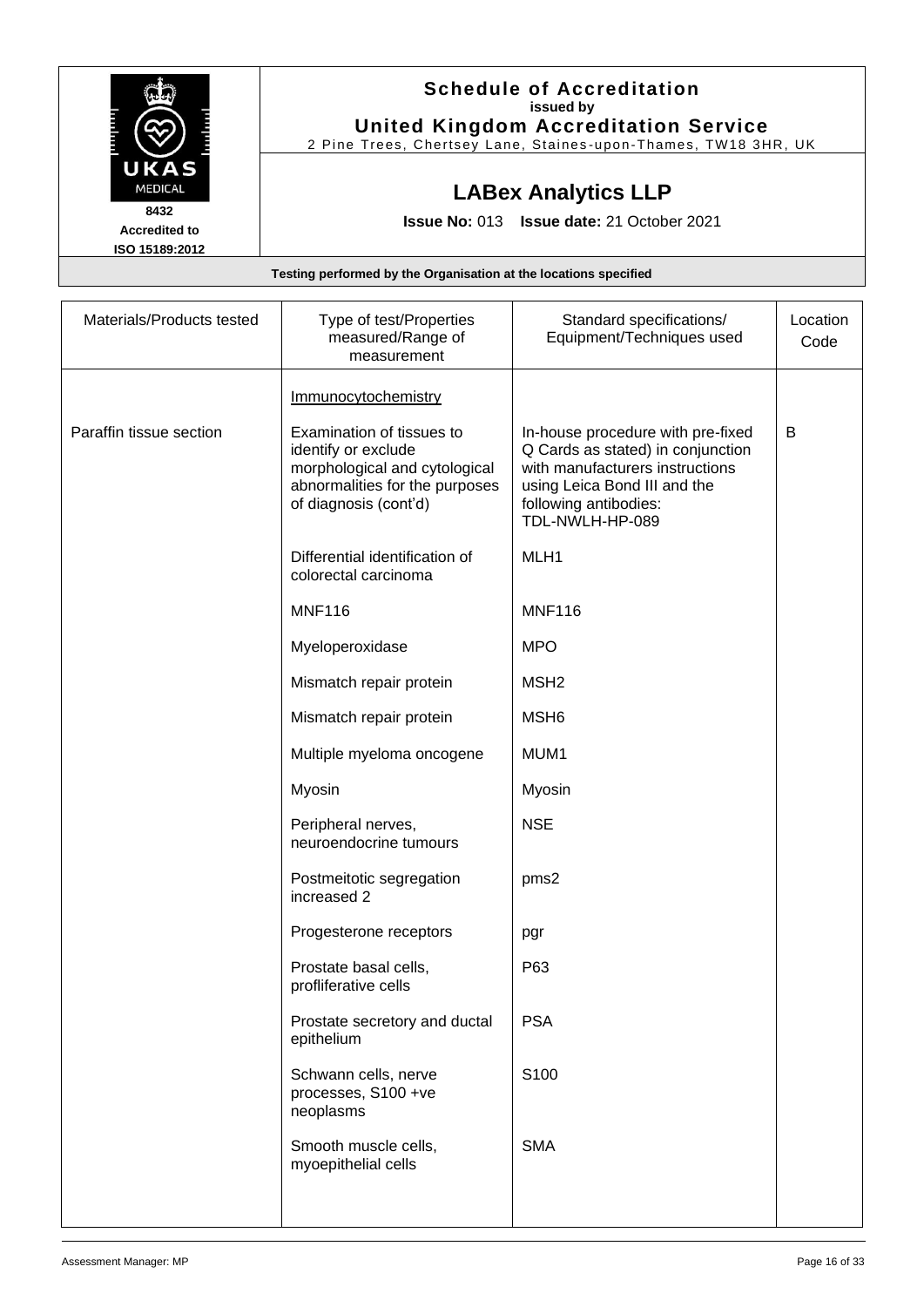|                                                                  | <b>Schedule of Accreditation</b><br>issued by<br><b>United Kingdom Accreditation Service</b><br>2 Pine Trees, Chertsey Lane, Staines-upon-Thames, TW18 3HR, UK |  |
|------------------------------------------------------------------|----------------------------------------------------------------------------------------------------------------------------------------------------------------|--|
| UKAS<br><b>MEDICAL</b>                                           | <b>LABex Analytics LLP</b>                                                                                                                                     |  |
| 8432<br><b>Accredited to</b><br>ISO 15189:2012                   | <b>Issue No: 013 Issue date: 21 October 2021</b>                                                                                                               |  |
| Testing performed by the Organisation at the locations specified |                                                                                                                                                                |  |

| Materials/Products tested | Type of test/Properties<br>measured/Range of<br>measurement                                                                                  | Standard specifications/<br>Equipment/Techniques used                                                                                                                                 | Location<br>Code |
|---------------------------|----------------------------------------------------------------------------------------------------------------------------------------------|---------------------------------------------------------------------------------------------------------------------------------------------------------------------------------------|------------------|
|                           | <b>Immunocytochemistry</b>                                                                                                                   |                                                                                                                                                                                       |                  |
| Paraffin tissue section   | Examination of tissues to<br>identify or exclude<br>morphological and cytological<br>abnormalities for the purposes<br>of diagnosis (cont'd) | In-house procedure with pre-fixed<br>Q Cards as stated) in conjunction<br>with manufacturers instructions<br>using Leica Bond III and the<br>following antibodies:<br>TDL-NWLH-HP-089 | B                |
|                           | Differential identification of<br>colorectal carcinoma                                                                                       | MLH1                                                                                                                                                                                  |                  |
|                           | <b>MNF116</b>                                                                                                                                | <b>MNF116</b>                                                                                                                                                                         |                  |
|                           | Myeloperoxidase                                                                                                                              | <b>MPO</b>                                                                                                                                                                            |                  |
|                           | Mismatch repair protein                                                                                                                      | MSH <sub>2</sub>                                                                                                                                                                      |                  |
|                           | Mismatch repair protein                                                                                                                      | MSH <sub>6</sub>                                                                                                                                                                      |                  |
|                           | Multiple myeloma oncogene                                                                                                                    | MUM1                                                                                                                                                                                  |                  |
|                           | Myosin                                                                                                                                       | Myosin                                                                                                                                                                                |                  |
|                           | Peripheral nerves,<br>neuroendocrine tumours                                                                                                 | <b>NSE</b>                                                                                                                                                                            |                  |
|                           | Postmeitotic segregation<br>increased 2                                                                                                      | pms2                                                                                                                                                                                  |                  |
|                           | Progesterone receptors                                                                                                                       | pgr                                                                                                                                                                                   |                  |
|                           | Prostate basal cells,<br>profliferative cells                                                                                                | P63                                                                                                                                                                                   |                  |
|                           | Prostate secretory and ductal<br>epithelium                                                                                                  | <b>PSA</b>                                                                                                                                                                            |                  |
|                           | Schwann cells, nerve<br>processes, S100 +ve<br>neoplasms                                                                                     | S100                                                                                                                                                                                  |                  |
|                           | Smooth muscle cells,<br>myoepithelial cells                                                                                                  | <b>SMA</b>                                                                                                                                                                            |                  |
|                           |                                                                                                                                              |                                                                                                                                                                                       |                  |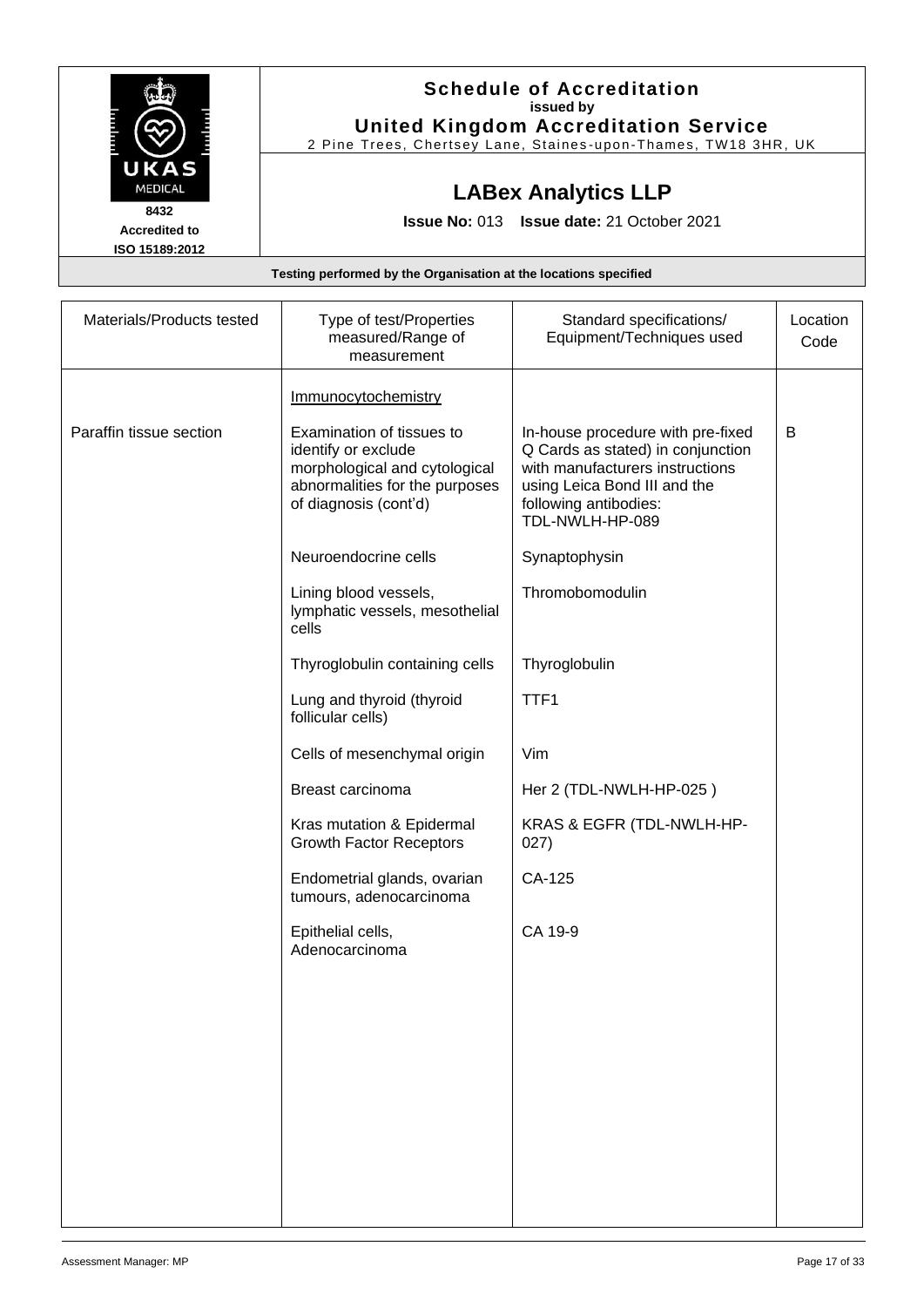|                                                                  | <b>Schedule of Accreditation</b><br>issued by<br><b>United Kingdom Accreditation Service</b><br>2 Pine Trees, Chertsey Lane, Staines-upon-Thames, TW18 3HR, UK |  |
|------------------------------------------------------------------|----------------------------------------------------------------------------------------------------------------------------------------------------------------|--|
| UKAS<br><b>MEDICAL</b>                                           | <b>LABex Analytics LLP</b>                                                                                                                                     |  |
| 8432<br><b>Accredited to</b><br>ISO 15189:2012                   | Issue No: 013 Issue date: 21 October 2021                                                                                                                      |  |
| Testing performed by the Organisation at the locations specified |                                                                                                                                                                |  |

| Materials/Products tested | Type of test/Properties<br>measured/Range of<br>measurement                                                                                  | Standard specifications/<br>Equipment/Techniques used                                                                                                                                 | Location<br>Code |
|---------------------------|----------------------------------------------------------------------------------------------------------------------------------------------|---------------------------------------------------------------------------------------------------------------------------------------------------------------------------------------|------------------|
|                           | <b>Immunocytochemistry</b>                                                                                                                   |                                                                                                                                                                                       |                  |
| Paraffin tissue section   | Examination of tissues to<br>identify or exclude<br>morphological and cytological<br>abnormalities for the purposes<br>of diagnosis (cont'd) | In-house procedure with pre-fixed<br>Q Cards as stated) in conjunction<br>with manufacturers instructions<br>using Leica Bond III and the<br>following antibodies:<br>TDL-NWLH-HP-089 | В                |
|                           | Neuroendocrine cells                                                                                                                         | Synaptophysin                                                                                                                                                                         |                  |
|                           | Lining blood vessels,<br>lymphatic vessels, mesothelial<br>cells                                                                             | Thromobomodulin                                                                                                                                                                       |                  |
|                           | Thyroglobulin containing cells                                                                                                               | Thyroglobulin                                                                                                                                                                         |                  |
|                           | Lung and thyroid (thyroid<br>follicular cells)                                                                                               | TTF1                                                                                                                                                                                  |                  |
|                           | Cells of mesenchymal origin                                                                                                                  | Vim                                                                                                                                                                                   |                  |
|                           | Breast carcinoma                                                                                                                             | Her 2 (TDL-NWLH-HP-025)                                                                                                                                                               |                  |
|                           | Kras mutation & Epidermal<br><b>Growth Factor Receptors</b>                                                                                  | KRAS & EGFR (TDL-NWLH-HP-<br>027)                                                                                                                                                     |                  |
|                           | Endometrial glands, ovarian<br>tumours, adenocarcinoma                                                                                       | CA-125                                                                                                                                                                                |                  |
|                           | Epithelial cells,<br>Adenocarcinoma                                                                                                          | CA 19-9                                                                                                                                                                               |                  |
|                           |                                                                                                                                              |                                                                                                                                                                                       |                  |
|                           |                                                                                                                                              |                                                                                                                                                                                       |                  |
|                           |                                                                                                                                              |                                                                                                                                                                                       |                  |
|                           |                                                                                                                                              |                                                                                                                                                                                       |                  |
|                           |                                                                                                                                              |                                                                                                                                                                                       |                  |
|                           |                                                                                                                                              |                                                                                                                                                                                       |                  |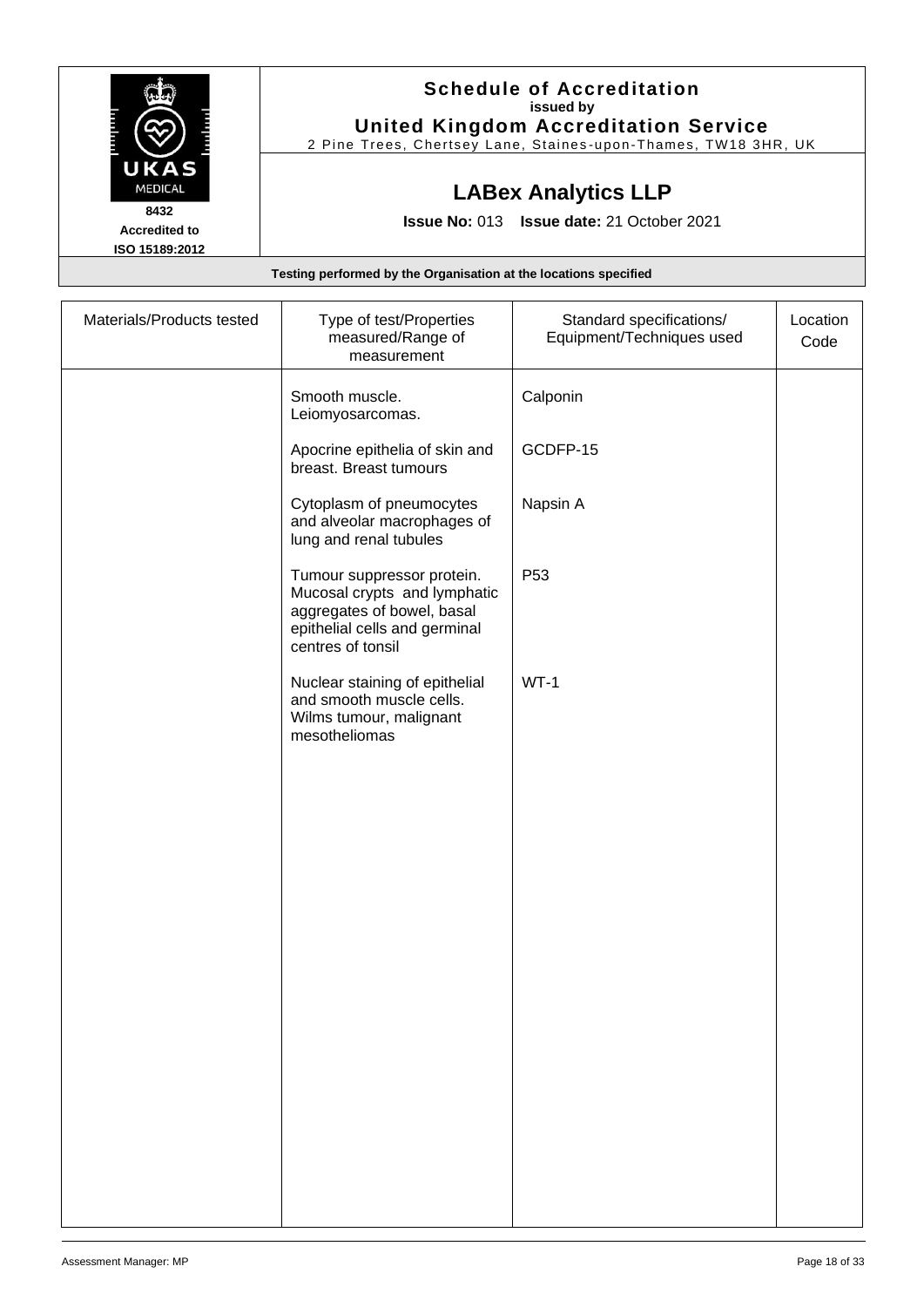|                        | <b>Schedule of Accreditation</b>                                 |
|------------------------|------------------------------------------------------------------|
|                        | issued by                                                        |
|                        | <b>United Kingdom Accreditation Service</b>                      |
|                        | 2 Pine Trees, Chertsey Lane, Staines-upon-Thames, TW18 3HR, UK   |
| UKAS<br><b>MEDICAL</b> | <b>LABex Analytics LLP</b>                                       |
| 8432                   |                                                                  |
| <b>Accredited to</b>   | <b>Issue No: 013 Issue date: 21 October 2021</b>                 |
| ISO 15189:2012         |                                                                  |
|                        | Testing performed by the Organisation at the locations specified |

| Materials/Products tested | Type of test/Properties<br>measured/Range of<br>measurement                                                                                    | Standard specifications/<br>Equipment/Techniques used | Location<br>Code |
|---------------------------|------------------------------------------------------------------------------------------------------------------------------------------------|-------------------------------------------------------|------------------|
|                           | Smooth muscle.<br>Leiomyosarcomas.                                                                                                             | Calponin                                              |                  |
|                           | Apocrine epithelia of skin and<br>breast. Breast tumours                                                                                       | GCDFP-15                                              |                  |
|                           | Cytoplasm of pneumocytes<br>and alveolar macrophages of<br>lung and renal tubules                                                              | Napsin A                                              |                  |
|                           | Tumour suppressor protein.<br>Mucosal crypts and lymphatic<br>aggregates of bowel, basal<br>epithelial cells and germinal<br>centres of tonsil | P <sub>53</sub>                                       |                  |
|                           | Nuclear staining of epithelial<br>and smooth muscle cells.<br>Wilms tumour, malignant<br>mesotheliomas                                         | $WT-1$                                                |                  |
|                           |                                                                                                                                                |                                                       |                  |
|                           |                                                                                                                                                |                                                       |                  |
|                           |                                                                                                                                                |                                                       |                  |
|                           |                                                                                                                                                |                                                       |                  |
|                           |                                                                                                                                                |                                                       |                  |
|                           |                                                                                                                                                |                                                       |                  |
|                           |                                                                                                                                                |                                                       |                  |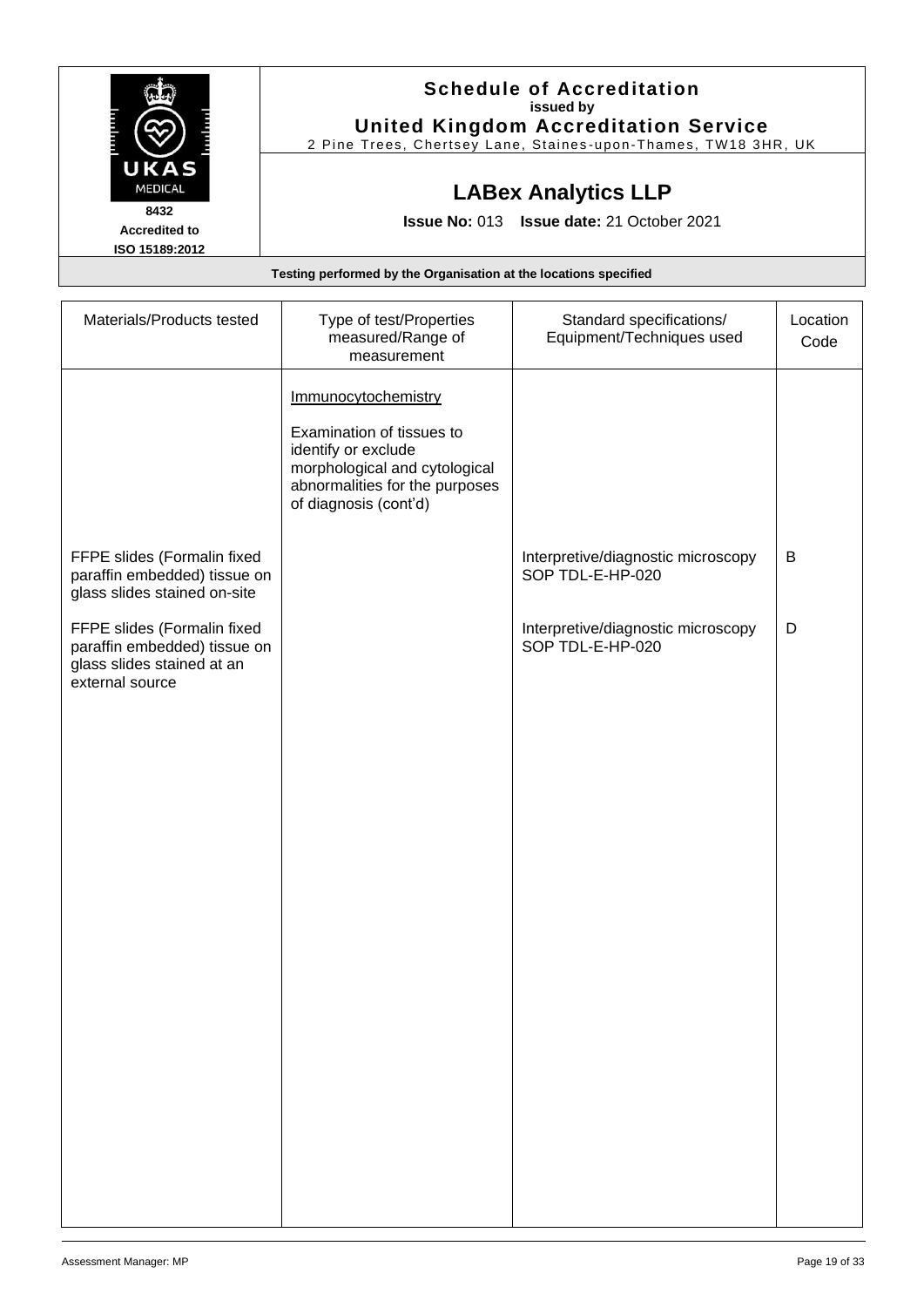|                                        | <b>Schedule of Accreditation</b>                                 |
|----------------------------------------|------------------------------------------------------------------|
|                                        | issued by                                                        |
|                                        | <b>United Kingdom Accreditation Service</b>                      |
|                                        | 2 Pine Trees, Chertsey Lane, Staines-upon-Thames, TW18 3HR, UK   |
| UKAS<br><b>MEDICAL</b>                 | <b>LABex Analytics LLP</b>                                       |
| 8432                                   |                                                                  |
| <b>Accredited to</b><br>ISO 15189:2012 | <b>Issue No: 013 Issue date: 21 October 2021</b>                 |
|                                        | Testing performed by the Organisation at the locations specified |

| Materials/Products tested                                                                                    | Type of test/Properties<br>measured/Range of<br>measurement                                                                                                         | Standard specifications/<br>Equipment/Techniques used  | Location<br>Code |
|--------------------------------------------------------------------------------------------------------------|---------------------------------------------------------------------------------------------------------------------------------------------------------------------|--------------------------------------------------------|------------------|
|                                                                                                              | Immunocytochemistry<br>Examination of tissues to<br>identify or exclude<br>morphological and cytological<br>abnormalities for the purposes<br>of diagnosis (cont'd) |                                                        |                  |
| FFPE slides (Formalin fixed<br>paraffin embedded) tissue on<br>glass slides stained on-site                  |                                                                                                                                                                     | Interpretive/diagnostic microscopy<br>SOP TDL-E-HP-020 | B                |
| FFPE slides (Formalin fixed<br>paraffin embedded) tissue on<br>glass slides stained at an<br>external source |                                                                                                                                                                     | Interpretive/diagnostic microscopy<br>SOP TDL-E-HP-020 | D                |
|                                                                                                              |                                                                                                                                                                     |                                                        |                  |
|                                                                                                              |                                                                                                                                                                     |                                                        |                  |
|                                                                                                              |                                                                                                                                                                     |                                                        |                  |
|                                                                                                              |                                                                                                                                                                     |                                                        |                  |
|                                                                                                              |                                                                                                                                                                     |                                                        |                  |
|                                                                                                              |                                                                                                                                                                     |                                                        |                  |
|                                                                                                              |                                                                                                                                                                     |                                                        |                  |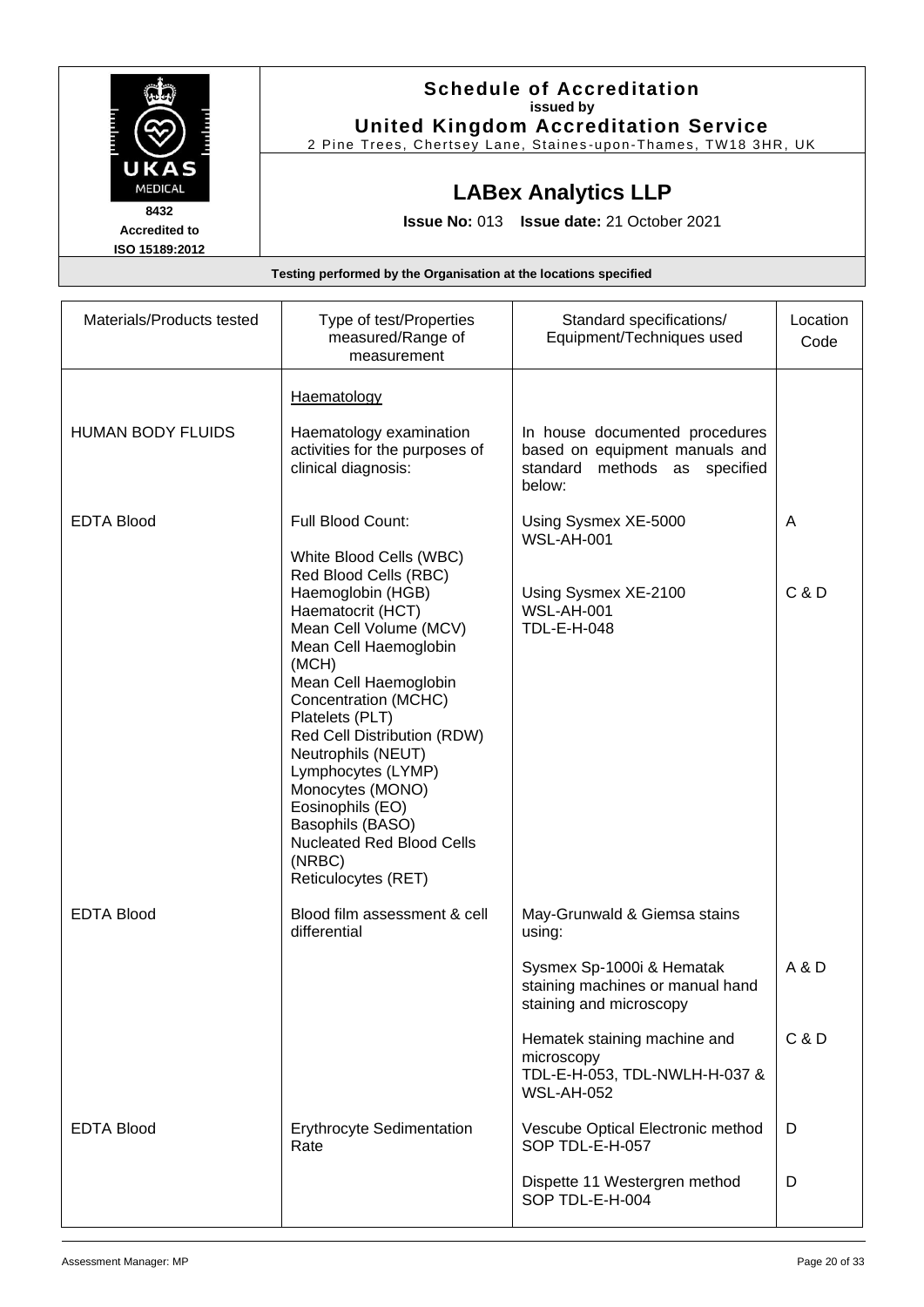|                        | <b>Schedule of Accreditation</b>                               |
|------------------------|----------------------------------------------------------------|
|                        | issued by                                                      |
|                        | <b>United Kingdom Accreditation Service</b>                    |
|                        | 2 Pine Trees, Chertsey Lane, Staines-upon-Thames, TW18 3HR, UK |
| UKAS<br><b>MEDICAL</b> | <b>LABex Analytics LLP</b>                                     |
| 8432                   |                                                                |
| <b>Accredited to</b>   | <b>Issue No: 013 Issue date: 21 October 2021</b>               |
| ISO 15189:2012         |                                                                |

| Materials/Products tested | Type of test/Properties<br>measured/Range of<br>measurement                                                                                                                                                                                                                                                                                                                                                                            | Standard specifications/<br>Equipment/Techniques used                                                          | Location<br>Code |
|---------------------------|----------------------------------------------------------------------------------------------------------------------------------------------------------------------------------------------------------------------------------------------------------------------------------------------------------------------------------------------------------------------------------------------------------------------------------------|----------------------------------------------------------------------------------------------------------------|------------------|
|                           | Haematology                                                                                                                                                                                                                                                                                                                                                                                                                            |                                                                                                                |                  |
| <b>HUMAN BODY FLUIDS</b>  | Haematology examination<br>activities for the purposes of<br>clinical diagnosis:                                                                                                                                                                                                                                                                                                                                                       | In house documented procedures<br>based on equipment manuals and<br>standard<br>methods as specified<br>below: |                  |
| <b>EDTA Blood</b>         | Full Blood Count:                                                                                                                                                                                                                                                                                                                                                                                                                      | Using Sysmex XE-5000<br><b>WSL-AH-001</b>                                                                      | A                |
|                           | White Blood Cells (WBC)<br>Red Blood Cells (RBC)<br>Haemoglobin (HGB)<br>Haematocrit (HCT)<br>Mean Cell Volume (MCV)<br>Mean Cell Haemoglobin<br>(MCH)<br>Mean Cell Haemoglobin<br>Concentration (MCHC)<br>Platelets (PLT)<br>Red Cell Distribution (RDW)<br>Neutrophils (NEUT)<br>Lymphocytes (LYMP)<br>Monocytes (MONO)<br>Eosinophils (EO)<br>Basophils (BASO)<br><b>Nucleated Red Blood Cells</b><br>(NRBC)<br>Reticulocytes (RET) | Using Sysmex XE-2100<br><b>WSL-AH-001</b><br><b>TDL-E-H-048</b>                                                | C & D            |
| <b>EDTA Blood</b>         | Blood film assessment & cell<br>differential                                                                                                                                                                                                                                                                                                                                                                                           | May-Grunwald & Giemsa stains<br>using:                                                                         |                  |
|                           |                                                                                                                                                                                                                                                                                                                                                                                                                                        | Sysmex Sp-1000i & Hematak<br>staining machines or manual hand<br>staining and microscopy                       | A & D            |
|                           |                                                                                                                                                                                                                                                                                                                                                                                                                                        | Hematek staining machine and<br>microscopy<br>TDL-E-H-053, TDL-NWLH-H-037 &<br><b>WSL-AH-052</b>               | C & D            |
| <b>EDTA Blood</b>         | <b>Erythrocyte Sedimentation</b><br>Rate                                                                                                                                                                                                                                                                                                                                                                                               | Vescube Optical Electronic method<br>SOP TDL-E-H-057                                                           | D                |
|                           |                                                                                                                                                                                                                                                                                                                                                                                                                                        | Dispette 11 Westergren method<br>SOP TDL-E-H-004                                                               | D                |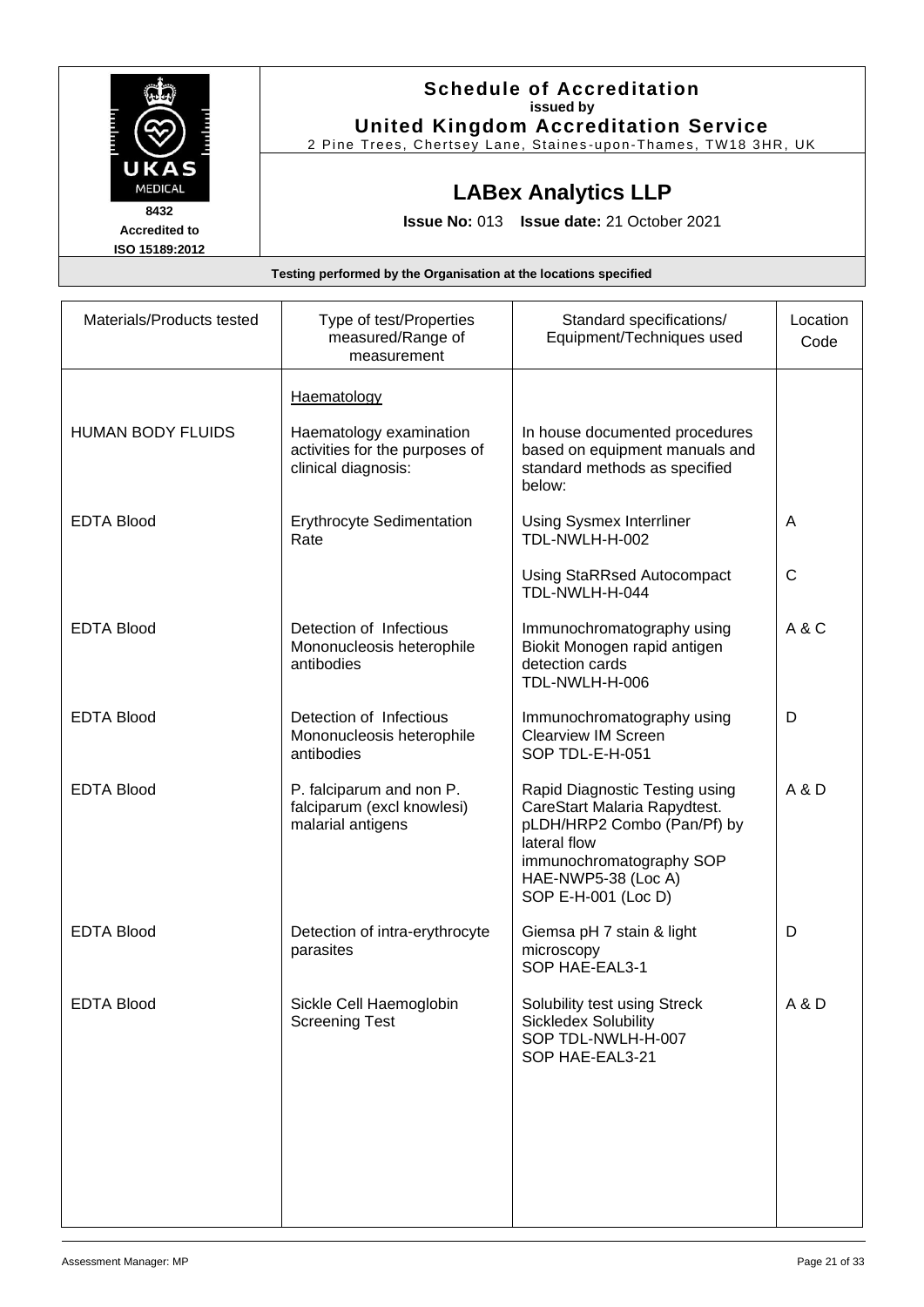|                      | <b>Schedule of Accreditation</b>                               |
|----------------------|----------------------------------------------------------------|
|                      | issued by                                                      |
|                      | <b>United Kingdom Accreditation Service</b>                    |
|                      | 2 Pine Trees, Chertsey Lane, Staines-upon-Thames, TW18 3HR, UK |
| UKAS                 |                                                                |
| <b>MEDICAL</b>       | <b>LABex Analytics LLP</b>                                     |
| 8432                 |                                                                |
| <b>Accredited to</b> | <b>Issue No: 013 Issue date: 21 October 2021</b>               |
| ISO 15189:2012       |                                                                |

| Materials/Products tested | Type of test/Properties<br>measured/Range of<br>measurement                      | Standard specifications/<br>Equipment/Techniques used                                                                                                                                   | Location<br>Code |
|---------------------------|----------------------------------------------------------------------------------|-----------------------------------------------------------------------------------------------------------------------------------------------------------------------------------------|------------------|
|                           | <b>Haematology</b>                                                               |                                                                                                                                                                                         |                  |
| <b>HUMAN BODY FLUIDS</b>  | Haematology examination<br>activities for the purposes of<br>clinical diagnosis: | In house documented procedures<br>based on equipment manuals and<br>standard methods as specified<br>below:                                                                             |                  |
| <b>EDTA Blood</b>         | Erythrocyte Sedimentation<br>Rate                                                | <b>Using Sysmex Interrliner</b><br>TDL-NWLH-H-002                                                                                                                                       | A                |
|                           |                                                                                  | <b>Using StaRRsed Autocompact</b><br>TDL-NWLH-H-044                                                                                                                                     | C                |
| <b>EDTA Blood</b>         | Detection of Infectious<br>Mononucleosis heterophile<br>antibodies               | Immunochromatography using<br>Biokit Monogen rapid antigen<br>detection cards<br>TDL-NWLH-H-006                                                                                         | A & C            |
| <b>EDTA Blood</b>         | Detection of Infectious<br>Mononucleosis heterophile<br>antibodies               | Immunochromatography using<br><b>Clearview IM Screen</b><br>SOP TDL-E-H-051                                                                                                             | D                |
| <b>EDTA Blood</b>         | P. falciparum and non P.<br>falciparum (excl knowlesi)<br>malarial antigens      | Rapid Diagnostic Testing using<br>CareStart Malaria Rapydtest.<br>pLDH/HRP2 Combo (Pan/Pf) by<br>lateral flow<br>immunochromatography SOP<br>HAE-NWP5-38 (Loc A)<br>SOP E-H-001 (Loc D) | A & D            |
| <b>EDTA Blood</b>         | Detection of intra-erythrocyte<br>parasites                                      | Giemsa pH 7 stain & light<br>microscopy<br>SOP HAE-EAL3-1                                                                                                                               | D                |
| <b>EDTA Blood</b>         | Sickle Cell Haemoglobin<br><b>Screening Test</b>                                 | Solubility test using Streck<br><b>Sickledex Solubility</b><br>SOP TDL-NWLH-H-007<br>SOP HAE-EAL3-21                                                                                    | A & D            |
|                           |                                                                                  |                                                                                                                                                                                         |                  |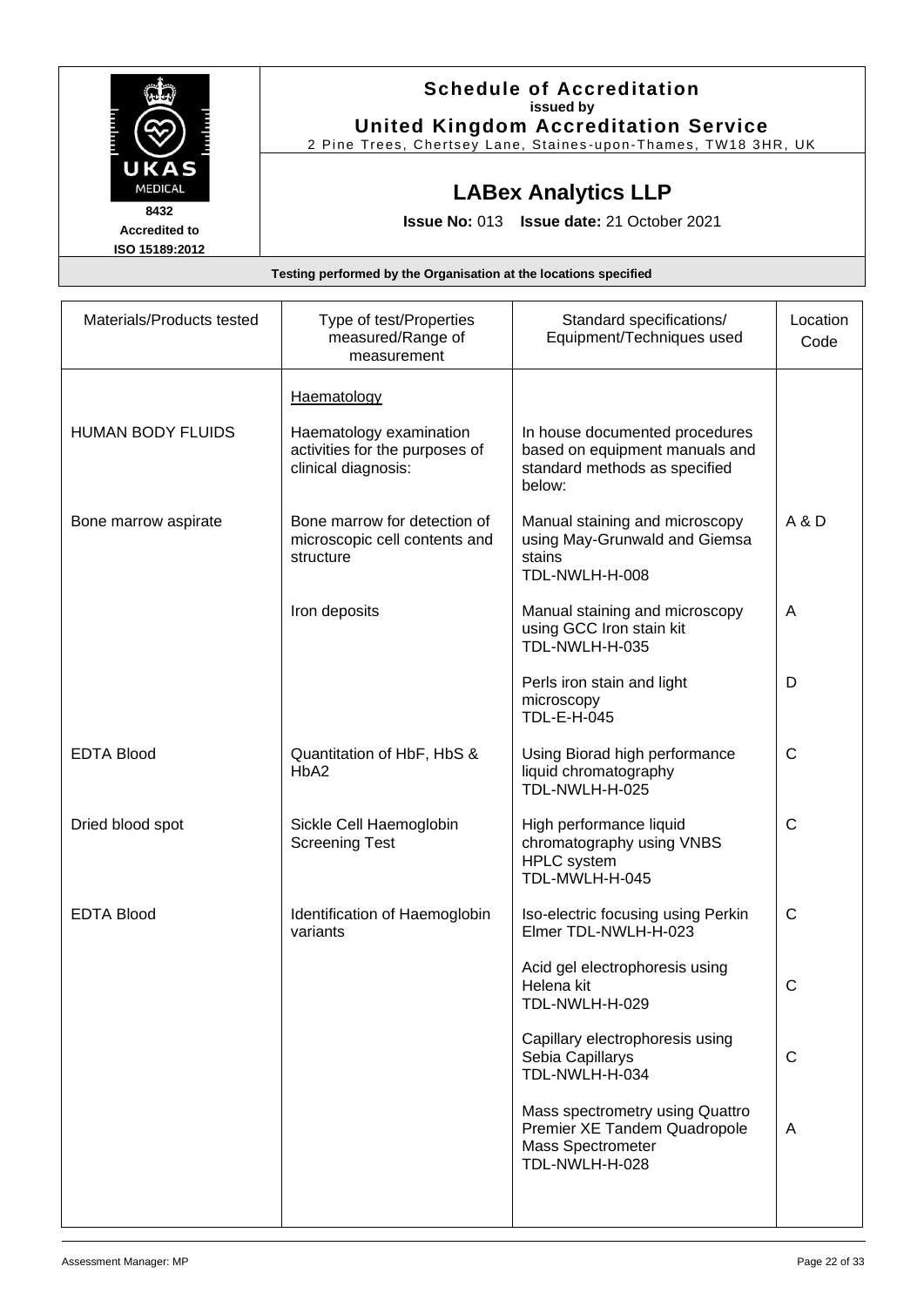|                      | <b>Schedule of Accreditation</b>                               |
|----------------------|----------------------------------------------------------------|
|                      | issued by                                                      |
|                      | <b>United Kingdom Accreditation Service</b>                    |
|                      | 2 Pine Trees, Chertsey Lane, Staines-upon-Thames, TW18 3HR, UK |
| UKAS                 |                                                                |
| <b>MEDICAL</b>       |                                                                |
|                      | <b>LABex Analytics LLP</b>                                     |
| 8432                 | Issue No: 013 Issue date: 21 October 2021                      |
| <b>Accredited to</b> |                                                                |
| ISO 15189:2012       |                                                                |

| Materials/Products tested | Type of test/Properties<br>measured/Range of<br>measurement                      | Standard specifications/<br>Equipment/Techniques used                                                         | Location<br>Code |
|---------------------------|----------------------------------------------------------------------------------|---------------------------------------------------------------------------------------------------------------|------------------|
|                           | <b>Haematology</b>                                                               |                                                                                                               |                  |
| <b>HUMAN BODY FLUIDS</b>  | Haematology examination<br>activities for the purposes of<br>clinical diagnosis: | In house documented procedures<br>based on equipment manuals and<br>standard methods as specified<br>below:   |                  |
| Bone marrow aspirate      | Bone marrow for detection of<br>microscopic cell contents and<br>structure       | Manual staining and microscopy<br>using May-Grunwald and Giemsa<br>stains<br>TDL-NWLH-H-008                   | A & D            |
|                           | Iron deposits                                                                    | Manual staining and microscopy<br>using GCC Iron stain kit<br>TDL-NWLH-H-035                                  | A                |
|                           |                                                                                  | Perls iron stain and light<br>microscopy<br><b>TDL-E-H-045</b>                                                | D                |
| <b>EDTA Blood</b>         | Quantitation of HbF, HbS &<br>HbA2                                               | Using Biorad high performance<br>liquid chromatography<br>TDL-NWLH-H-025                                      | $\mathsf C$      |
| Dried blood spot          | Sickle Cell Haemoglobin<br><b>Screening Test</b>                                 | High performance liquid<br>chromatography using VNBS<br><b>HPLC</b> system<br>TDL-MWLH-H-045                  | $\mathsf C$      |
| <b>EDTA Blood</b>         | Identification of Haemoglobin<br>variants                                        | Iso-electric focusing using Perkin<br>Elmer TDL-NWLH-H-023                                                    | $\mathsf{C}$     |
|                           |                                                                                  | Acid gel electrophoresis using<br>Helena kit<br>TDL-NWLH-H-029                                                | C                |
|                           |                                                                                  | Capillary electrophoresis using<br>Sebia Capillarys<br>TDL-NWLH-H-034                                         | $\mathsf{C}$     |
|                           |                                                                                  | Mass spectrometry using Quattro<br>Premier XE Tandem Quadropole<br><b>Mass Spectrometer</b><br>TDL-NWLH-H-028 | A                |
|                           |                                                                                  |                                                                                                               |                  |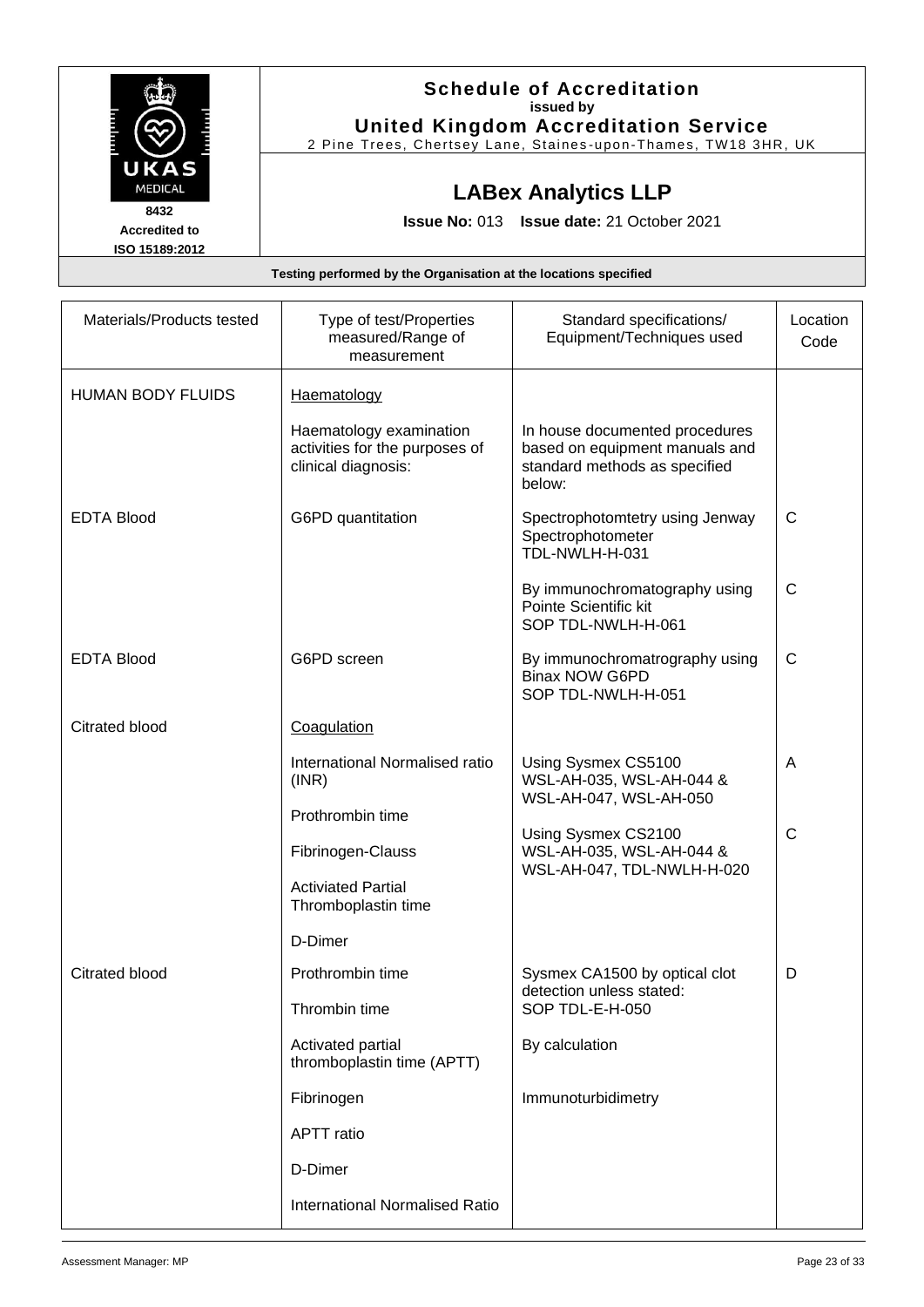| issued by<br><b>United Kingdom Accreditation Service</b>         |
|------------------------------------------------------------------|
|                                                                  |
|                                                                  |
| 2 Pine Trees, Chertsey Lane, Staines-upon-Thames, TW18 3HR, UK   |
| <b>LABex Analytics LLP</b>                                       |
|                                                                  |
| <b>Issue No: 013 Issue date: 21 October 2021</b>                 |
|                                                                  |
| Testing performed by the Organisation at the locations specified |

| Materials/Products tested | Type of test/Properties<br>measured/Range of<br>measurement                      | Standard specifications/<br>Equipment/Techniques used                                                       | Location<br>Code |
|---------------------------|----------------------------------------------------------------------------------|-------------------------------------------------------------------------------------------------------------|------------------|
| <b>HUMAN BODY FLUIDS</b>  | <b>Haematology</b>                                                               |                                                                                                             |                  |
|                           | Haematology examination<br>activities for the purposes of<br>clinical diagnosis: | In house documented procedures<br>based on equipment manuals and<br>standard methods as specified<br>helow: |                  |
| <b>EDTA Blood</b>         | G6PD quantitation                                                                | Spectrophotomtetry using Jenway<br>Spectrophotometer<br>TDL-NWLH-H-031                                      | C                |
|                           |                                                                                  | By immunochromatography using<br>Pointe Scientific kit<br>SOP TDL-NWLH-H-061                                | $\mathsf{C}$     |
| <b>EDTA Blood</b>         | G6PD screen                                                                      | By immunochromatrography using<br><b>Binax NOW G6PD</b><br>SOP TDL-NWLH-H-051                               | $\mathsf{C}$     |
| <b>Citrated blood</b>     | Coagulation                                                                      |                                                                                                             |                  |
|                           | International Normalised ratio<br>(INR)                                          | Using Sysmex CS5100<br>WSL-AH-035, WSL-AH-044 &<br>WSL-AH-047, WSL-AH-050                                   | A                |
|                           | Prothrombin time                                                                 |                                                                                                             |                  |
|                           | Fibrinogen-Clauss                                                                | Using Sysmex CS2100<br>WSL-AH-035, WSL-AH-044 &<br>WSL-AH-047, TDL-NWLH-H-020                               | $\mathsf{C}$     |
|                           | <b>Activiated Partial</b><br>Thromboplastin time                                 |                                                                                                             |                  |
|                           | D-Dimer                                                                          |                                                                                                             |                  |
| <b>Citrated blood</b>     | Prothrombin time                                                                 | Sysmex CA1500 by optical clot                                                                               | D                |
|                           | Thrombin time                                                                    | detection unless stated:<br>SOP TDL-E-H-050                                                                 |                  |
|                           | Activated partial<br>thromboplastin time (APTT)                                  | By calculation                                                                                              |                  |
|                           | Fibrinogen                                                                       | Immunoturbidimetry                                                                                          |                  |
|                           | <b>APTT</b> ratio                                                                |                                                                                                             |                  |
|                           | D-Dimer                                                                          |                                                                                                             |                  |
|                           | <b>International Normalised Ratio</b>                                            |                                                                                                             |                  |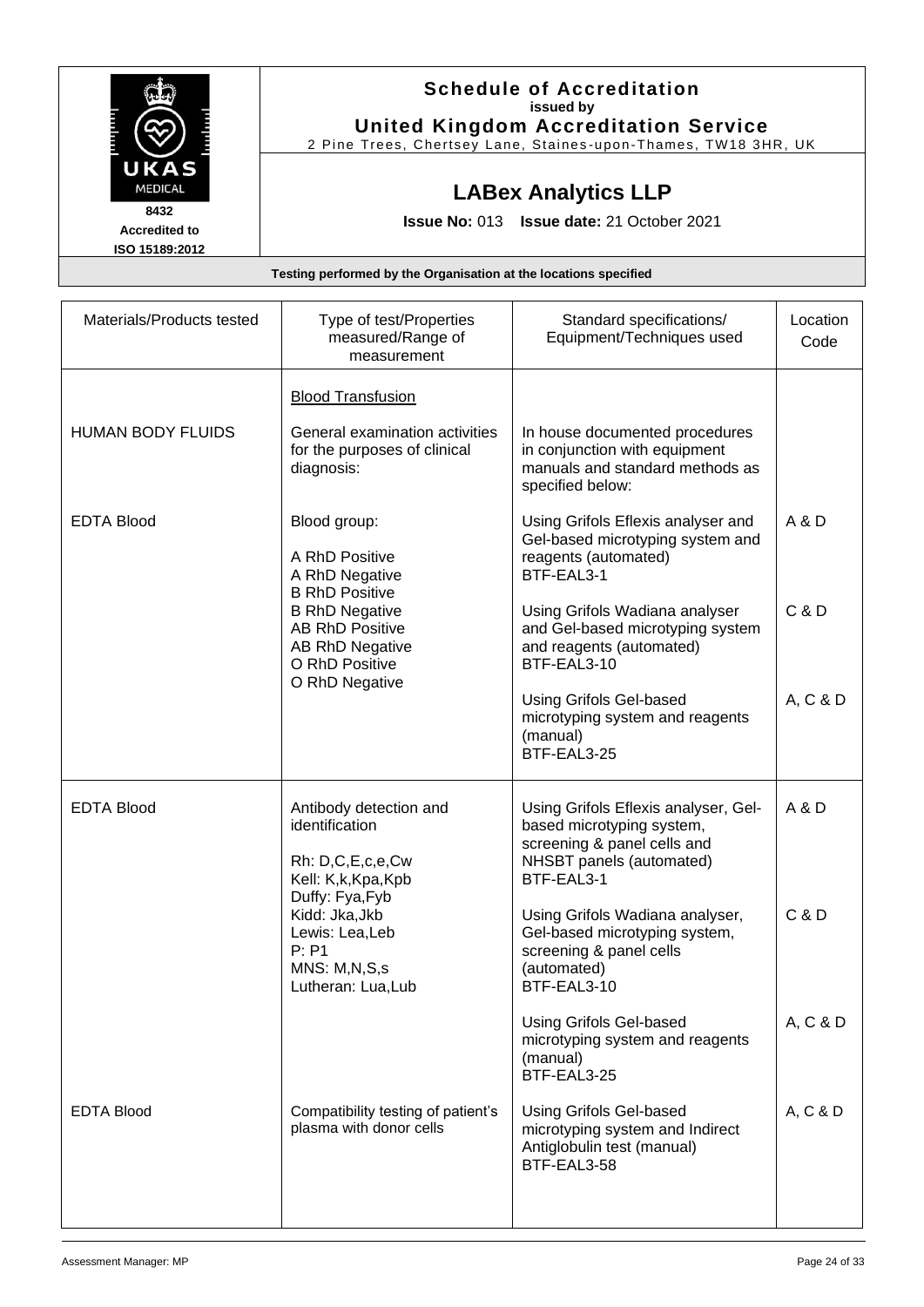|                      | <b>Schedule of Accreditation</b>                               |
|----------------------|----------------------------------------------------------------|
|                      | issued by                                                      |
|                      | <b>United Kingdom Accreditation Service</b>                    |
|                      | 2 Pine Trees, Chertsey Lane, Staines-upon-Thames, TW18 3HR, UK |
| UKAS                 |                                                                |
| <b>MEDICAL</b>       | <b>LABex Analytics LLP</b>                                     |
| 8432                 |                                                                |
| <b>Accredited to</b> | <b>Issue No: 013 Issue date: 21 October 2021</b>               |
| ISO 15189:2012       |                                                                |

| Materials/Products tested | Type of test/Properties<br>measured/Range of<br>measurement                                                   | Standard specifications/<br>Equipment/Techniques used                                                                                      | Location<br>Code |
|---------------------------|---------------------------------------------------------------------------------------------------------------|--------------------------------------------------------------------------------------------------------------------------------------------|------------------|
| <b>HUMAN BODY FLUIDS</b>  | <b>Blood Transfusion</b><br>General examination activities<br>for the purposes of clinical<br>diagnosis:      | In house documented procedures<br>in conjunction with equipment<br>manuals and standard methods as<br>specified below:                     |                  |
| <b>EDTA Blood</b>         | Blood group:<br>A RhD Positive<br>A RhD Negative<br><b>B RhD Positive</b>                                     | Using Grifols Eflexis analyser and<br>Gel-based microtyping system and<br>reagents (automated)<br>BTF-EAL3-1                               | A & D            |
|                           | <b>B RhD Negative</b><br><b>AB RhD Positive</b><br><b>AB RhD Negative</b><br>O RhD Positive<br>O RhD Negative | Using Grifols Wadiana analyser<br>and Gel-based microtyping system<br>and reagents (automated)<br>BTF-EAL3-10                              | C & D            |
|                           |                                                                                                               | <b>Using Grifols Gel-based</b><br>microtyping system and reagents<br>(manual)<br>BTF-EAL3-25                                               | A, C & D         |
| <b>EDTA Blood</b>         | Antibody detection and<br>identification<br>Rh: D,C,E,c,e,Cw<br>Kell: K,k, Kpa, Kpb                           | Using Grifols Eflexis analyser, Gel-<br>based microtyping system,<br>screening & panel cells and<br>NHSBT panels (automated)<br>BTF-EAL3-1 | A & D            |
|                           | Duffy: Fya, Fyb<br>Kidd: Jka, Jkb<br>Lewis: Lea, Leb<br>P: P1<br>MNS: M,N,S,s<br>Lutheran: Lua, Lub           | Using Grifols Wadiana analyser,<br>Gel-based microtyping system,<br>screening & panel cells<br>(automated)<br>BTF-EAL3-10                  | C & D            |
|                           |                                                                                                               | Using Grifols Gel-based<br>microtyping system and reagents<br>(manual)<br>BTF-EAL3-25                                                      | A, C & D         |
| <b>EDTA Blood</b>         | Compatibility testing of patient's<br>plasma with donor cells                                                 | <b>Using Grifols Gel-based</b><br>microtyping system and Indirect<br>Antiglobulin test (manual)<br>BTF-EAL3-58                             | A, C & D         |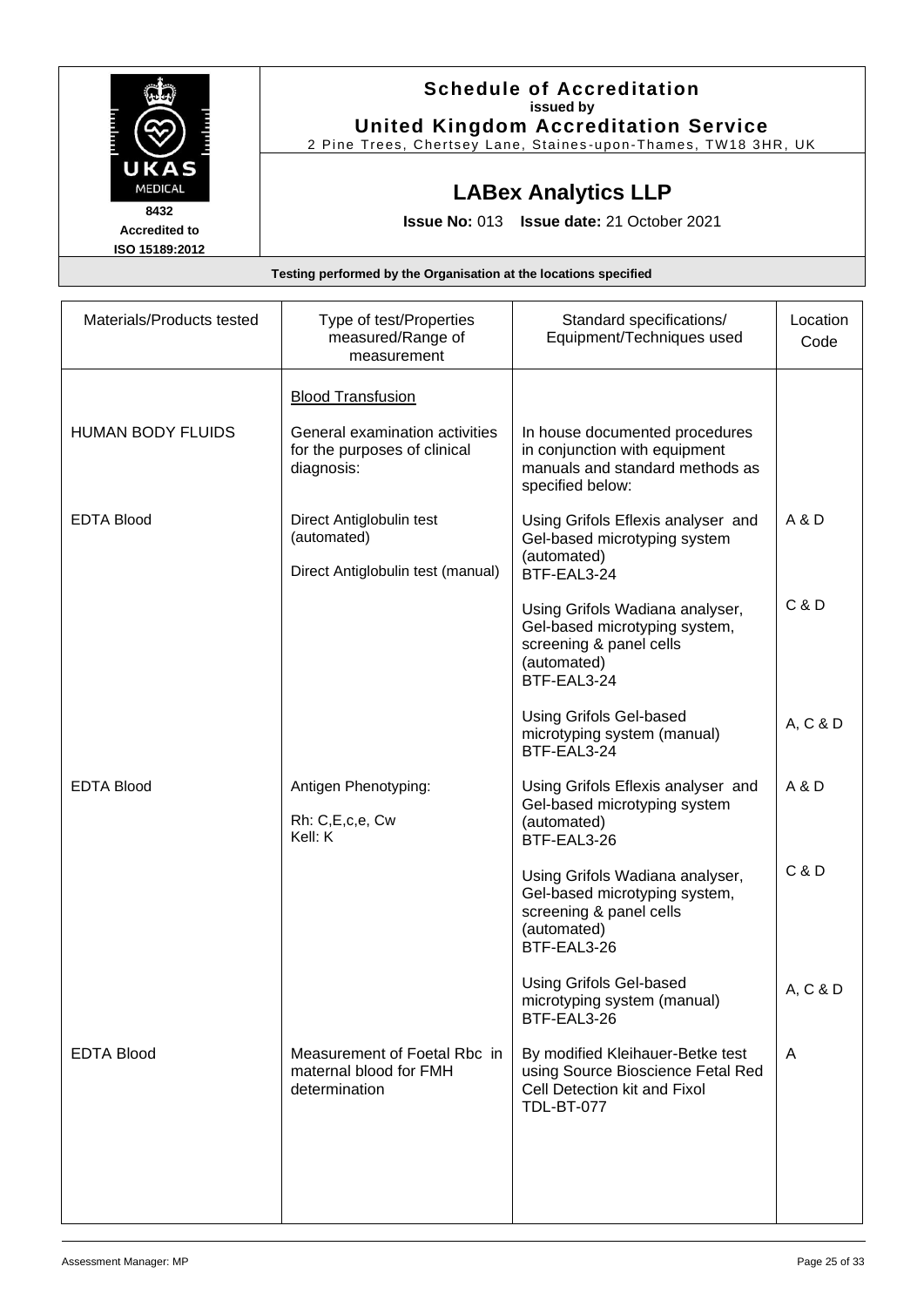|                      | <b>Schedule of Accreditation</b>                               |
|----------------------|----------------------------------------------------------------|
|                      | issued by                                                      |
|                      | <b>United Kingdom Accreditation Service</b>                    |
|                      | 2 Pine Trees, Chertsey Lane, Staines-upon-Thames, TW18 3HR, UK |
| UKAS                 |                                                                |
| <b>MEDICAL</b>       | <b>LABex Analytics LLP</b>                                     |
| 8432                 |                                                                |
| <b>Accredited to</b> | <b>Issue No: 013 Issue date: 21 October 2021</b>               |
| ISO 15189:2012       |                                                                |

| Materials/Products tested | Type of test/Properties<br>measured/Range of<br>measurement                  | Standard specifications/<br>Equipment/Techniques used                                                                      | Location<br>Code |
|---------------------------|------------------------------------------------------------------------------|----------------------------------------------------------------------------------------------------------------------------|------------------|
|                           | <b>Blood Transfusion</b>                                                     |                                                                                                                            |                  |
| <b>HUMAN BODY FLUIDS</b>  | General examination activities<br>for the purposes of clinical<br>diagnosis: | In house documented procedures<br>in conjunction with equipment<br>manuals and standard methods as<br>specified below:     |                  |
| <b>EDTA Blood</b>         | Direct Antiglobulin test<br>(automated)<br>Direct Antiglobulin test (manual) | Using Grifols Eflexis analyser and<br>Gel-based microtyping system<br>(automated)<br>BTF-EAL3-24                           | A & D            |
|                           |                                                                              | Using Grifols Wadiana analyser,<br>Gel-based microtyping system,<br>screening & panel cells<br>(automated)<br>BTF-EAL3-24  | C & D            |
|                           |                                                                              | <b>Using Grifols Gel-based</b><br>microtyping system (manual)<br>BTF-EAL3-24                                               | A, C & D         |
| <b>EDTA Blood</b>         | Antigen Phenotyping:<br>Rh: C,E,c,e, Cw<br>Kell: K                           | Using Grifols Eflexis analyser and<br>Gel-based microtyping system<br>(automated)<br>BTF-EAL3-26                           | A & D            |
|                           |                                                                              | Using Grifols Wadiana analyser,<br>Gel-based microtyping system,<br>screening & panel cells<br>(automated)<br>BTF-EAL3-26  | C & D            |
|                           |                                                                              | <b>Using Grifols Gel-based</b><br>microtyping system (manual)<br>BTF-EAL3-26                                               | A, C & D         |
| <b>EDTA Blood</b>         | Measurement of Foetal Rbc in<br>maternal blood for FMH<br>determination      | By modified Kleihauer-Betke test<br>using Source Bioscience Fetal Red<br>Cell Detection kit and Fixol<br><b>TDL-BT-077</b> | $\mathsf{A}$     |
|                           |                                                                              |                                                                                                                            |                  |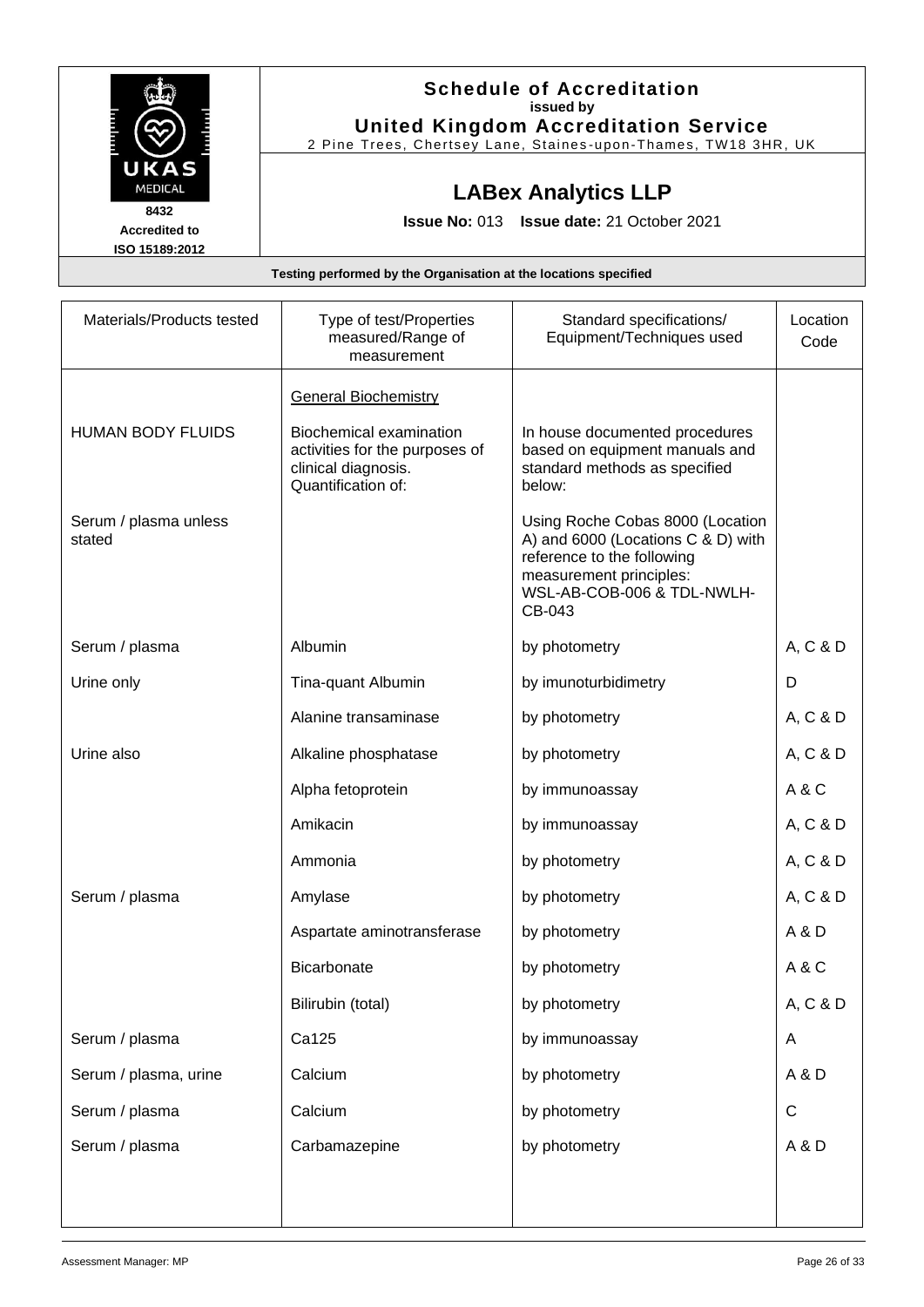| <b>Schedule of Accreditation</b>                               |
|----------------------------------------------------------------|
| issued by                                                      |
| <b>United Kingdom Accreditation Service</b>                    |
| 2 Pine Trees, Chertsey Lane, Staines-upon-Thames, TW18 3HR, UK |
|                                                                |
| <b>LABex Analytics LLP</b>                                     |
|                                                                |
| <b>Issue No: 013 Issue date: 21 October 2021</b>               |
|                                                                |
|                                                                |

| Materials/Products tested       | Type of test/Properties<br>measured/Range of<br>measurement                                            | Standard specifications/<br>Equipment/Techniques used                                                                                                                   | Location<br>Code |
|---------------------------------|--------------------------------------------------------------------------------------------------------|-------------------------------------------------------------------------------------------------------------------------------------------------------------------------|------------------|
|                                 | <b>General Biochemistry</b>                                                                            |                                                                                                                                                                         |                  |
| <b>HUMAN BODY FLUIDS</b>        | Biochemical examination<br>activities for the purposes of<br>clinical diagnosis.<br>Quantification of: | In house documented procedures<br>based on equipment manuals and<br>standard methods as specified<br>below:                                                             |                  |
| Serum / plasma unless<br>stated |                                                                                                        | Using Roche Cobas 8000 (Location<br>A) and 6000 (Locations C & D) with<br>reference to the following<br>measurement principles:<br>WSL-AB-COB-006 & TDL-NWLH-<br>CB-043 |                  |
| Serum / plasma                  | Albumin                                                                                                | by photometry                                                                                                                                                           | A, C & D         |
| Urine only                      | Tina-quant Albumin                                                                                     | by imunoturbidimetry                                                                                                                                                    | D                |
|                                 | Alanine transaminase                                                                                   | by photometry                                                                                                                                                           | A, C & D         |
| Urine also                      | Alkaline phosphatase                                                                                   | by photometry                                                                                                                                                           | A, C & D         |
|                                 | Alpha fetoprotein                                                                                      | by immunoassay                                                                                                                                                          | A&C              |
|                                 | Amikacin                                                                                               | by immunoassay                                                                                                                                                          | A, C & D         |
|                                 | Ammonia                                                                                                | by photometry                                                                                                                                                           | A, C & D         |
| Serum / plasma                  | Amylase                                                                                                | by photometry                                                                                                                                                           | A, C & D         |
|                                 | Aspartate aminotransferase                                                                             | by photometry                                                                                                                                                           | A & D            |
|                                 | Bicarbonate                                                                                            | by photometry                                                                                                                                                           | A & C            |
|                                 | Bilirubin (total)                                                                                      | by photometry                                                                                                                                                           | A, C & D         |
| Serum / plasma                  | Ca125                                                                                                  | by immunoassay                                                                                                                                                          | A                |
| Serum / plasma, urine           | Calcium                                                                                                | by photometry                                                                                                                                                           | A&D              |
| Serum / plasma                  | Calcium                                                                                                | by photometry                                                                                                                                                           | C                |
| Serum / plasma                  | Carbamazepine                                                                                          | by photometry                                                                                                                                                           | A & D            |
|                                 |                                                                                                        |                                                                                                                                                                         |                  |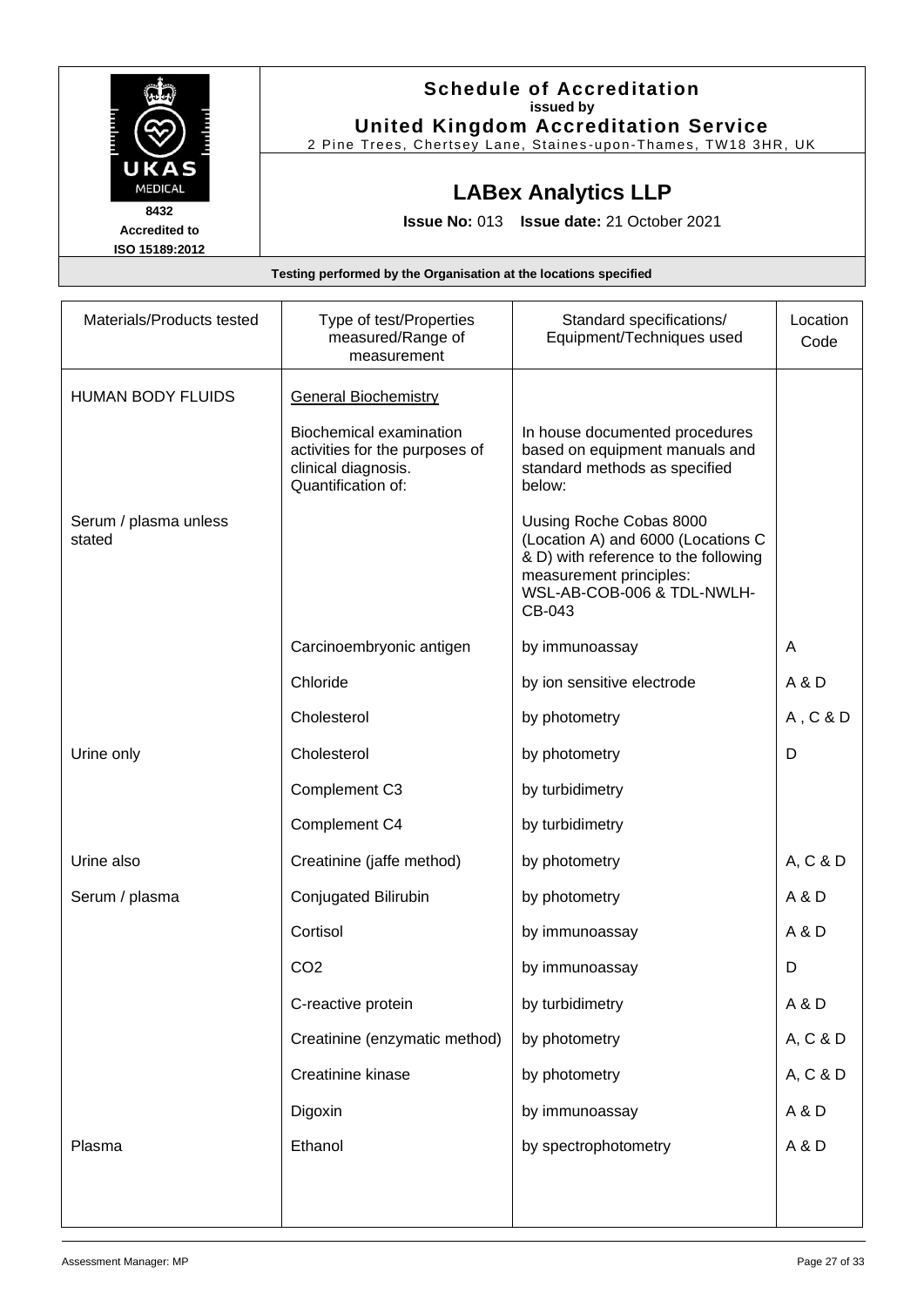|                                                | <b>Schedule of Accreditation</b><br>issued by<br><b>United Kingdom Accreditation Service</b> |
|------------------------------------------------|----------------------------------------------------------------------------------------------|
| UKAS<br><b>MEDICAL</b>                         | 2 Pine Trees, Chertsey Lane, Staines-upon-Thames, TW18 3HR, UK<br><b>LABex Analytics LLP</b> |
| 8432<br><b>Accredited to</b><br>ISO 15189:2012 | <b>Issue No: 013 Issue date: 21 October 2021</b>                                             |
|                                                | Testing performed by the Organisation at the locations specified                             |

| Materials/Products tested       | Type of test/Properties<br>measured/Range of<br>measurement                                                   | Standard specifications/<br>Equipment/Techniques used                                                                                                                    | Location<br>Code |
|---------------------------------|---------------------------------------------------------------------------------------------------------------|--------------------------------------------------------------------------------------------------------------------------------------------------------------------------|------------------|
| <b>HUMAN BODY FLUIDS</b>        | <b>General Biochemistry</b>                                                                                   |                                                                                                                                                                          |                  |
|                                 | <b>Biochemical examination</b><br>activities for the purposes of<br>clinical diagnosis.<br>Quantification of: | In house documented procedures<br>based on equipment manuals and<br>standard methods as specified<br>below:                                                              |                  |
| Serum / plasma unless<br>stated |                                                                                                               | Uusing Roche Cobas 8000<br>(Location A) and 6000 (Locations C<br>& D) with reference to the following<br>measurement principles:<br>WSL-AB-COB-006 & TDL-NWLH-<br>CB-043 |                  |
|                                 | Carcinoembryonic antigen                                                                                      | by immunoassay                                                                                                                                                           | A                |
|                                 | Chloride                                                                                                      | by ion sensitive electrode                                                                                                                                               | A & D            |
|                                 | Cholesterol                                                                                                   | by photometry                                                                                                                                                            | A, C & D         |
| Urine only                      | Cholesterol                                                                                                   | by photometry                                                                                                                                                            | D                |
|                                 | Complement C3                                                                                                 | by turbidimetry                                                                                                                                                          |                  |
|                                 | Complement C4                                                                                                 | by turbidimetry                                                                                                                                                          |                  |
| Urine also                      | Creatinine (jaffe method)                                                                                     | by photometry                                                                                                                                                            | A, C & D         |
| Serum / plasma                  | Conjugated Bilirubin                                                                                          | by photometry                                                                                                                                                            | A & D            |
|                                 | Cortisol                                                                                                      | by immunoassay                                                                                                                                                           | A & D            |
|                                 | CO <sub>2</sub>                                                                                               | by immunoassay                                                                                                                                                           | D                |
|                                 | C-reactive protein                                                                                            | by turbidimetry                                                                                                                                                          | A & D            |
|                                 | Creatinine (enzymatic method)                                                                                 | by photometry                                                                                                                                                            | A, C & D         |
|                                 | Creatinine kinase                                                                                             | by photometry                                                                                                                                                            | A, C & D         |
|                                 | Digoxin                                                                                                       | by immunoassay                                                                                                                                                           | A & D            |
| Plasma                          | Ethanol                                                                                                       | by spectrophotometry                                                                                                                                                     | A & D            |
|                                 |                                                                                                               |                                                                                                                                                                          |                  |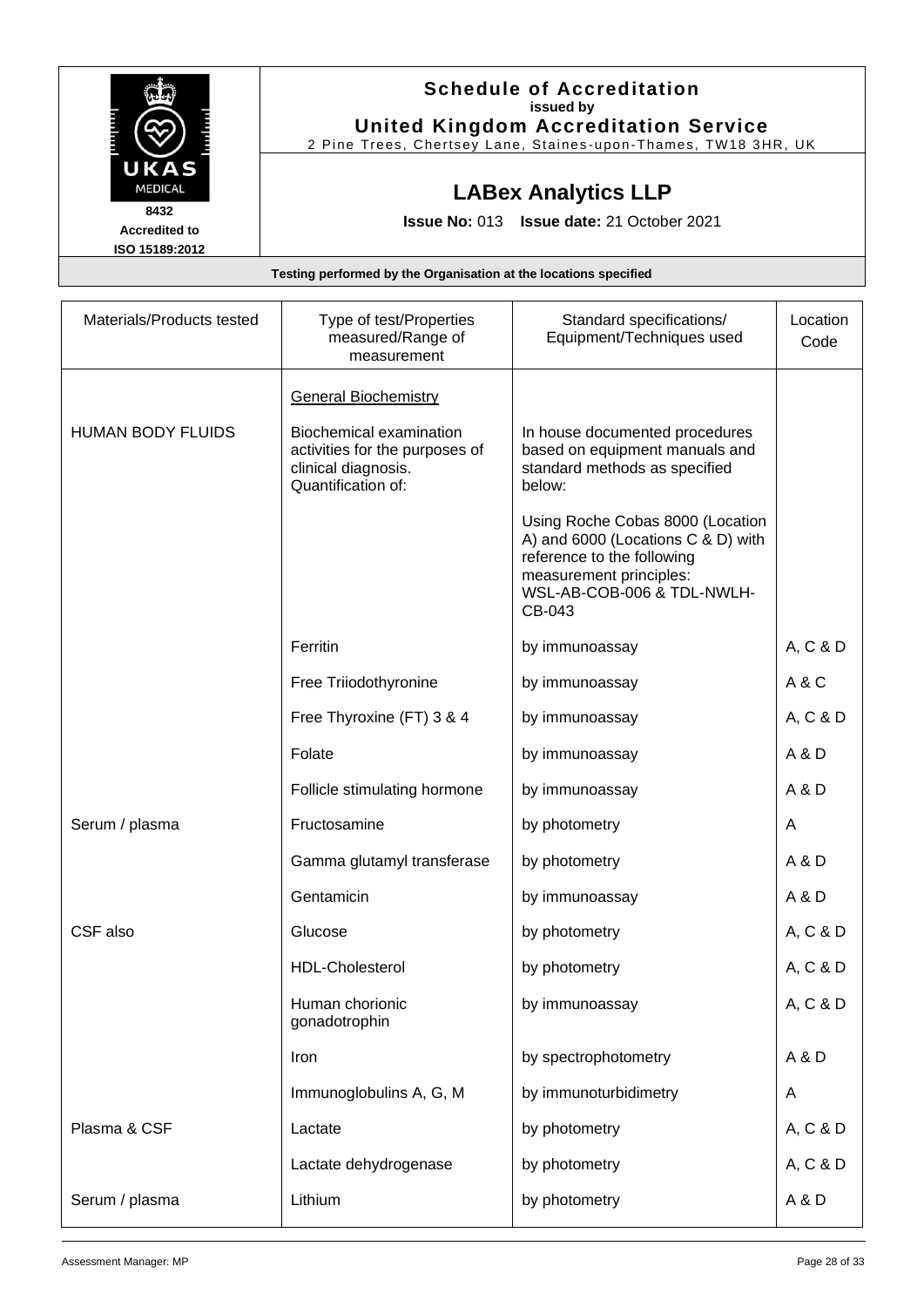|                        | <b>Schedule of Accreditation</b>                                 |  |  |
|------------------------|------------------------------------------------------------------|--|--|
|                        | issued by                                                        |  |  |
|                        | <b>United Kingdom Accreditation Service</b>                      |  |  |
|                        | 2 Pine Trees, Chertsey Lane, Staines-upon-Thames, TW18 3HR, UK   |  |  |
| UKAS<br><b>MEDICAL</b> |                                                                  |  |  |
|                        | <b>LABex Analytics LLP</b>                                       |  |  |
| 8432                   | <b>Issue No: 013 Issue date: 21 October 2021</b>                 |  |  |
| <b>Accredited to</b>   |                                                                  |  |  |
| ISO 15189:2012         |                                                                  |  |  |
|                        | Testing performed by the Organisation at the locations specified |  |  |

| Materials/Products tested | Type of test/Properties<br>measured/Range of<br>measurement                                                   | Standard specifications/<br>Equipment/Techniques used                                                                                                                   | Location<br>Code |
|---------------------------|---------------------------------------------------------------------------------------------------------------|-------------------------------------------------------------------------------------------------------------------------------------------------------------------------|------------------|
|                           | <b>General Biochemistry</b>                                                                                   |                                                                                                                                                                         |                  |
| <b>HUMAN BODY FLUIDS</b>  | <b>Biochemical examination</b><br>activities for the purposes of<br>clinical diagnosis.<br>Quantification of: | In house documented procedures<br>based on equipment manuals and<br>standard methods as specified<br>below:                                                             |                  |
|                           |                                                                                                               | Using Roche Cobas 8000 (Location<br>A) and 6000 (Locations C & D) with<br>reference to the following<br>measurement principles:<br>WSL-AB-COB-006 & TDL-NWLH-<br>CB-043 |                  |
|                           | Ferritin                                                                                                      | by immunoassay                                                                                                                                                          | A, C & D         |
|                           | Free Triiodothyronine                                                                                         | by immunoassay                                                                                                                                                          | A & C            |
|                           | Free Thyroxine (FT) 3 & 4                                                                                     | by immunoassay                                                                                                                                                          | A, C & D         |
|                           | Folate                                                                                                        | by immunoassay                                                                                                                                                          | A & D            |
|                           | Follicle stimulating hormone                                                                                  | by immunoassay                                                                                                                                                          | A & D            |
| Serum / plasma            | Fructosamine                                                                                                  | by photometry                                                                                                                                                           | A                |
|                           | Gamma glutamyl transferase                                                                                    | by photometry                                                                                                                                                           | A & D            |
|                           | Gentamicin                                                                                                    | by immunoassay                                                                                                                                                          | A & D            |
| CSF also                  | Glucose                                                                                                       | by photometry                                                                                                                                                           | A, C & D         |
|                           | <b>HDL-Cholesterol</b>                                                                                        | by photometry                                                                                                                                                           | A, C & D         |
|                           | Human chorionic<br>gonadotrophin                                                                              | by immunoassay                                                                                                                                                          | A, C & D         |
|                           | Iron                                                                                                          | by spectrophotometry                                                                                                                                                    | A & D            |
|                           | Immunoglobulins A, G, M                                                                                       | by immunoturbidimetry                                                                                                                                                   | A                |
| Plasma & CSF              | Lactate                                                                                                       | by photometry                                                                                                                                                           | A, C & D         |
|                           | Lactate dehydrogenase                                                                                         | by photometry                                                                                                                                                           | A, C & D         |
| Serum / plasma            | Lithium                                                                                                       | by photometry                                                                                                                                                           | A & D            |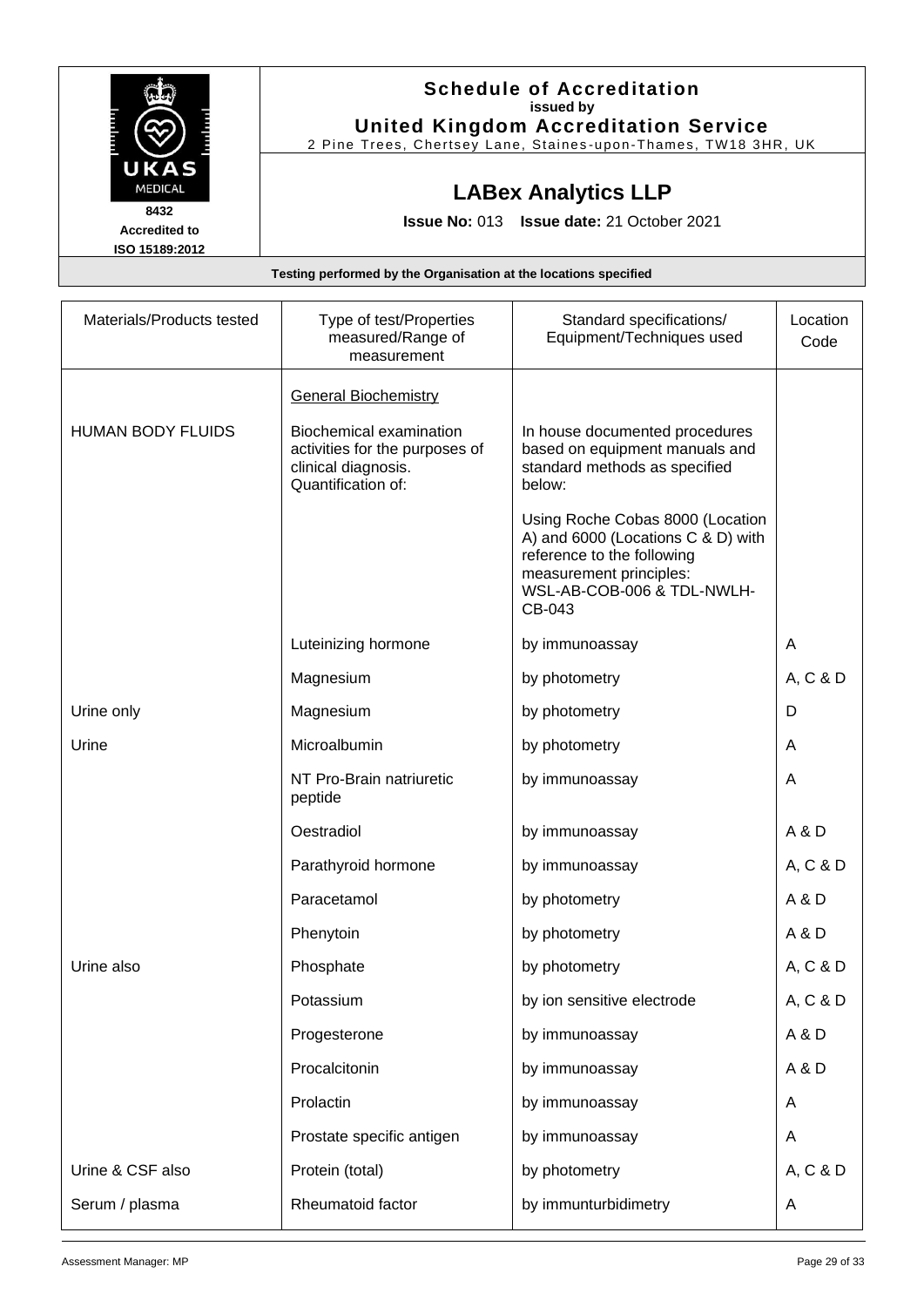|                                                                  | <b>Schedule of Accreditation</b><br>issued by<br><b>United Kingdom Accreditation Service</b><br>2 Pine Trees, Chertsey Lane, Staines-upon-Thames, TW18 3HR, UK |  |
|------------------------------------------------------------------|----------------------------------------------------------------------------------------------------------------------------------------------------------------|--|
| UKAS<br><b>MEDICAL</b>                                           | <b>LABex Analytics LLP</b>                                                                                                                                     |  |
| 8432<br><b>Accredited to</b><br>ISO 15189:2012                   | <b>Issue No: 013 Issue date: 21 October 2021</b>                                                                                                               |  |
| Testing performed by the Organisation at the locations specified |                                                                                                                                                                |  |

| Materials/Products tested | Type of test/Properties<br>measured/Range of<br>measurement                                            | Standard specifications/<br>Equipment/Techniques used                                                                                                                   | Location<br>Code |
|---------------------------|--------------------------------------------------------------------------------------------------------|-------------------------------------------------------------------------------------------------------------------------------------------------------------------------|------------------|
|                           | <b>General Biochemistry</b>                                                                            |                                                                                                                                                                         |                  |
| <b>HUMAN BODY FLUIDS</b>  | Biochemical examination<br>activities for the purposes of<br>clinical diagnosis.<br>Quantification of: | In house documented procedures<br>based on equipment manuals and<br>standard methods as specified<br>below:                                                             |                  |
|                           |                                                                                                        | Using Roche Cobas 8000 (Location<br>A) and 6000 (Locations C & D) with<br>reference to the following<br>measurement principles:<br>WSL-AB-COB-006 & TDL-NWLH-<br>CB-043 |                  |
|                           | Luteinizing hormone                                                                                    | by immunoassay                                                                                                                                                          | A                |
|                           | Magnesium                                                                                              | by photometry                                                                                                                                                           | A, C & D         |
| Urine only                | Magnesium                                                                                              | by photometry                                                                                                                                                           | D                |
| Urine                     | Microalbumin                                                                                           | by photometry                                                                                                                                                           | A                |
|                           | NT Pro-Brain natriuretic<br>peptide                                                                    | by immunoassay                                                                                                                                                          | A                |
|                           | Oestradiol                                                                                             | by immunoassay                                                                                                                                                          | A & D            |
|                           | Parathyroid hormone                                                                                    | by immunoassay                                                                                                                                                          | A, C & D         |
|                           | Paracetamol                                                                                            | by photometry                                                                                                                                                           | A & D            |
|                           | Phenytoin                                                                                              | by photometry                                                                                                                                                           | A & D            |
| Urine also                | Phosphate                                                                                              | by photometry                                                                                                                                                           | A, C & D         |
|                           | Potassium                                                                                              | by ion sensitive electrode                                                                                                                                              | A, C & D         |
|                           | Progesterone                                                                                           | by immunoassay                                                                                                                                                          | A&D              |
|                           | Procalcitonin                                                                                          | by immunoassay                                                                                                                                                          | A & D            |
|                           | Prolactin                                                                                              | by immunoassay                                                                                                                                                          | A                |
|                           | Prostate specific antigen                                                                              | by immunoassay                                                                                                                                                          | A                |
| Urine & CSF also          | Protein (total)                                                                                        | by photometry                                                                                                                                                           | A, C & D         |
| Serum / plasma            | Rheumatoid factor                                                                                      | by immunturbidimetry                                                                                                                                                    | A                |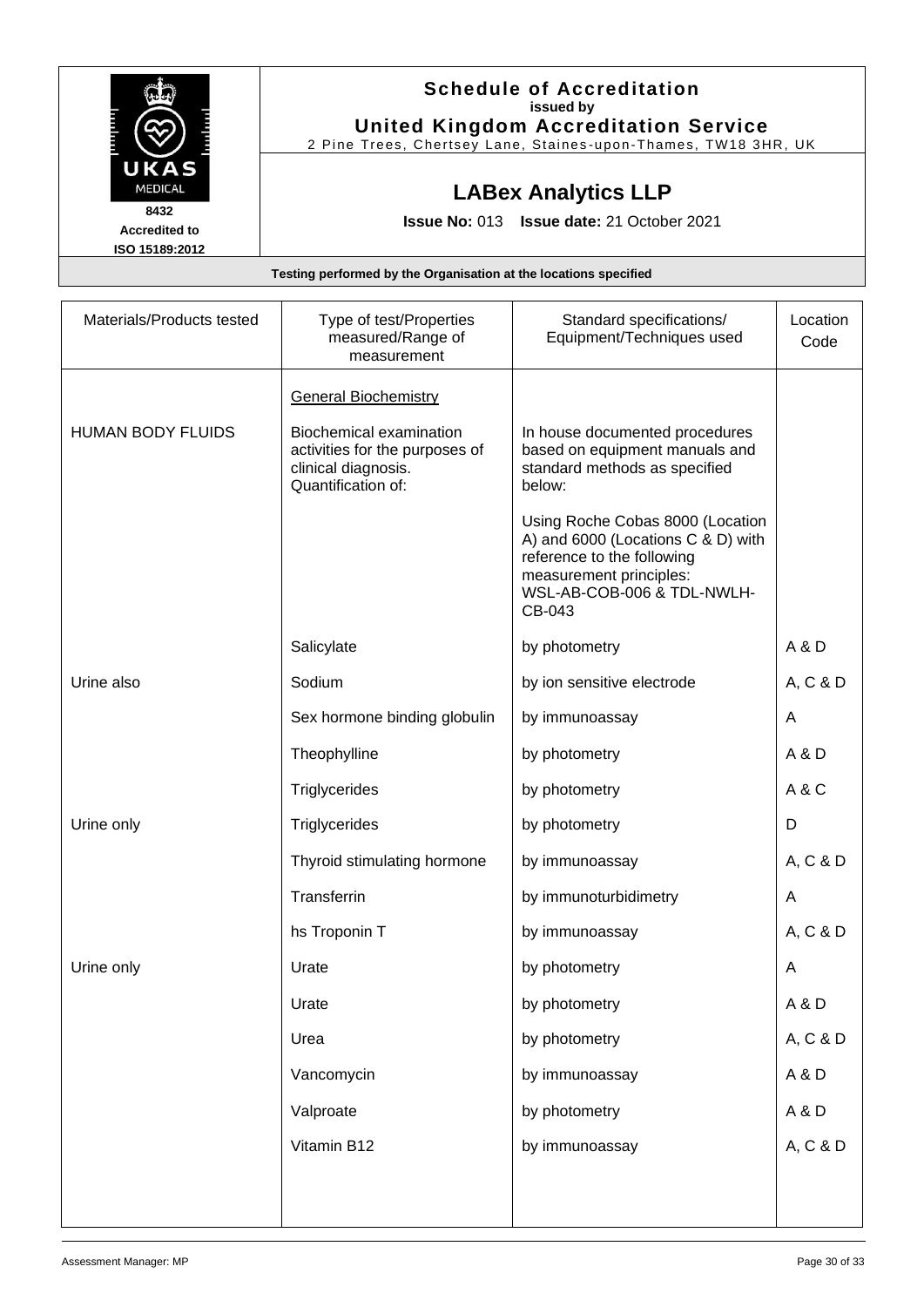|                        | <b>Schedule of Accreditation</b>                                 |  |  |
|------------------------|------------------------------------------------------------------|--|--|
|                        | issued by                                                        |  |  |
|                        | <b>United Kingdom Accreditation Service</b>                      |  |  |
|                        | 2 Pine Trees, Chertsey Lane, Staines-upon-Thames, TW18 3HR, UK   |  |  |
| UKAS<br><b>MEDICAL</b> |                                                                  |  |  |
|                        | <b>LABex Analytics LLP</b>                                       |  |  |
| 8432                   | <b>Issue No: 013 Issue date: 21 October 2021</b>                 |  |  |
| <b>Accredited to</b>   |                                                                  |  |  |
| ISO 15189:2012         |                                                                  |  |  |
|                        | Testing performed by the Organisation at the locations specified |  |  |

| Materials/Products tested | Type of test/Properties<br>measured/Range of<br>measurement                                                   | Standard specifications/<br>Equipment/Techniques used                                                                                                                   | Location<br>Code |
|---------------------------|---------------------------------------------------------------------------------------------------------------|-------------------------------------------------------------------------------------------------------------------------------------------------------------------------|------------------|
|                           | <b>General Biochemistry</b>                                                                                   |                                                                                                                                                                         |                  |
| <b>HUMAN BODY FLUIDS</b>  | <b>Biochemical examination</b><br>activities for the purposes of<br>clinical diagnosis.<br>Quantification of: | In house documented procedures<br>based on equipment manuals and<br>standard methods as specified<br>below:                                                             |                  |
|                           |                                                                                                               | Using Roche Cobas 8000 (Location<br>A) and 6000 (Locations C & D) with<br>reference to the following<br>measurement principles:<br>WSL-AB-COB-006 & TDL-NWLH-<br>CB-043 |                  |
|                           | Salicylate                                                                                                    | by photometry                                                                                                                                                           | A & D            |
| Urine also                | Sodium                                                                                                        | by ion sensitive electrode                                                                                                                                              | A, C & D         |
|                           | Sex hormone binding globulin                                                                                  | by immunoassay                                                                                                                                                          | A                |
|                           | Theophylline                                                                                                  | by photometry                                                                                                                                                           | A & D            |
|                           | Triglycerides                                                                                                 | by photometry                                                                                                                                                           | A&C              |
| Urine only                | Triglycerides                                                                                                 | by photometry                                                                                                                                                           | D                |
|                           | Thyroid stimulating hormone                                                                                   | by immunoassay                                                                                                                                                          | A, C & D         |
|                           | Transferrin                                                                                                   | by immunoturbidimetry                                                                                                                                                   | A                |
|                           | hs Troponin T                                                                                                 | by immunoassay                                                                                                                                                          | A, C & D         |
| Urine only                | Urate                                                                                                         | by photometry                                                                                                                                                           | A                |
|                           | Urate                                                                                                         | by photometry                                                                                                                                                           | A&D              |
|                           | Urea                                                                                                          | by photometry                                                                                                                                                           | A, C & D         |
|                           | Vancomycin                                                                                                    | by immunoassay                                                                                                                                                          | A&D              |
|                           | Valproate                                                                                                     | by photometry                                                                                                                                                           | A&D              |
|                           | Vitamin B12                                                                                                   | by immunoassay                                                                                                                                                          | A, C & D         |
|                           |                                                                                                               |                                                                                                                                                                         |                  |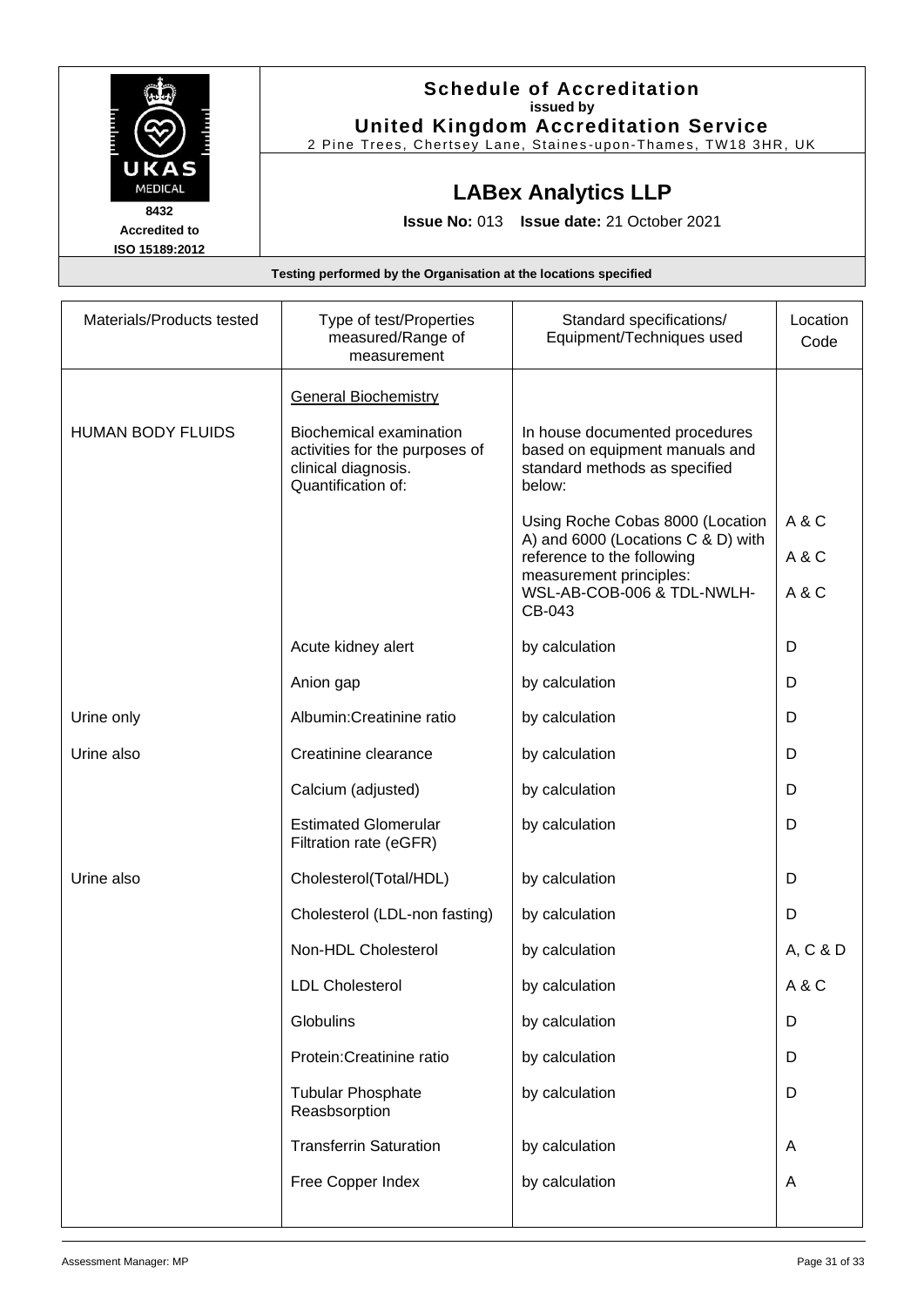|                      | <b>Schedule of Accreditation</b>                               |
|----------------------|----------------------------------------------------------------|
|                      | issued by                                                      |
|                      | <b>United Kingdom Accreditation Service</b>                    |
|                      | 2 Pine Trees, Chertsey Lane, Staines-upon-Thames, TW18 3HR, UK |
| UKAS                 |                                                                |
| <b>MEDICAL</b>       | <b>LABex Analytics LLP</b>                                     |
| 8432                 |                                                                |
| <b>Accredited to</b> | <b>Issue No: 013 Issue date: 21 October 2021</b>               |
| ISO 15189:2012       |                                                                |

| Materials/Products tested | Type of test/Properties<br>measured/Range of<br>measurement                                                   | Standard specifications/<br>Equipment/Techniques used                                                       | Location<br>Code |
|---------------------------|---------------------------------------------------------------------------------------------------------------|-------------------------------------------------------------------------------------------------------------|------------------|
|                           | <b>General Biochemistry</b>                                                                                   |                                                                                                             |                  |
| <b>HUMAN BODY FLUIDS</b>  | <b>Biochemical examination</b><br>activities for the purposes of<br>clinical diagnosis.<br>Quantification of: | In house documented procedures<br>based on equipment manuals and<br>standard methods as specified<br>below: |                  |
|                           |                                                                                                               | Using Roche Cobas 8000 (Location                                                                            | A & C            |
|                           |                                                                                                               | A) and 6000 (Locations C & D) with<br>reference to the following                                            | A&C              |
|                           |                                                                                                               | measurement principles:<br>WSL-AB-COB-006 & TDL-NWLH-<br>CB-043                                             | A & C            |
|                           | Acute kidney alert                                                                                            | by calculation                                                                                              | D                |
|                           | Anion gap                                                                                                     | by calculation                                                                                              | D                |
| Urine only                | Albumin: Creatinine ratio                                                                                     | by calculation                                                                                              | D                |
| Urine also                | Creatinine clearance                                                                                          | by calculation                                                                                              | D                |
|                           | Calcium (adjusted)                                                                                            | by calculation                                                                                              | D                |
|                           | <b>Estimated Glomerular</b><br>Filtration rate (eGFR)                                                         | by calculation                                                                                              | D                |
| Urine also                | Cholesterol(Total/HDL)                                                                                        | by calculation                                                                                              | D                |
|                           | Cholesterol (LDL-non fasting)                                                                                 | by calculation                                                                                              | D                |
|                           | Non-HDL Cholesterol                                                                                           | by calculation                                                                                              | A, C & D         |
|                           | <b>LDL Cholesterol</b>                                                                                        | by calculation                                                                                              | A&C              |
|                           | Globulins                                                                                                     | by calculation                                                                                              | D                |
|                           | Protein: Creatinine ratio                                                                                     | by calculation                                                                                              | D                |
|                           | <b>Tubular Phosphate</b><br>Reasbsorption                                                                     | by calculation                                                                                              | D                |
|                           | <b>Transferrin Saturation</b>                                                                                 | by calculation                                                                                              | A                |
|                           | Free Copper Index                                                                                             | by calculation                                                                                              | A                |
|                           |                                                                                                               |                                                                                                             |                  |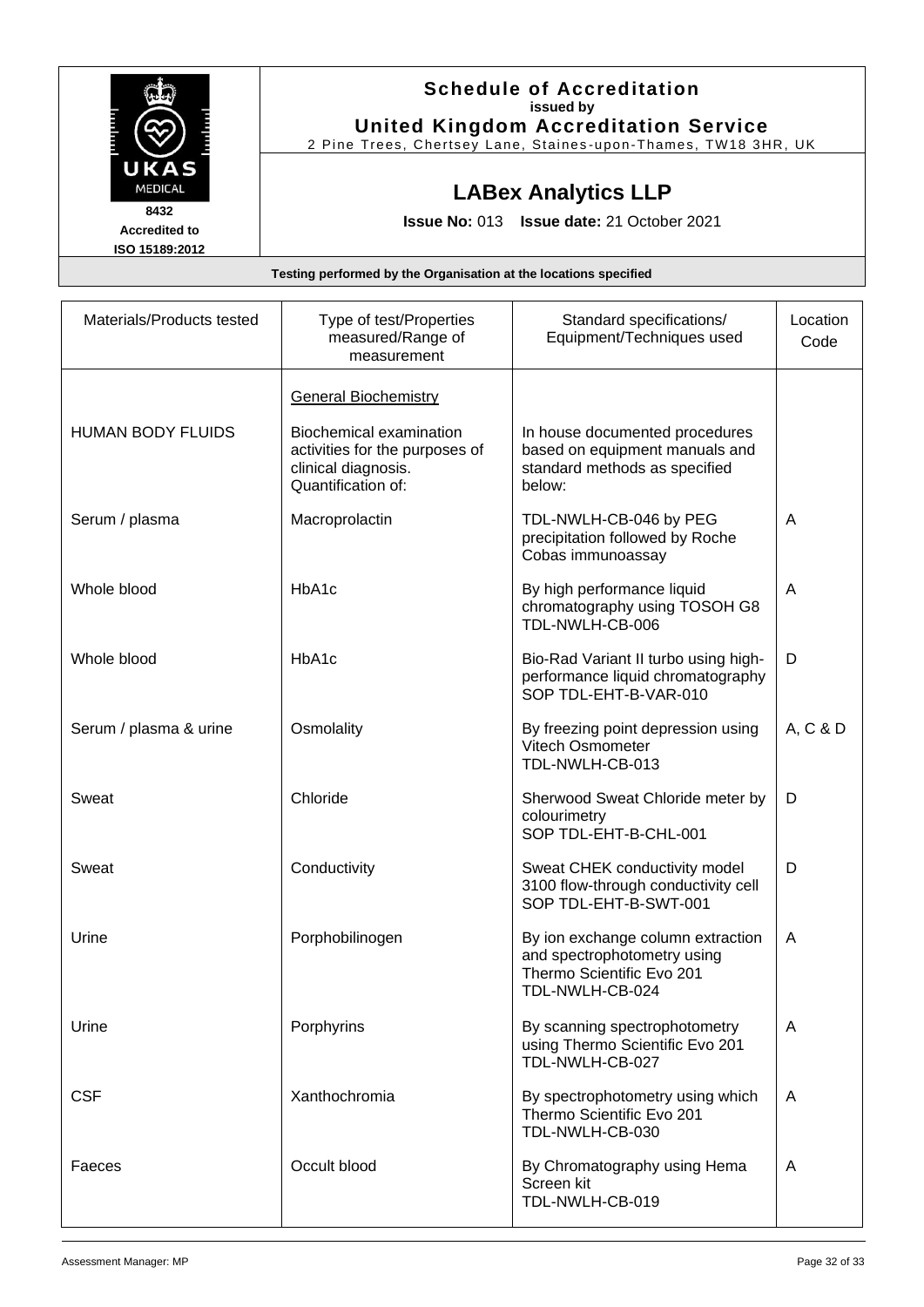|                      | <b>Schedule of Accreditation</b>                               |
|----------------------|----------------------------------------------------------------|
|                      | issued by                                                      |
|                      | <b>United Kingdom Accreditation Service</b>                    |
|                      | 2 Pine Trees, Chertsey Lane, Staines-upon-Thames, TW18 3HR, UK |
| UKAS                 |                                                                |
| <b>MEDICAL</b>       | <b>LABex Analytics LLP</b>                                     |
| 8432                 |                                                                |
| <b>Accredited to</b> | <b>Issue No: 013 Issue date: 21 October 2021</b>               |
| ISO 15189:2012       |                                                                |

| Materials/Products tested | Type of test/Properties<br>measured/Range of<br>measurement                                                   | Standard specifications/<br>Equipment/Techniques used                                                            | Location<br>Code |
|---------------------------|---------------------------------------------------------------------------------------------------------------|------------------------------------------------------------------------------------------------------------------|------------------|
|                           | <b>General Biochemistry</b>                                                                                   |                                                                                                                  |                  |
| <b>HUMAN BODY FLUIDS</b>  | <b>Biochemical examination</b><br>activities for the purposes of<br>clinical diagnosis.<br>Quantification of: | In house documented procedures<br>based on equipment manuals and<br>standard methods as specified<br>below:      |                  |
| Serum / plasma            | Macroprolactin                                                                                                | TDL-NWLH-CB-046 by PEG<br>precipitation followed by Roche<br>Cobas immunoassay                                   | A                |
| Whole blood               | HbA1c                                                                                                         | By high performance liquid<br>chromatography using TOSOH G8<br>TDL-NWLH-CB-006                                   | A                |
| Whole blood               | HbA1c                                                                                                         | Bio-Rad Variant II turbo using high-<br>performance liquid chromatography<br>SOP TDL-EHT-B-VAR-010               | D                |
| Serum / plasma & urine    | Osmolality                                                                                                    | By freezing point depression using<br>Vitech Osmometer<br>TDL-NWLH-CB-013                                        | A, C & D         |
| Sweat                     | Chloride                                                                                                      | Sherwood Sweat Chloride meter by<br>colourimetry<br>SOP TDL-EHT-B-CHL-001                                        | D                |
| Sweat                     | Conductivity                                                                                                  | Sweat CHEK conductivity model<br>3100 flow-through conductivity cell<br>SOP TDL-EHT-B-SWT-001                    | D                |
| Urine                     | Porphobilinogen                                                                                               | By ion exchange column extraction<br>and spectrophotometry using<br>Thermo Scientific Evo 201<br>TDL-NWLH-CB-024 | A                |
| Urine                     | Porphyrins                                                                                                    | By scanning spectrophotometry<br>using Thermo Scientific Evo 201<br>TDL-NWLH-CB-027                              | A                |
| <b>CSF</b>                | Xanthochromia                                                                                                 | By spectrophotometry using which<br>Thermo Scientific Evo 201<br>TDL-NWLH-CB-030                                 | A                |
| Faeces                    | Occult blood                                                                                                  | By Chromatography using Hema<br>Screen kit<br>TDL-NWLH-CB-019                                                    | A                |